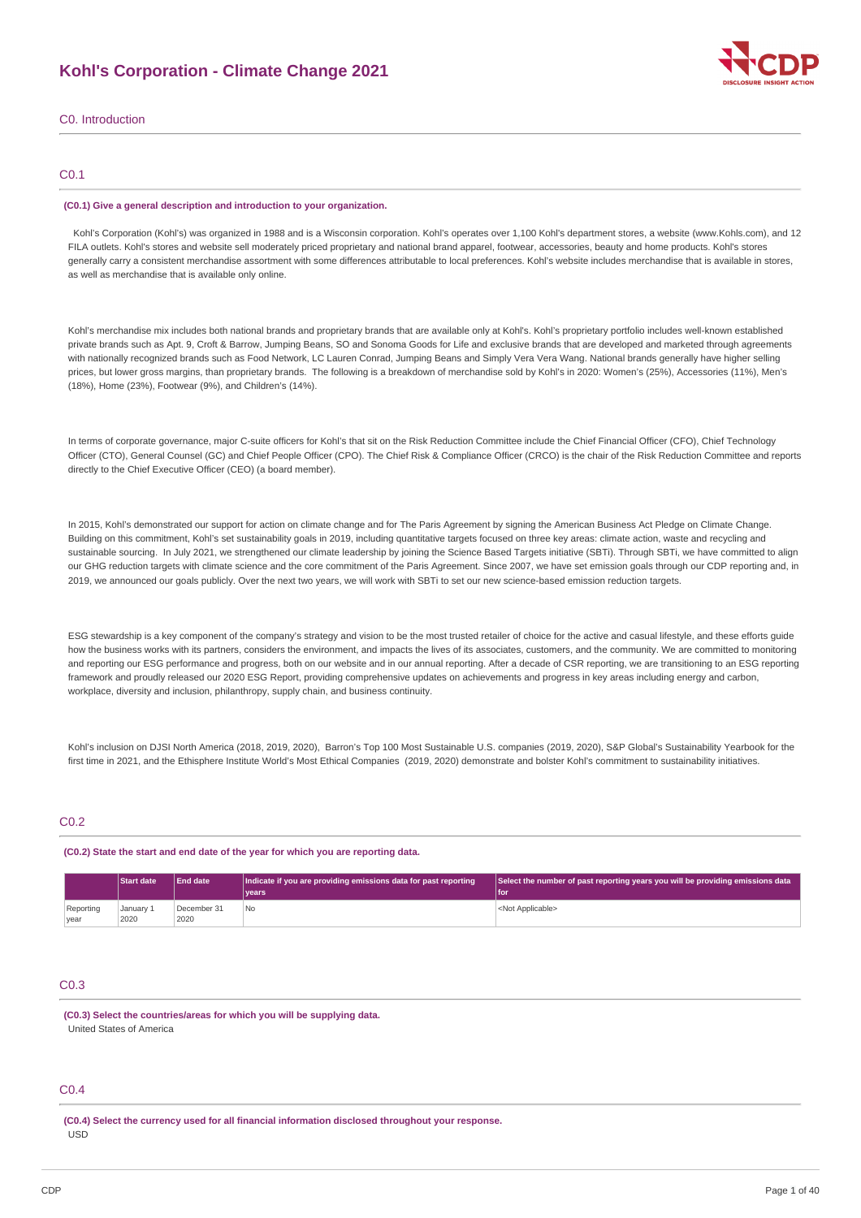# **Kohl's Corporation - Climate Change 2021**



# C0. Introduction

# C0.1

#### **(C0.1) Give a general description and introduction to your organization.**

Kohl's Corporation (Kohl's) was organized in 1988 and is a Wisconsin corporation. Kohl's operates over 1,100 Kohl's department stores, a website (www.Kohls.com), and 12 FILA outlets. Kohl's stores and website sell moderately priced proprietary and national brand apparel, footwear, accessories, beauty and home products. Kohl's stores generally carry a consistent merchandise assortment with some differences attributable to local preferences. Kohl's website includes merchandise that is available in stores, as well as merchandise that is available only online.

Kohl's merchandise mix includes both national brands and proprietary brands that are available only at Kohl's. Kohl's proprietary portfolio includes well-known established private brands such as Apt. 9, Croft & Barrow, Jumping Beans, SO and Sonoma Goods for Life and exclusive brands that are developed and marketed through agreements with nationally recognized brands such as Food Network, LC Lauren Conrad, Jumping Beans and Simply Vera Vera Wang. National brands generally have higher selling prices, but lower gross margins, than proprietary brands. The following is a breakdown of merchandise sold by Kohl's in 2020: Women's (25%), Accessories (11%), Men's (18%), Home (23%), Footwear (9%), and Children's (14%).

In terms of corporate governance, major C-suite officers for Kohl's that sit on the Risk Reduction Committee include the Chief Financial Officer (CFO), Chief Technology Officer (CTO), General Counsel (GC) and Chief People Officer (CPO). The Chief Risk & Compliance Officer (CRCO) is the chair of the Risk Reduction Committee and reports directly to the Chief Executive Officer (CEO) (a board member).

In 2015, Kohl's demonstrated our support for action on climate change and for The Paris Agreement by signing the American Business Act Pledge on Climate Change. Building on this commitment, Kohl's set sustainability goals in 2019, including quantitative targets focused on three key areas: climate action, waste and recycling and sustainable sourcing. In July 2021, we strengthened our climate leadership by joining the Science Based Targets initiative (SBTi). Through SBTi, we have committed to align our GHG reduction targets with climate science and the core commitment of the Paris Agreement. Since 2007, we have set emission goals through our CDP reporting and, in 2019, we announced our goals publicly. Over the next two years, we will work with SBTi to set our new science-based emission reduction targets.

ESG stewardship is a key component of the company's strategy and vision to be the most trusted retailer of choice for the active and casual lifestyle, and these efforts guide how the business works with its partners, considers the environment, and impacts the lives of its associates, customers, and the community. We are committed to monitoring and reporting our ESG performance and progress, both on our website and in our annual reporting. After a decade of CSR reporting, we are transitioning to an ESG reporting framework and proudly released our 2020 ESG Report, providing comprehensive updates on achievements and progress in key areas including energy and carbon, workplace, diversity and inclusion, philanthropy, supply chain, and business continuity.

Kohl's inclusion on DJSI North America (2018, 2019, 2020), Barron's Top 100 Most Sustainable U.S. companies (2019, 2020), S&P Global's Sustainability Yearbook for the first time in 2021, and the Ethisphere Institute World's Most Ethical Companies (2019, 2020) demonstrate and bolster Kohl's commitment to sustainability initiatives.

# C<sub>0.2</sub>

**(C0.2) State the start and end date of the year for which you are reporting data.**

|           | <b>Start date</b> | End date    | Indicate if you are providing emissions data for past reporting | $\mid$ Select the number of past reporting years you will be providing emissions data |
|-----------|-------------------|-------------|-----------------------------------------------------------------|---------------------------------------------------------------------------------------|
|           |                   |             | vears                                                           | l for                                                                                 |
| Reporting | January 1         | December 31 | No                                                              | <not applicable=""></not>                                                             |
| year      | 2020              | 2020        |                                                                 |                                                                                       |

# C0.3

**(C0.3) Select the countries/areas for which you will be supplying data.** United States of America

# C0.4

**(C0.4) Select the currency used for all financial information disclosed throughout your response.** USD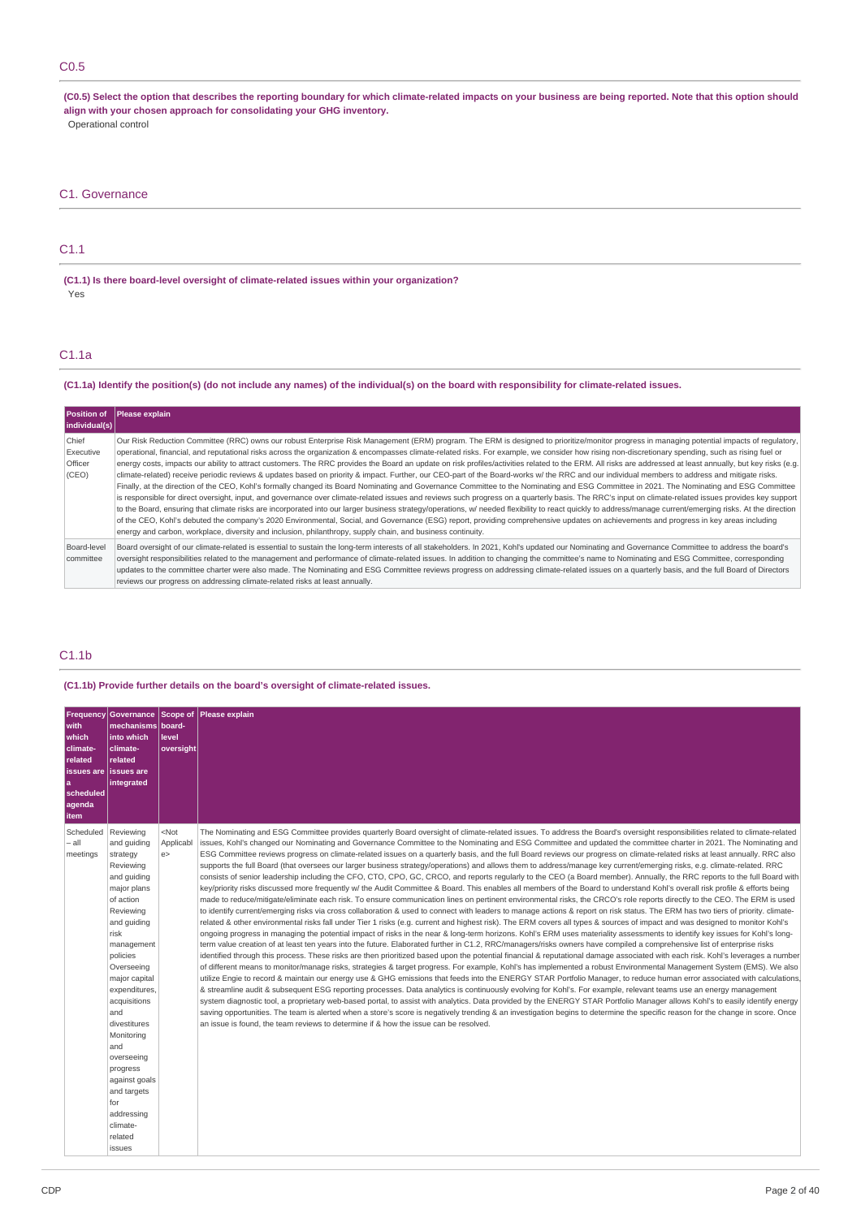# C0.5

(C0.5) Select the option that describes the reporting boundary for which climate-related impacts on your business are being reported. Note that this option should **align with your chosen approach for consolidating your GHG inventory.** Operational control

# C1. Governance

# C1.1

**(C1.1) Is there board-level oversight of climate-related issues within your organization?** Yes

# C1.1a

(C1.1a) Identify the position(s) (do not include any names) of the individual(s) on the board with responsibility for climate-related issues.

| Position of<br>individual(s)           | Please explain                                                                                                                                                                                                                                                                                                                                                                                                                                                                                                                                                                                                                                                                                                                                                                                                                                                                                                                                                                                                                                                                                                                                                                                                                                                                                                                                                                                                                                                                                                                                                                                                                                                                                                                                 |
|----------------------------------------|------------------------------------------------------------------------------------------------------------------------------------------------------------------------------------------------------------------------------------------------------------------------------------------------------------------------------------------------------------------------------------------------------------------------------------------------------------------------------------------------------------------------------------------------------------------------------------------------------------------------------------------------------------------------------------------------------------------------------------------------------------------------------------------------------------------------------------------------------------------------------------------------------------------------------------------------------------------------------------------------------------------------------------------------------------------------------------------------------------------------------------------------------------------------------------------------------------------------------------------------------------------------------------------------------------------------------------------------------------------------------------------------------------------------------------------------------------------------------------------------------------------------------------------------------------------------------------------------------------------------------------------------------------------------------------------------------------------------------------------------|
| Chief<br>Executive<br>Officer<br>(CEO) | Our Risk Reduction Committee (RRC) owns our robust Enterprise Risk Management (ERM) program. The ERM is designed to prioritize/monitor progress in managing potential impacts of regulatory,<br>operational, financial, and reputational risks across the organization & encompasses climate-related risks. For example, we consider how rising non-discretionary spending, such as rising fuel or<br>energy costs, impacts our ability to attract customers. The RRC provides the Board an update on risk profiles/activities related to the ERM. All risks are addressed at least annually, but key risks (e.g.<br>climate-related) receive periodic reviews & updates based on priority & impact. Further, our CEO-part of the Board-works w/ the RRC and our individual members to address and mitigate risks.<br>Finally, at the direction of the CEO, Kohl's formally changed its Board Nominating and Governance Committee to the Nominating and ESG Committee in 2021. The Nominating and ESG Committee<br>is responsible for direct oversight, input, and governance over climate-related issues and reviews such progress on a quarterly basis. The RRC's input on climate-related issues provides key support<br>to the Board, ensuring that climate risks are incorporated into our larger business strategy/operations, w/ needed flexibility to react quickly to address/manage current/emerging risks. At the direction<br>of the CEO, Kohl's debuted the company's 2020 Environmental, Social, and Governance (ESG) report, providing comprehensive updates on achievements and progress in key areas including<br>energy and carbon, workplace, diversity and inclusion, philanthropy, supply chain, and business continuity. |
| Board-level<br>committee               | Board oversight of our climate-related is essential to sustain the long-term interests of all stakeholders. In 2021, Kohl's updated our Nominating and Governance Committee to address the board's<br>oversight responsibilities related to the management and performance of climate-related issues. In addition to changing the committee's name to Nominating and ESG Committee, corresponding<br>updates to the committee charter were also made. The Nominating and ESG Committee reviews progress on addressing climate-related issues on a quarterly basis, and the full Board of Directors<br>reviews our progress on addressing climate-related risks at least annually.                                                                                                                                                                                                                                                                                                                                                                                                                                                                                                                                                                                                                                                                                                                                                                                                                                                                                                                                                                                                                                                              |

# C1.1b

**(C1.1b) Provide further details on the board's oversight of climate-related issues.**

| <b>Frequency</b><br>with<br>which<br>climate-<br>related<br>issues are lissues are<br>a<br>scheduled<br>agenda<br><b>item</b> | mechanisms   board-<br>into which<br>climate-<br>related<br>integrated                                                                                                                                                                                                                                                                                                    | level<br>oversight        | Governance Scope of Please explain                                                                                                                                                                                                                                                                                                                                                                                                                                                                                                                                                                                                                                                                                                                                                                                                                                                                                                                                                                                                                                                                                                                                                                                                                                                                                                                                                                                                                                                                                                                                                                                                                                                                                                                                                                                                                                                                                                                                                                                                                                                                                                                                                                                                                                                                                                                                                                                                                                                                                                                                                                                                                                                                                                                                                                                                                                                                                                                                                                                                                                                                                                                       |
|-------------------------------------------------------------------------------------------------------------------------------|---------------------------------------------------------------------------------------------------------------------------------------------------------------------------------------------------------------------------------------------------------------------------------------------------------------------------------------------------------------------------|---------------------------|----------------------------------------------------------------------------------------------------------------------------------------------------------------------------------------------------------------------------------------------------------------------------------------------------------------------------------------------------------------------------------------------------------------------------------------------------------------------------------------------------------------------------------------------------------------------------------------------------------------------------------------------------------------------------------------------------------------------------------------------------------------------------------------------------------------------------------------------------------------------------------------------------------------------------------------------------------------------------------------------------------------------------------------------------------------------------------------------------------------------------------------------------------------------------------------------------------------------------------------------------------------------------------------------------------------------------------------------------------------------------------------------------------------------------------------------------------------------------------------------------------------------------------------------------------------------------------------------------------------------------------------------------------------------------------------------------------------------------------------------------------------------------------------------------------------------------------------------------------------------------------------------------------------------------------------------------------------------------------------------------------------------------------------------------------------------------------------------------------------------------------------------------------------------------------------------------------------------------------------------------------------------------------------------------------------------------------------------------------------------------------------------------------------------------------------------------------------------------------------------------------------------------------------------------------------------------------------------------------------------------------------------------------------------------------------------------------------------------------------------------------------------------------------------------------------------------------------------------------------------------------------------------------------------------------------------------------------------------------------------------------------------------------------------------------------------------------------------------------------------------------------------------------|
| Scheduled   Reviewing<br>– all<br>meetings                                                                                    | and quiding<br>strategy<br>Reviewing<br>and guiding<br>major plans<br>of action<br>Reviewing<br>and guiding<br>risk<br>management<br>policies<br>Overseeing<br>major capital<br>expenditures.<br>acquisitions<br>and<br>divestitures<br>Monitoring<br>and<br>overseeing<br>progress<br>against goals<br>and targets<br>for<br>addressing<br>climate-<br>related<br>issues | $<$ Not<br>Applicabl<br>e | The Nominating and ESG Committee provides quarterly Board oversight of climate-related issues. To address the Board's oversight responsibilities related to climate-related<br>issues, Kohl's changed our Nominating and Governance Committee to the Nominating and ESG Committee and updated the committee charter in 2021. The Nominating and<br>ESG Committee reviews progress on climate-related issues on a quarterly basis, and the full Board reviews our progress on climate-related risks at least annually. RRC also<br>supports the full Board (that oversees our larger business strategy/operations) and allows them to address/manage key current/emerging risks, e.g. climate-related. RRC<br>consists of senior leadership including the CFO, CTO, CPO, GC, CRCO, and reports regularly to the CEO (a Board member). Annually, the RRC reports to the full Board with<br>key/priority risks discussed more frequently w/ the Audit Committee & Board. This enables all members of the Board to understand Kohl's overall risk profile & efforts being<br>made to reduce/mitigate/eliminate each risk. To ensure communication lines on pertinent environmental risks, the CRCO's role reports directly to the CEO. The ERM is used<br>to identify current/emerging risks via cross collaboration & used to connect with leaders to manage actions & report on risk status. The ERM has two tiers of priority. climate-<br>related & other environmental risks fall under Tier 1 risks (e.g. current and highest risk). The ERM covers all types & sources of impact and was designed to monitor Kohl's<br>ongoing progress in managing the potential impact of risks in the near & long-term horizons. Kohl's ERM uses materiality assessments to identify key issues for Kohl's long-<br>term value creation of at least ten years into the future. Elaborated further in C1.2, RRC/managers/risks owners have compiled a comprehensive list of enterprise risks<br>identified through this process. These risks are then prioritized based upon the potential financial & reputational damage associated with each risk. Kohl's leverages a number<br>of different means to monitor/manage risks, strategies & target progress. For example, Kohl's has implemented a robust Environmental Management System (EMS). We also<br>utilize Engie to record & maintain our energy use & GHG emissions that feeds into the ENERGY STAR Portfolio Manager, to reduce human error associated with calculations.<br>& streamline audit & subsequent ESG reporting processes. Data analytics is continuously evolving for Kohl's. For example, relevant teams use an energy management<br>system diagnostic tool, a proprietary web-based portal, to assist with analytics. Data provided by the ENERGY STAR Portfolio Manager allows Kohl's to easily identify energy<br>saving opportunities. The team is alerted when a store's score is negatively trending & an investigation begins to determine the specific reason for the change in score. Once<br>an issue is found, the team reviews to determine if & how the issue can be resolved. |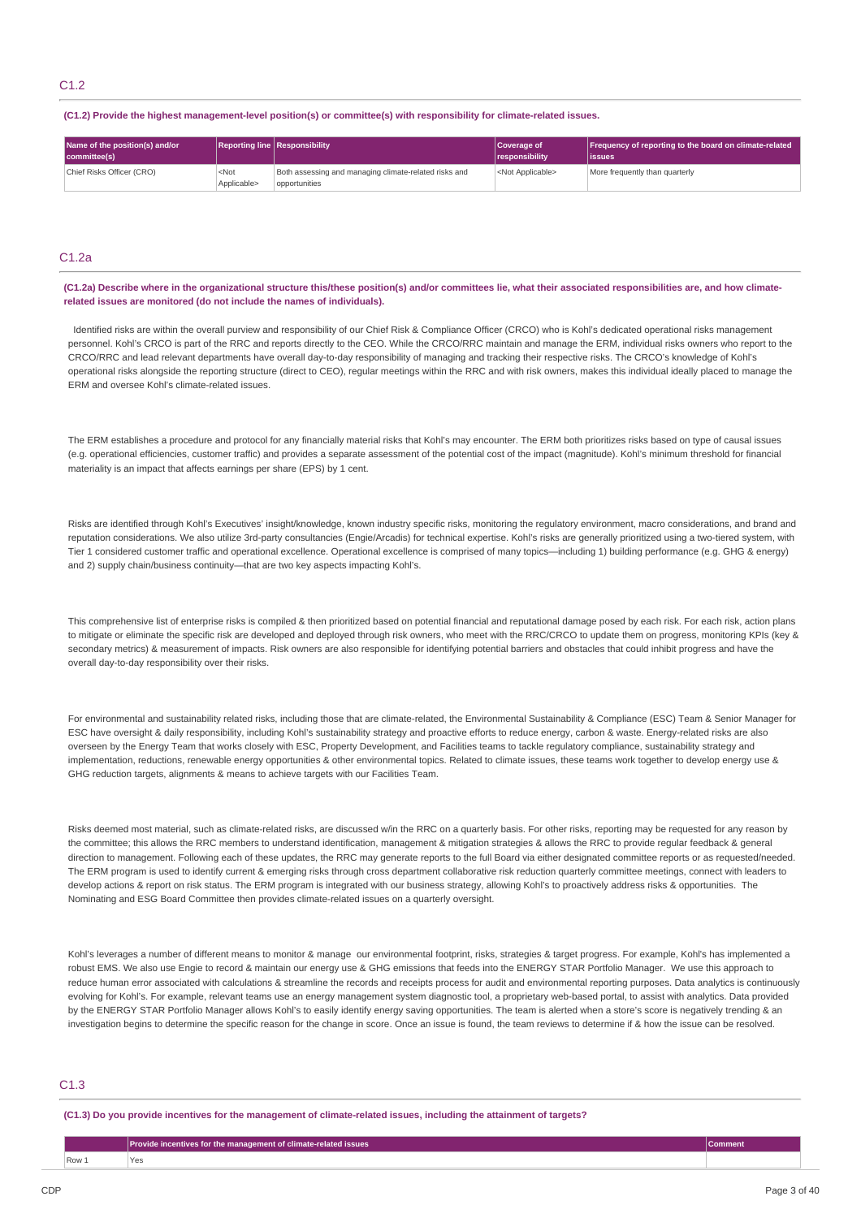#### **(C1.2) Provide the highest management-level position(s) or committee(s) with responsibility for climate-related issues.**

| Name of the position(s) and/or<br>committee(s) |                        | Reporting line Responsibility                                          | Coverage of<br>responsibility | Frequency of reporting to the board on climate-related<br>lissues |
|------------------------------------------------|------------------------|------------------------------------------------------------------------|-------------------------------|-------------------------------------------------------------------|
| Chief Risks Officer (CRO)                      | $<$ Not<br>Applicable> | Both assessing and managing climate-related risks and<br>opportunities | <not applicable=""></not>     | More frequently than quarterly                                    |

# C1.2a

#### (C1.2a) Describe where in the organizational structure this/these position(s) and/or committees lie, what their associated responsibilities are, and how climate**related issues are monitored (do not include the names of individuals).**

Identified risks are within the overall purview and responsibility of our Chief Risk & Compliance Officer (CRCO) who is Kohl's dedicated operational risks management personnel. Kohl's CRCO is part of the RRC and reports directly to the CEO. While the CRCO/RRC maintain and manage the ERM, individual risks owners who report to the CRCO/RRC and lead relevant departments have overall day-to-day responsibility of managing and tracking their respective risks. The CRCO's knowledge of Kohl's operational risks alongside the reporting structure (direct to CEO), regular meetings within the RRC and with risk owners, makes this individual ideally placed to manage the ERM and oversee Kohl's climate-related issues.

The ERM establishes a procedure and protocol for any financially material risks that Kohl's may encounter. The ERM both prioritizes risks based on type of causal issues (e.g. operational efficiencies, customer traffic) and provides a separate assessment of the potential cost of the impact (magnitude). Kohl's minimum threshold for financial materiality is an impact that affects earnings per share (EPS) by 1 cent.

Risks are identified through Kohl's Executives' insight/knowledge, known industry specific risks, monitoring the regulatory environment, macro considerations, and brand and reputation considerations. We also utilize 3rd-party consultancies (Engie/Arcadis) for technical expertise. Kohl's risks are generally prioritized using a two-tiered system, with Tier 1 considered customer traffic and operational excellence. Operational excellence is comprised of many topics—including 1) building performance (e.g. GHG & energy) and 2) supply chain/business continuity—that are two key aspects impacting Kohl's.

This comprehensive list of enterprise risks is compiled & then prioritized based on potential financial and reputational damage posed by each risk. For each risk, action plans to mitigate or eliminate the specific risk are developed and deployed through risk owners, who meet with the RRC/CRCO to update them on progress, monitoring KPIs (key & secondary metrics) & measurement of impacts. Risk owners are also responsible for identifying potential barriers and obstacles that could inhibit progress and have the overall day-to-day responsibility over their risks.

For environmental and sustainability related risks, including those that are climate-related, the Environmental Sustainability & Compliance (ESC) Team & Senior Manager for ESC have oversight & daily responsibility, including Kohl's sustainability strategy and proactive efforts to reduce energy, carbon & waste. Energy-related risks are also overseen by the Energy Team that works closely with ESC, Property Development, and Facilities teams to tackle regulatory compliance, sustainability strategy and implementation, reductions, renewable energy opportunities & other environmental topics. Related to climate issues, these teams work together to develop energy use & GHG reduction targets, alignments & means to achieve targets with our Facilities Team.

Risks deemed most material, such as climate-related risks, are discussed w/in the RRC on a quarterly basis. For other risks, reporting may be requested for any reason by the committee; this allows the RRC members to understand identification, management & mitigation strategies & allows the RRC to provide regular feedback & general direction to management. Following each of these updates, the RRC may generate reports to the full Board via either designated committee reports or as requested/needed. The ERM program is used to identify current & emerging risks through cross department collaborative risk reduction quarterly committee meetings, connect with leaders to develop actions & report on risk status. The ERM program is integrated with our business strategy, allowing Kohl's to proactively address risks & opportunities. The Nominating and ESG Board Committee then provides climate-related issues on a quarterly oversight.

Kohl's leverages a number of different means to monitor & manage our environmental footprint, risks, strategies & target progress. For example, Kohl's has implemented a robust EMS. We also use Engie to record & maintain our energy use & GHG emissions that feeds into the ENERGY STAR Portfolio Manager. We use this approach to reduce human error associated with calculations & streamline the records and receipts process for audit and environmental reporting purposes. Data analytics is continuously evolving for Kohl's. For example, relevant teams use an energy management system diagnostic tool, a proprietary web-based portal, to assist with analytics. Data provided by the ENERGY STAR Portfolio Manager allows Kohl's to easily identify energy saving opportunities. The team is alerted when a store's score is negatively trending & an investigation begins to determine the specific reason for the change in score. Once an issue is found, the team reviews to determine if & how the issue can be resolved.

# C1.3

(C1.3) Do you provide incentives for the management of climate-related issues, including the attainment of targets?

|       | $\mid$ Provide incentives for the management of climate-related issues $\mid$ | <b>Comment</b> |
|-------|-------------------------------------------------------------------------------|----------------|
| Row 1 | Yes                                                                           |                |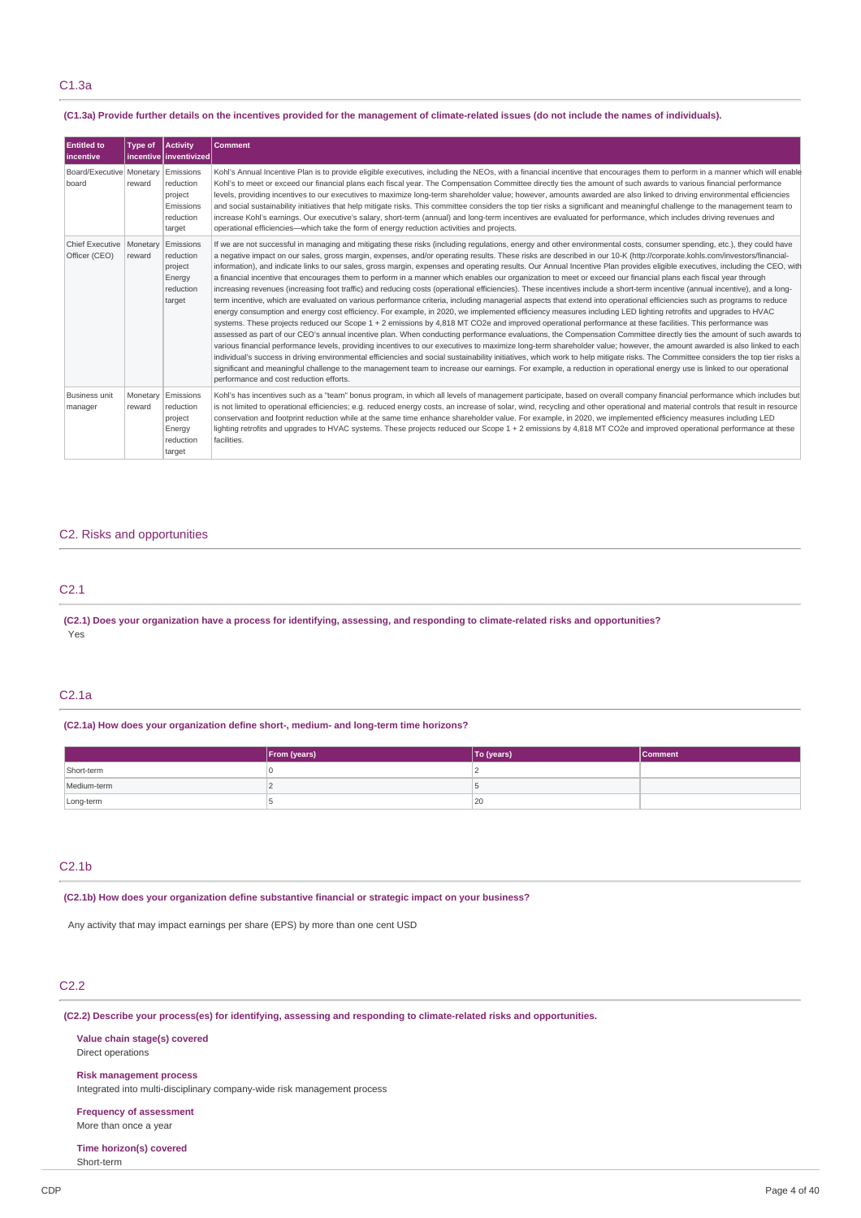# (C1.3a) Provide further details on the incentives provided for the management of climate-related issues (do not include the names of individuals).

| <b>Entitled to</b><br><b>Incentive</b>  | Type of            | Activity<br>incentive inventivized                                    | <b>Comment</b>                                                                                                                                                                                                                                                                                                                                                                                                                                                                                                                                                                                                                                                                                                                                                                                                                                                                                                                                                                                                                                                                                                                                                                                                                                                                                                                                                                                                                                                                                                                                                                                                                                                                                                                                                                                                                                                                                                                                                                                                                                                                                                                                             |
|-----------------------------------------|--------------------|-----------------------------------------------------------------------|------------------------------------------------------------------------------------------------------------------------------------------------------------------------------------------------------------------------------------------------------------------------------------------------------------------------------------------------------------------------------------------------------------------------------------------------------------------------------------------------------------------------------------------------------------------------------------------------------------------------------------------------------------------------------------------------------------------------------------------------------------------------------------------------------------------------------------------------------------------------------------------------------------------------------------------------------------------------------------------------------------------------------------------------------------------------------------------------------------------------------------------------------------------------------------------------------------------------------------------------------------------------------------------------------------------------------------------------------------------------------------------------------------------------------------------------------------------------------------------------------------------------------------------------------------------------------------------------------------------------------------------------------------------------------------------------------------------------------------------------------------------------------------------------------------------------------------------------------------------------------------------------------------------------------------------------------------------------------------------------------------------------------------------------------------------------------------------------------------------------------------------------------------|
| Board/Executive   Monetary<br>board     | reward             | Emissions<br>reduction<br>project<br>Emissions<br>reduction<br>target | Kohl's Annual Incentive Plan is to provide eligible executives, including the NEOs, with a financial incentive that encourages them to perform in a manner which will enable<br>Kohl's to meet or exceed our financial plans each fiscal year. The Compensation Committee directly ties the amount of such awards to various financial performance<br>levels, providing incentives to our executives to maximize long-term shareholder value; however, amounts awarded are also linked to driving environmental efficiencies<br>and social sustainability initiatives that help mitigate risks. This committee considers the top tier risks a significant and meaningful challenge to the management team to<br>increase Kohl's earnings. Our executive's salary, short-term (annual) and long-term incentives are evaluated for performance, which includes driving revenues and<br>operational efficiencies—which take the form of energy reduction activities and projects.                                                                                                                                                                                                                                                                                                                                                                                                                                                                                                                                                                                                                                                                                                                                                                                                                                                                                                                                                                                                                                                                                                                                                                             |
| <b>Chief Executive</b><br>Officer (CEO) | Monetary<br>reward | Emissions<br>reduction<br>project<br>Energy<br>reduction<br>target    | If we are not successful in managing and mitigating these risks (including regulations, energy and other environmental costs, consumer spending, etc.), they could have<br>a negative impact on our sales, gross margin, expenses, and/or operating results. These risks are described in our 10-K (http://corporate.kohls.com/investors/financial-<br>information), and indicate links to our sales, gross margin, expenses and operating results. Our Annual Incentive Plan provides eligible executives, including the CEO, with<br>a financial incentive that encourages them to perform in a manner which enables our organization to meet or exceed our financial plans each fiscal year through<br>increasing revenues (increasing foot traffic) and reducing costs (operational efficiencies). These incentives include a short-term incentive (annual incentive), and a long-<br>term incentive, which are evaluated on various performance criteria, including managerial aspects that extend into operational efficiencies such as programs to reduce<br>energy consumption and energy cost efficiency. For example, in 2020, we implemented efficiency measures including LED lighting retrofits and upgrades to HVAC<br>systems. These projects reduced our Scope 1 + 2 emissions by 4,818 MT CO2e and improved operational performance at these facilities. This performance was<br>assessed as part of our CEO's annual incentive plan. When conducting performance evaluations, the Compensation Committee directly ties the amount of such awards to<br>various financial performance levels, providing incentives to our executives to maximize long-term shareholder value; however, the amount awarded is also linked to each<br>individual's success in driving environmental efficiencies and social sustainability initiatives, which work to help mitigate risks. The Committee considers the top tier risks a<br>significant and meaningful challenge to the management team to increase our earnings. For example, a reduction in operational energy use is linked to our operational<br>performance and cost reduction efforts. |
| <b>Business unit</b><br>manager         | Monetary<br>reward | Emissions<br>reduction<br>project<br>Energy<br>reduction<br>target    | Kohl's has incentives such as a "team" bonus program, in which all levels of management participate, based on overall company financial performance which includes but<br>is not limited to operational efficiencies; e.g. reduced energy costs, an increase of solar, wind, recycling and other operational and material controls that result in resource<br>conservation and footprint reduction while at the same time enhance shareholder value. For example, in 2020, we implemented efficiency measures including LED<br>lighting retrofits and upgrades to HVAC systems. These projects reduced our Scope 1 + 2 emissions by 4,818 MT CO2e and improved operational performance at these<br>facilities.                                                                                                                                                                                                                                                                                                                                                                                                                                                                                                                                                                                                                                                                                                                                                                                                                                                                                                                                                                                                                                                                                                                                                                                                                                                                                                                                                                                                                                             |

# C2. Risks and opportunities

# C2.1

(C2.1) Does your organization have a process for identifying, assessing, and responding to climate-related risks and opportunities? Yes

# C2.1a

# **(C2.1a) How does your organization define short-, medium- and long-term time horizons?**

|             | From (years) | To (years) | <b>Comment</b> |
|-------------|--------------|------------|----------------|
| Short-term  |              |            |                |
| Medium-term |              |            |                |
| Long-term   |              | 20         |                |

# C2.1b

**(C2.1b) How does your organization define substantive financial or strategic impact on your business?**

Any activity that may impact earnings per share (EPS) by more than one cent USD

# C2.2

**(C2.2) Describe your process(es) for identifying, assessing and responding to climate-related risks and opportunities.**

**Value chain stage(s) covered** Direct operations

**Risk management process**

Integrated into multi-disciplinary company-wide risk management process

**Frequency of assessment**

More than once a year

**Time horizon(s) covered** Short-term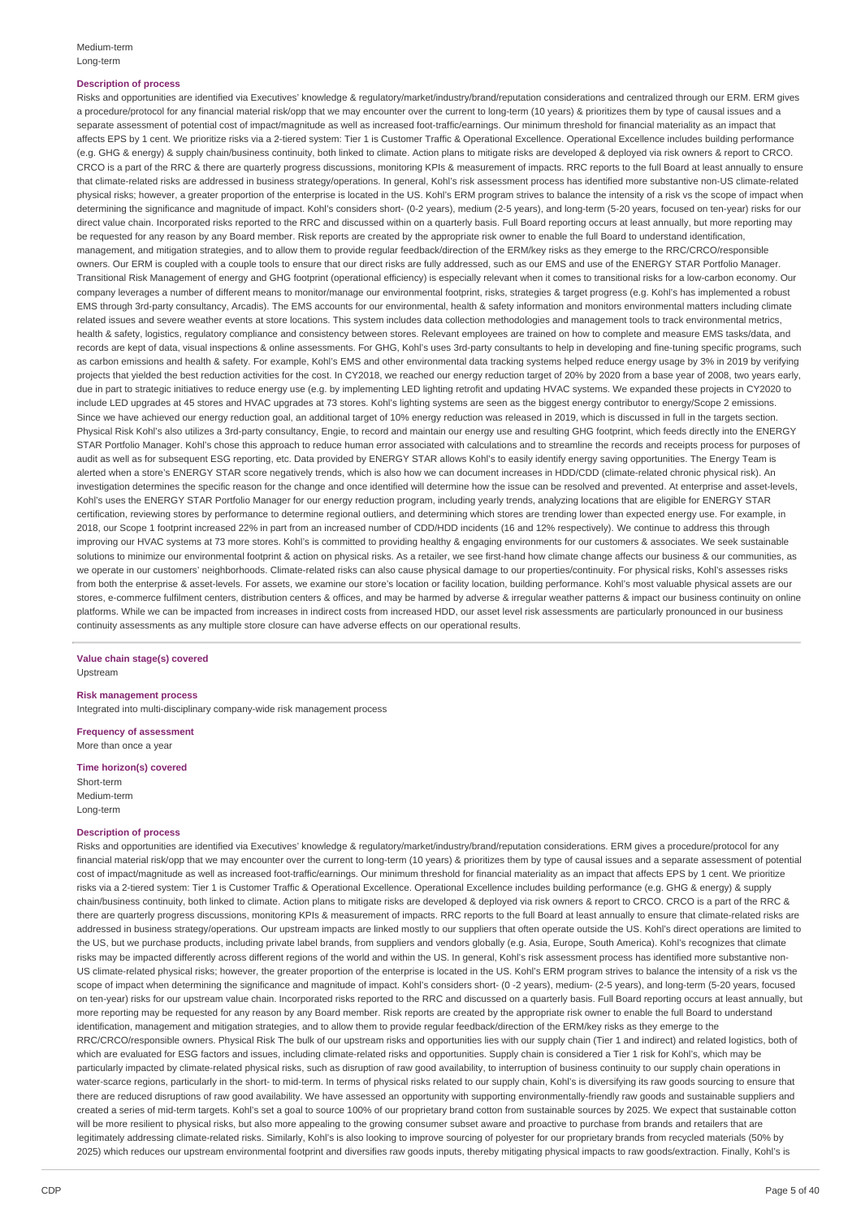## **Description of process**

Risks and opportunities are identified via Executives' knowledge & regulatory/market/industry/brand/reputation considerations and centralized through our ERM. ERM gives a procedure/protocol for any financial material risk/opp that we may encounter over the current to long-term (10 years) & prioritizes them by type of causal issues and a separate assessment of potential cost of impact/magnitude as well as increased foot-traffic/earnings. Our minimum threshold for financial materiality as an impact that affects EPS by 1 cent. We prioritize risks via a 2-tiered system: Tier 1 is Customer Traffic & Operational Excellence. Operational Excellence includes building performance (e.g. GHG & energy) & supply chain/business continuity, both linked to climate. Action plans to mitigate risks are developed & deployed via risk owners & report to CRCO. CRCO is a part of the RRC & there are quarterly progress discussions, monitoring KPIs & measurement of impacts. RRC reports to the full Board at least annually to ensure that climate-related risks are addressed in business strategy/operations. In general, Kohl's risk assessment process has identified more substantive non-US climate-related physical risks; however, a greater proportion of the enterprise is located in the US. Kohl's ERM program strives to balance the intensity of a risk vs the scope of impact when determining the significance and magnitude of impact. Kohl's considers short- (0-2 years), medium (2-5 years), and long-term (5-20 years, focused on ten-year) risks for our direct value chain. Incorporated risks reported to the RRC and discussed within on a quarterly basis. Full Board reporting occurs at least annually, but more reporting may be requested for any reason by any Board member. Risk reports are created by the appropriate risk owner to enable the full Board to understand identification. management, and mitigation strategies, and to allow them to provide regular feedback/direction of the ERM/key risks as they emerge to the RRC/CRCO/responsible owners. Our ERM is coupled with a couple tools to ensure that our direct risks are fully addressed, such as our EMS and use of the ENERGY STAR Portfolio Manager. Transitional Risk Management of energy and GHG footprint (operational efficiency) is especially relevant when it comes to transitional risks for a low-carbon economy. Our company leverages a number of different means to monitor/manage our environmental footprint, risks, strategies & target progress (e.g. Kohl's has implemented a robust EMS through 3rd-party consultancy, Arcadis). The EMS accounts for our environmental, health & safety information and monitors environmental matters including climate related issues and severe weather events at store locations. This system includes data collection methodologies and management tools to track environmental metrics, health & safety, logistics, regulatory compliance and consistency between stores. Relevant employees are trained on how to complete and measure EMS tasks/data, and records are kept of data, visual inspections & online assessments. For GHG, Kohl's uses 3rd-party consultants to help in developing and fine-tuning specific programs, such as carbon emissions and health & safety. For example, Kohl's EMS and other environmental data tracking systems helped reduce energy usage by 3% in 2019 by verifying projects that yielded the best reduction activities for the cost. In CY2018, we reached our energy reduction target of 20% by 2020 from a base year of 2008, two years early, due in part to strategic initiatives to reduce energy use (e.g. by implementing LED lighting retrofit and updating HVAC systems. We expanded these projects in CY2020 to include LED upgrades at 45 stores and HVAC upgrades at 73 stores. Kohl's lighting systems are seen as the biggest energy contributor to energy/Scope 2 emissions. Since we have achieved our energy reduction goal, an additional target of 10% energy reduction was released in 2019, which is discussed in full in the targets section. Physical Risk Kohl's also utilizes a 3rd-party consultancy, Engie, to record and maintain our energy use and resulting GHG footprint, which feeds directly into the ENERGY STAR Portfolio Manager. Kohl's chose this approach to reduce human error associated with calculations and to streamline the records and receipts process for purposes of audit as well as for subsequent ESG reporting, etc. Data provided by ENERGY STAR allows Kohl's to easily identify energy saving opportunities. The Energy Team is alerted when a store's ENERGY STAR score negatively trends, which is also how we can document increases in HDD/CDD (climate-related chronic physical risk). An investigation determines the specific reason for the change and once identified will determine how the issue can be resolved and prevented. At enterprise and asset-levels, Kohl's uses the ENERGY STAR Portfolio Manager for our energy reduction program, including yearly trends, analyzing locations that are eligible for ENERGY STAR certification, reviewing stores by performance to determine regional outliers, and determining which stores are trending lower than expected energy use. For example, in 2018, our Scope 1 footprint increased 22% in part from an increased number of CDD/HDD incidents (16 and 12% respectively). We continue to address this through improving our HVAC systems at 73 more stores. Kohl's is committed to providing healthy & engaging environments for our customers & associates. We seek sustainable solutions to minimize our environmental footprint & action on physical risks. As a retailer, we see first-hand how climate change affects our business & our communities, as we operate in our customers' neighborhoods. Climate-related risks can also cause physical damage to our properties/continuity. For physical risks, Kohl's assesses risks from both the enterprise & asset-levels. For assets, we examine our store's location or facility location, building performance. Kohl's most valuable physical assets are our stores, e-commerce fulfilment centers, distribution centers & offices, and may be harmed by adverse & irregular weather patterns & impact our business continuity on online platforms. While we can be impacted from increases in indirect costs from increased HDD, our asset level risk assessments are particularly pronounced in our business continuity assessments as any multiple store closure can have adverse effects on our operational results.

#### **Value chain stage(s) covered** Upstream

**Risk management process**

Integrated into multi-disciplinary company-wide risk management process

**Frequency of assessment** More than once a year

# **Time horizon(s) covered**

Short-term Medium-term Long-term

#### **Description of process**

Risks and opportunities are identified via Executives' knowledge & regulatory/market/industry/brand/reputation considerations. ERM gives a procedure/protocol for any financial material risk/opp that we may encounter over the current to long-term (10 years) & prioritizes them by type of causal issues and a separate assessment of potential cost of impact/magnitude as well as increased foot-traffic/earnings. Our minimum threshold for financial materiality as an impact that affects EPS by 1 cent. We prioritize risks via a 2-tiered system: Tier 1 is Customer Traffic & Operational Excellence. Operational Excellence includes building performance (e.g. GHG & energy) & supply chain/business continuity, both linked to climate. Action plans to mitigate risks are developed & deployed via risk owners & report to CRCO. CRCO is a part of the RRC & there are quarterly progress discussions, monitoring KPIs & measurement of impacts. RRC reports to the full Board at least annually to ensure that climate-related risks are addressed in business strategy/operations. Our upstream impacts are linked mostly to our suppliers that often operate outside the US. Kohl's direct operations are limited to the US, but we purchase products, including private label brands, from suppliers and vendors globally (e.g. Asia, Europe, South America). Kohl's recognizes that climate risks may be impacted differently across different regions of the world and within the US. In general, Kohl's risk assessment process has identified more substantive non-US climate-related physical risks; however, the greater proportion of the enterprise is located in the US. Kohl's ERM program strives to balance the intensity of a risk vs the scope of impact when determining the significance and magnitude of impact. Kohl's considers short- (0 -2 years), medium- (2-5 years), and long-term (5-20 years, focused on ten-year) risks for our upstream value chain. Incorporated risks reported to the RRC and discussed on a quarterly basis. Full Board reporting occurs at least annually, but more reporting may be requested for any reason by any Board member. Risk reports are created by the appropriate risk owner to enable the full Board to understand identification, management and mitigation strategies, and to allow them to provide regular feedback/direction of the ERM/key risks as they emerge to the RRC/CRCO/responsible owners. Physical Risk The bulk of our upstream risks and opportunities lies with our supply chain (Tier 1 and indirect) and related logistics, both of which are evaluated for ESG factors and issues, including climate-related risks and opportunities. Supply chain is considered a Tier 1 risk for Kohl's, which may be particularly impacted by climate-related physical risks, such as disruption of raw good availability, to interruption of business continuity to our supply chain operations in water-scarce regions, particularly in the short- to mid-term. In terms of physical risks related to our supply chain, Kohl's is diversifying its raw goods sourcing to ensure that there are reduced disruptions of raw good availability. We have assessed an opportunity with supporting environmentally-friendly raw goods and sustainable suppliers and created a series of mid-term targets. Kohl's set a goal to source 100% of our proprietary brand cotton from sustainable sources by 2025. We expect that sustainable cotton will be more resilient to physical risks, but also more appealing to the growing consumer subset aware and proactive to purchase from brands and retailers that are legitimately addressing climate-related risks. Similarly, Kohl's is also looking to improve sourcing of polyester for our proprietary brands from recycled materials (50% by 2025) which reduces our upstream environmental footprint and diversifies raw goods inputs, thereby mitigating physical impacts to raw goods/extraction. Finally, Kohl's is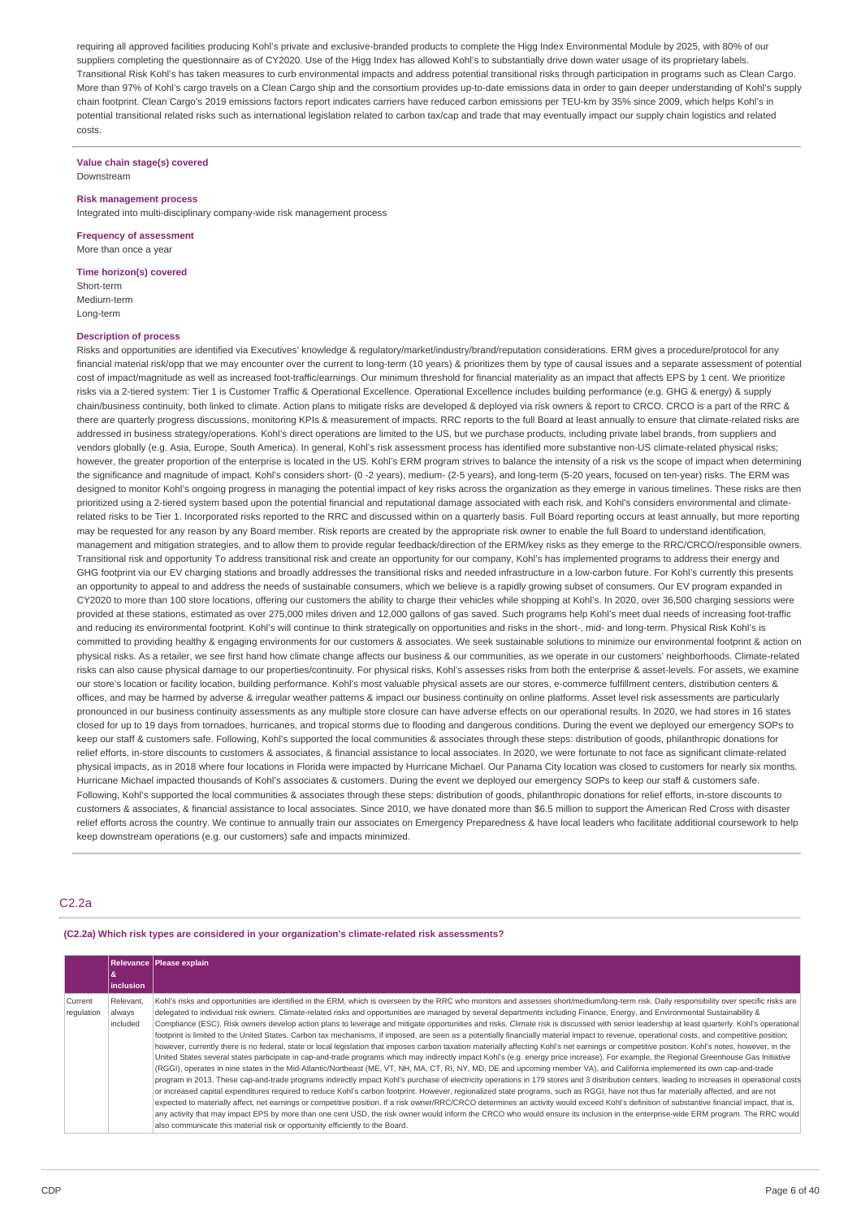requiring all approved facilities producing Kohl's private and exclusive-branded products to complete the Higg Index Environmental Module by 2025, with 80% of our suppliers completing the questionnaire as of CY2020. Use of the Higg Index has allowed Kohl's to substantially drive down water usage of its proprietary labels. Transitional Risk Kohl's has taken measures to curb environmental impacts and address potential transitional risks through participation in programs such as Clean Cargo. More than 97% of Kohl's cargo travels on a Clean Cargo ship and the consortium provides up-to-date emissions data in order to gain deeper understanding of Kohl's supply chain footprint. Clean Cargo's 2019 emissions factors report indicates carriers have reduced carbon emissions per TEU-km by 35% since 2009, which helps Kohl's in potential transitional related risks such as international legislation related to carbon tax/cap and trade that may eventually impact our supply chain logistics and related costs.

#### **Value chain stage(s) covered** Downstream

**Risk management process** Integrated into multi-disciplinary company-wide risk management process

**Frequency of assessment** More than once a year

#### **Time horizon(s) covered**

Short-term Medium-term Long-term

## **Description of process**

Risks and opportunities are identified via Executives' knowledge & regulatory/market/industry/brand/reputation considerations. ERM gives a procedure/protocol for any financial material risk/opp that we may encounter over the current to long-term (10 years) & prioritizes them by type of causal issues and a separate assessment of potential cost of impact/magnitude as well as increased foot-traffic/earnings. Our minimum threshold for financial materiality as an impact that affects EPS by 1 cent. We prioritize risks via a 2-tiered system: Tier 1 is Customer Traffic & Operational Excellence. Operational Excellence includes building performance (e.g. GHG & energy) & supply chain/business continuity, both linked to climate. Action plans to mitigate risks are developed & deployed via risk owners & report to CRCO. CRCO is a part of the RRC & there are quarterly progress discussions, monitoring KPIs & measurement of impacts. RRC reports to the full Board at least annually to ensure that climate-related risks are addressed in business strategy/operations. Kohl's direct operations are limited to the US, but we purchase products, including private label brands, from suppliers and vendors globally (e.g. Asia, Europe, South America). In general, Kohl's risk assessment process has identified more substantive non-US climate-related physical risks; however, the greater proportion of the enterprise is located in the US. Kohl's ERM program strives to balance the intensity of a risk vs the scope of impact when determining the significance and magnitude of impact. Kohl's considers short- (0 -2 years), medium- (2-5 years), and long-term (5-20 years, focused on ten-year) risks. The ERM was designed to monitor Kohl's ongoing progress in managing the potential impact of key risks across the organization as they emerge in various timelines. These risks are then prioritized using a 2-tiered system based upon the potential financial and reputational damage associated with each risk, and Kohl's considers environmental and climate related risks to be Tier 1. Incorporated risks reported to the RRC and discussed within on a quarterly basis. Full Board reporting occurs at least annually, but more reporting may be requested for any reason by any Board member. Risk reports are created by the appropriate risk owner to enable the full Board to understand identification, management and mitigation strategies, and to allow them to provide regular feedback/direction of the ERM/key risks as they emerge to the RRC/CRCO/responsible owners. Transitional risk and opportunity To address transitional risk and create an opportunity for our company, Kohl's has implemented programs to address their energy and GHG footprint via our EV charging stations and broadly addresses the transitional risks and needed infrastructure in a low-carbon future. For Kohl's currently this presents an opportunity to appeal to and address the needs of sustainable consumers, which we believe is a rapidly growing subset of consumers. Our EV program expanded in CY2020 to more than 100 store locations, offering our customers the ability to charge their vehicles while shopping at Kohl's. In 2020, over 36,500 charging sessions were provided at these stations, estimated as over 275,000 miles driven and 12,000 gallons of gas saved. Such programs help Kohl's meet dual needs of increasing foot-traffic and reducing its environmental footprint. Kohl's will continue to think strategically on opportunities and risks in the short-, mid- and long-term. Physical Risk Kohl's is committed to providing healthy & engaging environments for our customers & associates. We seek sustainable solutions to minimize our environmental footprint & action on physical risks. As a retailer, we see first hand how climate change affects our business & our communities, as we operate in our customers' neighborhoods. Climate-related risks can also cause physical damage to our properties/continuity. For physical risks, Kohl's assesses risks from both the enterprise & asset-levels. For assets, we examine our store's location or facility location, building performance. Kohl's most valuable physical assets are our stores, e-commerce fulfillment centers, distribution centers & offices, and may be harmed by adverse & irregular weather patterns & impact our business continuity on online platforms. Asset level risk assessments are particularly pronounced in our business continuity assessments as any multiple store closure can have adverse effects on our operational results. In 2020, we had stores in 16 states closed for up to 19 days from tornadoes, hurricanes, and tropical storms due to flooding and dangerous conditions. During the event we deployed our emergency SOPs to keep our staff & customers safe. Following, Kohl's supported the local communities & associates through these steps: distribution of goods, philanthropic donations for relief efforts, in-store discounts to customers & associates, & financial assistance to local associates. In 2020, we were fortunate to not face as significant climate-related physical impacts, as in 2018 where four locations in Florida were impacted by Hurricane Michael. Our Panama City location was closed to customers for nearly six months. Hurricane Michael impacted thousands of Kohl's associates & customers. During the event we deployed our emergency SOPs to keep our staff & customers safe. Following, Kohl's supported the local communities & associates through these steps: distribution of goods, philanthropic donations for relief efforts, in-store discounts to customers & associates, & financial assistance to local associates. Since 2010, we have donated more than \$6.5 million to support the American Red Cross with disaster relief efforts across the country. We continue to annually train our associates on Emergency Preparedness & have local leaders who facilitate additional coursework to help keep downstream operations (e.g. our customers) safe and impacts minimized.

# C2.2a

#### **(C2.2a) Which risk types are considered in your organization's climate-related risk assessments?**

|                       | 8<br><b>inclusion</b>           | <b>Relevance Please explain</b>                                                                                                                                                                                                                                                                                                                                                                                                                                                                                                                                                                                                                                                                                                                                                                                                                                                                                                                                                                                                                                                                                                                                                                                                                                                                                                                                                                                                                                                                                                                                                                                                                                                                                                                                                                                                                                                                                                                                                                                                                                                                                                                                                                                         |
|-----------------------|---------------------------------|-------------------------------------------------------------------------------------------------------------------------------------------------------------------------------------------------------------------------------------------------------------------------------------------------------------------------------------------------------------------------------------------------------------------------------------------------------------------------------------------------------------------------------------------------------------------------------------------------------------------------------------------------------------------------------------------------------------------------------------------------------------------------------------------------------------------------------------------------------------------------------------------------------------------------------------------------------------------------------------------------------------------------------------------------------------------------------------------------------------------------------------------------------------------------------------------------------------------------------------------------------------------------------------------------------------------------------------------------------------------------------------------------------------------------------------------------------------------------------------------------------------------------------------------------------------------------------------------------------------------------------------------------------------------------------------------------------------------------------------------------------------------------------------------------------------------------------------------------------------------------------------------------------------------------------------------------------------------------------------------------------------------------------------------------------------------------------------------------------------------------------------------------------------------------------------------------------------------------|
| Current<br>regulation | Relevant.<br>always<br>included | Kohl's risks and opportunities are identified in the ERM, which is overseen by the RRC who monitors and assesses short/medium/long-term risk. Daily responsibility over specific risks are<br>delegated to individual risk owners. Climate-related risks and opportunities are managed by several departments including Finance, Energy, and Environmental Sustainability &<br>Compliance (ESC). Risk owners develop action plans to leverage and mitigate opportunities and risks. Climate risk is discussed with senior leadership at least quarterly. Kohl's operational<br>footprint is limited to the United States. Carbon tax mechanisms, if imposed, are seen as a potentially financially material impact to revenue, operational costs, and competitive position;<br>however, currently there is no federal, state or local legislation that imposes carbon taxation materially affecting Kohl's net earnings or competitive position. Kohl's notes, however, in the<br>United States several states participate in cap-and-trade programs which may indirectly impact Kohl's (e.g. energy price increase). For example, the Regional Greenhouse Gas Initiative<br>(RGGI), operates in nine states in the Mid-Atlantic/Northeast (ME, VT, NH, MA, CT, RI, NY, MD, DE and upcoming member VA), and California implemented its own cap-and-trade<br>program in 2013. These cap-and-trade programs indirectly impact Kohl's purchase of electricity operations in 179 stores and 3 distribution centers, leading to increases in operational costs<br>or increased capital expenditures required to reduce Kohl's carbon footprint. However, regionalized state programs, such as RGGI, have not thus far materially affected, and are not<br>expected to materially affect, net earnings or competitive position. If a risk owner/RRC/CRCO determines an activity would exceed Kohl's definition of substantive financial impact, that is,<br>any activity that may impact EPS by more than one cent USD, the risk owner would inform the CRCO who would ensure its inclusion in the enterprise-wide ERM program. The RRC would<br>also communicate this material risk or opportunity efficiently to the Board. |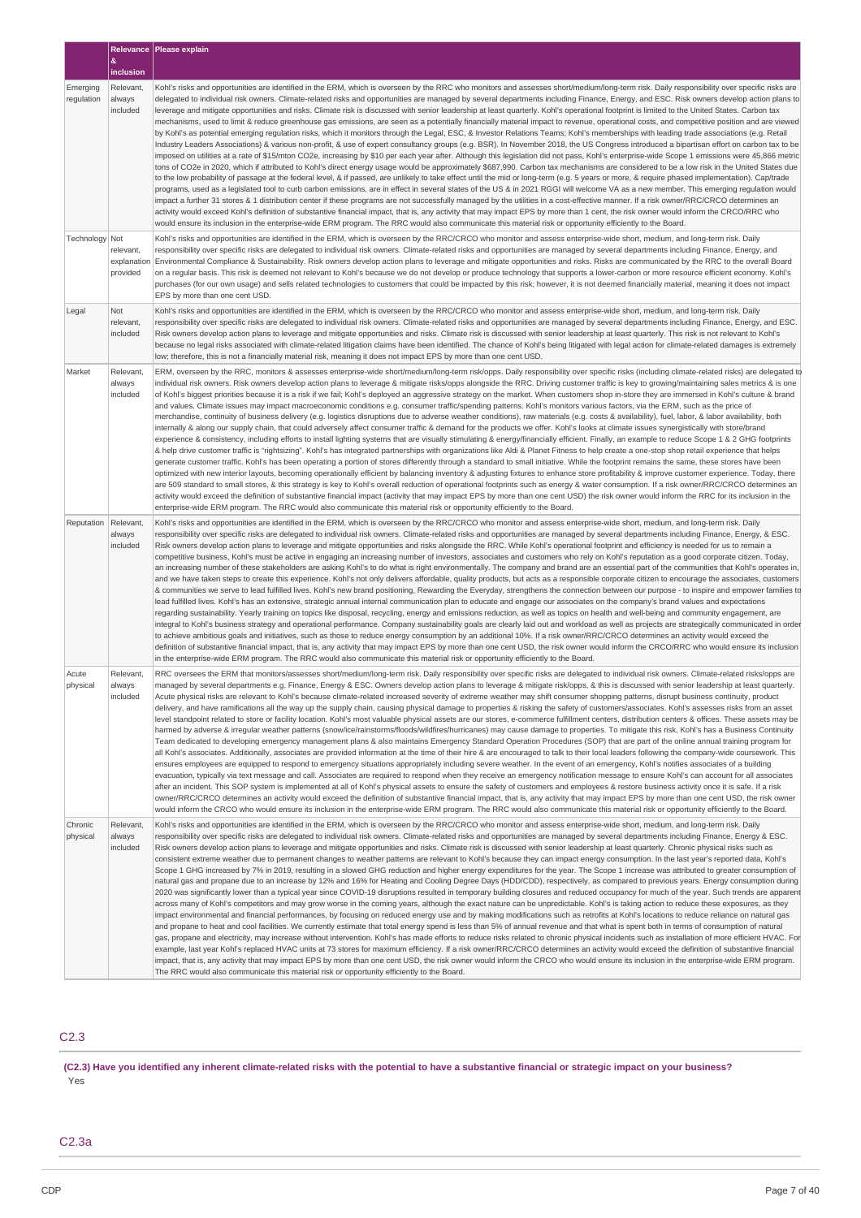|                        |                                             | Relevance   Please explain                                                                                                                                                                                                                                                                                                                                                                                                                                                                                                                                                                                                                                                                                                                                                                                                                                                                                                                                                                                                                                                                                                                                                                                                                                                                                                                                                                                                                                                                                                                                                                                                                                                                                                                                                                                                                                                                                                                                                                                                                                                                                                                                                                                                                                                                                                                                                                                                                                                                                                                                                                     |
|------------------------|---------------------------------------------|------------------------------------------------------------------------------------------------------------------------------------------------------------------------------------------------------------------------------------------------------------------------------------------------------------------------------------------------------------------------------------------------------------------------------------------------------------------------------------------------------------------------------------------------------------------------------------------------------------------------------------------------------------------------------------------------------------------------------------------------------------------------------------------------------------------------------------------------------------------------------------------------------------------------------------------------------------------------------------------------------------------------------------------------------------------------------------------------------------------------------------------------------------------------------------------------------------------------------------------------------------------------------------------------------------------------------------------------------------------------------------------------------------------------------------------------------------------------------------------------------------------------------------------------------------------------------------------------------------------------------------------------------------------------------------------------------------------------------------------------------------------------------------------------------------------------------------------------------------------------------------------------------------------------------------------------------------------------------------------------------------------------------------------------------------------------------------------------------------------------------------------------------------------------------------------------------------------------------------------------------------------------------------------------------------------------------------------------------------------------------------------------------------------------------------------------------------------------------------------------------------------------------------------------------------------------------------------------|
|                        | &<br>inclusion                              |                                                                                                                                                                                                                                                                                                                                                                                                                                                                                                                                                                                                                                                                                                                                                                                                                                                                                                                                                                                                                                                                                                                                                                                                                                                                                                                                                                                                                                                                                                                                                                                                                                                                                                                                                                                                                                                                                                                                                                                                                                                                                                                                                                                                                                                                                                                                                                                                                                                                                                                                                                                                |
| Emerging<br>regulation | Relevant,<br>always<br>included             | Kohl's risks and opportunities are identified in the ERM, which is overseen by the RRC who monitors and assesses short/medium/long-term risk. Daily responsibility over specific risks are<br>delegated to individual risk owners. Climate-related risks and opportunities are managed by several departments including Finance, Energy, and ESC. Risk owners develop action plans to<br>leverage and mitigate opportunities and risks. Climate risk is discussed with senior leadership at least quarterly. Kohl's operational footprint is limited to the United States. Carbon tax<br>mechanisms, used to limit & reduce greenhouse gas emissions, are seen as a potentially financially material impact to revenue, operational costs, and competitive position and are viewed<br>by Kohl's as potential emerging regulation risks, which it monitors through the Legal, ESC, & Investor Relations Teams; Kohl's memberships with leading trade associations (e.g. Retail<br>Industry Leaders Associations) & various non-profit, & use of expert consultancy groups (e.g. BSR). In November 2018, the US Congress introduced a bipartisan effort on carbon tax to be<br>imposed on utilities at a rate of \$15/mton CO2e, increasing by \$10 per each year after. Although this legislation did not pass, Kohl's enterprise-wide Scope 1 emissions were 45,866 metric<br>tons of CO2e in 2020, which if attributed to Kohl's direct energy usage would be approximately \$687,990. Carbon tax mechanisms are considered to be a low risk in the United States due<br>to the low probability of passage at the federal level, & if passed, are unlikely to take effect until the mid or long-term (e.g. 5 years or more, & require phased implementation). Cap/trade<br>programs, used as a legislated tool to curb carbon emissions, are in effect in several states of the US & in 2021 RGGI will welcome VA as a new member. This emerging regulation would<br>impact a further 31 stores & 1 distribution center if these programs are not successfully managed by the utilities in a cost-effective manner. If a risk owner/RRC/CRCO determines an<br>activity would exceed Kohl's definition of substantive financial impact, that is, any activity that may impact EPS by more than 1 cent, the risk owner would inform the CRCO/RRC who<br>would ensure its inclusion in the enterprise-wide ERM program. The RRC would also communicate this material risk or opportunity efficiently to the Board.                                                                               |
| Technology             | Not<br>relevant,<br>explanation<br>provided | Kohl's risks and opportunities are identified in the ERM, which is overseen by the RRC/CRCO who monitor and assess enterprise-wide short, medium, and long-term risk. Daily<br>responsibility over specific risks are delegated to individual risk owners. Climate-related risks and opportunities are managed by several departments including Finance, Energy, and<br>Environmental Compliance & Sustainability. Risk owners develop action plans to leverage and mitigate opportunities and risks. Risks are communicated by the RRC to the overall Board<br>on a regular basis. This risk is deemed not relevant to Kohl's because we do not develop or produce technology that supports a lower-carbon or more resource efficient economy. Kohl's<br>purchases (for our own usage) and sells related technologies to customers that could be impacted by this risk; however, it is not deemed financially material, meaning it does not impact<br>EPS by more than one cent USD.                                                                                                                                                                                                                                                                                                                                                                                                                                                                                                                                                                                                                                                                                                                                                                                                                                                                                                                                                                                                                                                                                                                                                                                                                                                                                                                                                                                                                                                                                                                                                                                                          |
| Legal                  | Not<br>relevant,<br>included                | Kohl's risks and opportunities are identified in the ERM, which is overseen by the RRC/CRCO who monitor and assess enterprise-wide short, medium, and long-term risk. Daily<br>responsibility over specific risks are delegated to individual risk owners. Climate-related risks and opportunities are managed by several departments including Finance, Energy, and ESC.<br>Risk owners develop action plans to leverage and mitigate opportunities and risks. Climate risk is discussed with senior leadership at least quarterly. This risk is not relevant to Kohl's<br>because no legal risks associated with climate-related litigation claims have been identified. The chance of Kohl's being litigated with legal action for climate-related damages is extremely<br>low; therefore, this is not a financially material risk, meaning it does not impact EPS by more than one cent USD.                                                                                                                                                                                                                                                                                                                                                                                                                                                                                                                                                                                                                                                                                                                                                                                                                                                                                                                                                                                                                                                                                                                                                                                                                                                                                                                                                                                                                                                                                                                                                                                                                                                                                               |
| Market                 | Relevant,<br>always<br>included             | ERM, overseen by the RRC, monitors & assesses enterprise-wide short/medium/long-term risk/opps. Daily responsibility over specific risks (including climate-related risks) are delegated to<br>individual risk owners. Risk owners develop action plans to leverage & mitigate risks/opps alongside the RRC. Driving customer traffic is key to growing/maintaining sales metrics & is one<br>of Kohl's biggest priorities because it is a risk if we fail; Kohl's deployed an aggressive strategy on the market. When customers shop in-store they are immersed in Kohl's culture & brand<br>and values. Climate issues may impact macroeconomic conditions e.g. consumer traffic/spending patterns. Kohl's monitors various factors, via the ERM, such as the price of<br>merchandise, continuity of business delivery (e.g. logistics disruptions due to adverse weather conditions), raw materials (e.g. costs & availability), fuel, labor, & labor availability, both<br>internally & along our supply chain, that could adversely affect consumer traffic & demand for the products we offer. Kohl's looks at climate issues synergistically with store/brand<br>experience & consistency, including efforts to install lighting systems that are visually stimulating & energy/financially efficient. Finally, an example to reduce Scope 1 & 2 GHG footprints<br>& help drive customer traffic is "rightsizing". Kohl's has integrated partnerships with organizations like Aldi & Planet Fitness to help create a one-stop shop retail experience that helps<br>generate customer traffic. Kohl's has been operating a portion of stores differently through a standard to small initiative. While the footprint remains the same, these stores have been<br>optimized with new interior layouts, becoming operationally efficient by balancing inventory & adjusting fixtures to enhance store profitability & improve customer experience. Today, there<br>are 509 standard to small stores, & this strategy is key to Kohl's overall reduction of operational footprints such as energy & water consumption. If a risk owner/RRC/CRCO determines an<br>activity would exceed the definition of substantive financial impact (activity that may impact EPS by more than one cent USD) the risk owner would inform the RRC for its inclusion in the<br>enterprise-wide ERM program. The RRC would also communicate this material risk or opportunity efficiently to the Board.                                                                                                      |
| Reputation             | Relevant,<br>always<br>included             | Kohl's risks and opportunities are identified in the ERM, which is overseen by the RRC/CRCO who monitor and assess enterprise-wide short, medium, and long-term risk. Daily<br>responsibility over specific risks are delegated to individual risk owners. Climate-related risks and opportunities are managed by several departments including Finance, Energy, & ESC.<br>Risk owners develop action plans to leverage and mitigate opportunities and risks alongside the RRC. While Kohl's operational footprint and efficiency is needed for us to remain a<br>competitive business, Kohl's must be active in engaging an increasing number of investors, associates and customers who rely on Kohl's reputation as a good corporate citizen. Today,<br>an increasing number of these stakeholders are asking Kohl's to do what is right environmentally. The company and brand are an essential part of the communities that Kohl's operates in,<br>and we have taken steps to create this experience. Kohl's not only delivers affordable, quality products, but acts as a responsible corporate citizen to encourage the associates, customers<br>& communities we serve to lead fulfilled lives. Kohl's new brand positioning, Rewarding the Everyday, strengthens the connection between our purpose - to inspire and empower families to<br>lead fulfilled lives. Kohl's has an extensive, strategic annual internal communication plan to educate and engage our associates on the company's brand values and expectations<br>regarding sustainability. Yearly training on topics like disposal, recycling, energy and emissions reduction, as well as topics on health and well-being and community engagement, are<br>integral to Kohl's business strategy and operational performance. Company sustainability goals are clearly laid out and workload as well as projects are strategically communicated in order<br>to achieve ambitious goals and initiatives, such as those to reduce energy consumption by an additional 10%. If a risk owner/RRC/CRCO determines an activity would exceed the<br>definition of substantive financial impact, that is, any activity that may impact EPS by more than one cent USD, the risk owner would inform the CRCO/RRC who would ensure its inclusion<br>in the enterprise-wide ERM program. The RRC would also communicate this material risk or opportunity efficiently to the Board.                                                                                                                                                  |
| Acute<br>physical      | Relevant,<br>always<br>included             | RRC oversees the ERM that monitors/assesses short/medium/long-term risk. Daily responsibility over specific risks are delegated to individual risk owners. Climate-related risks/opps are<br>managed by several departments e.g. Finance, Energy & ESC. Owners develop action plans to leverage & mitigate risk/opps, & this is discussed with senior leadership at least quarterly.<br>Acute physical risks are relevant to Kohl's because climate-related increased severity of extreme weather may shift consumer shopping patterns, disrupt business continuity, product<br>delivery, and have ramifications all the way up the supply chain, causing physical damage to properties & risking the safety of customers/associates. Kohl's assesses risks from an asset<br>level standpoint related to store or facility location. Kohl's most valuable physical assets are our stores, e-commerce fulfillment centers, distribution centers & offices. These assets may be<br>harmed by adverse & irregular weather patterns (snow/ice/rainstorms/floods/wildfires/hurricanes) may cause damage to properties. To mitigate this risk, Kohl's has a Business Continuity<br>Team dedicated to developing emergency management plans & also maintains Emergency Standard Operation Procedures (SOP) that are part of the online annual training program for<br>all Kohl's associates. Additionally, associates are provided information at the time of their hire & are encouraged to talk to their local leaders following the company-wide coursework. This<br>ensures employees are equipped to respond to emergency situations appropriately including severe weather. In the event of an emergency, Kohl's notifies associates of a building<br>evacuation, typically via text message and call. Associates are required to respond when they receive an emergency notification message to ensure Kohl's can account for all associates<br>after an incident. This SOP system is implemented at all of Kohl's physical assets to ensure the safety of customers and employees & restore business activity once it is safe. If a risk<br>owner/RRC/CRCO determines an activity would exceed the definition of substantive financial impact, that is, any activity that may impact EPS by more than one cent USD, the risk owner<br>would inform the CRCO who would ensure its inclusion in the enterprise-wide ERM program. The RRC would also communicate this material risk or opportunity efficiently to the Board.                                                                     |
| Chronic<br>physical    | Relevant,<br>always<br>included             | Kohl's risks and opportunities are identified in the ERM, which is overseen by the RRC/CRCO who monitor and assess enterprise-wide short, medium, and long-term risk. Daily<br>responsibility over specific risks are delegated to individual risk owners. Climate-related risks and opportunities are managed by several departments including Finance, Energy & ESC.<br>Risk owners develop action plans to leverage and mitigate opportunities and risks. Climate risk is discussed with senior leadership at least quarterly. Chronic physical risks such as<br>consistent extreme weather due to permanent changes to weather patterns are relevant to Kohl's because they can impact energy consumption. In the last year's reported data, Kohl's<br>Scope 1 GHG increased by 7% in 2019, resulting in a slowed GHG reduction and higher energy expenditures for the year. The Scope 1 increase was attributed to greater consumption of<br>natural gas and propane due to an increase by 12% and 16% for Heating and Cooling Degree Days (HDD/CDD), respectively, as compared to previous years. Energy consumption during<br>2020 was significantly lower than a typical year since COVID-19 disruptions resulted in temporary building closures and reduced occupancy for much of the year. Such trends are apparent<br>across many of Kohl's competitors and may grow worse in the coming years, although the exact nature can be unpredictable. Kohl's is taking action to reduce these exposures, as they<br>impact environmental and financial performances, by focusing on reduced energy use and by making modifications such as retrofits at Kohl's locations to reduce reliance on natural gas<br>and propane to heat and cool facilities. We currently estimate that total energy spend is less than 5% of annual revenue and that what is spent both in terms of consumption of natural<br>gas, propane and electricity, may increase without intervention. Kohl's has made efforts to reduce risks related to chronic physical incidents such as installation of more efficient HVAC. For<br>example, last year Kohl's replaced HVAC units at 73 stores for maximum efficiency. If a risk owner/RRC/CRCO determines an activity would exceed the definition of substantive financial<br>impact, that is, any activity that may impact EPS by more than one cent USD, the risk owner would inform the CRCO who would ensure its inclusion in the enterprise-wide ERM program.<br>The RRC would also communicate this material risk or opportunity efficiently to the Board. |

# C2.3

(C2.3) Have you identified any inherent climate-related risks with the potential to have a substantive financial or strategic impact on your business? Yes

# C2.3a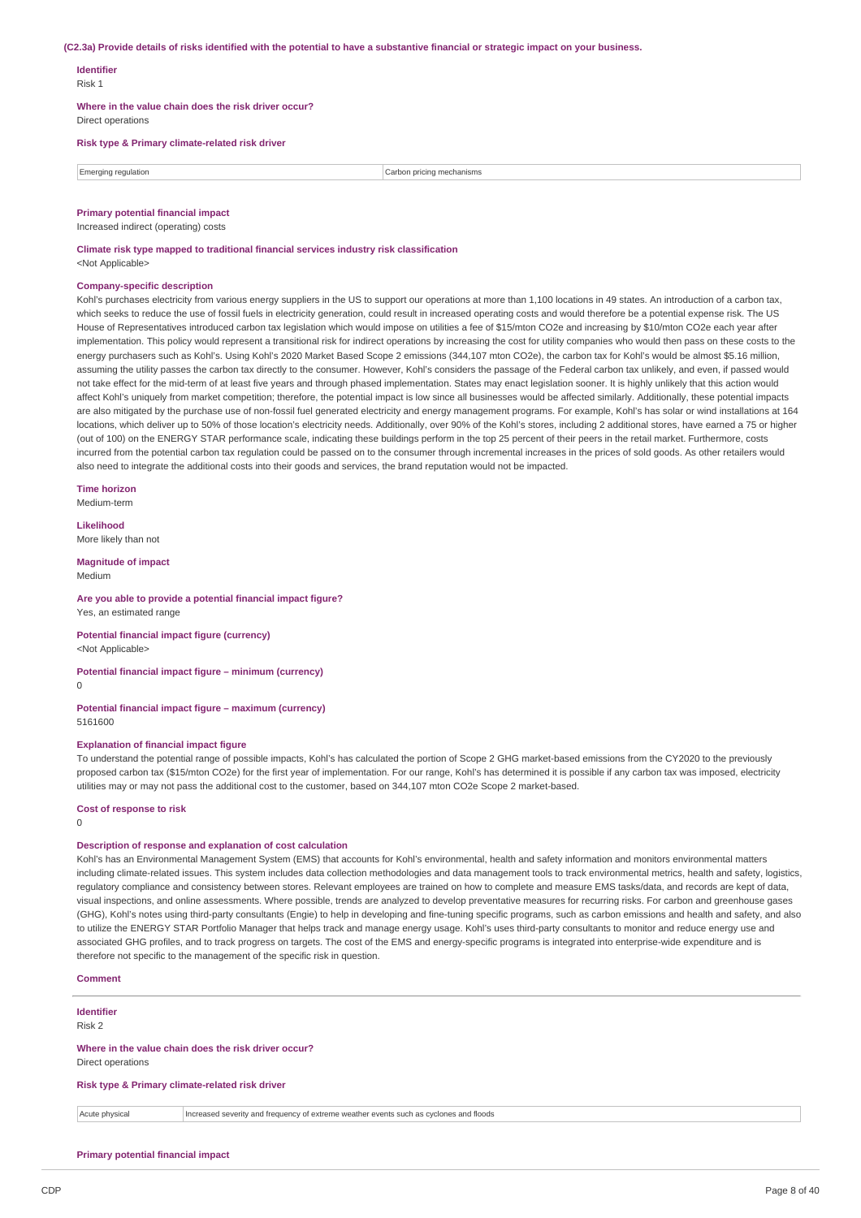#### (C2.3a) Provide details of risks identified with the potential to have a substantive financial or strategic impact on your business.

# **Identifier**

Risk 1

**Where in the value chain does the risk driver occur?** Direct operations

# **Risk type & Primary climate-related risk driver**

| 10rair<br>equiation | mecnanısms<br>, pricing<br>5.751<br>. |
|---------------------|---------------------------------------|
|                     |                                       |

## **Primary potential financial impact**

Increased indirect (operating) costs

**Climate risk type mapped to traditional financial services industry risk classification** <Not Applicable>

#### **Company-specific description**

Kohl's purchases electricity from various energy suppliers in the US to support our operations at more than 1,100 locations in 49 states. An introduction of a carbon tax, which seeks to reduce the use of fossil fuels in electricity generation, could result in increased operating costs and would therefore be a potential expense risk. The US House of Representatives introduced carbon tax legislation which would impose on utilities a fee of \$15/mton CO2e and increasing by \$10/mton CO2e each year after implementation. This policy would represent a transitional risk for indirect operations by increasing the cost for utility companies who would then pass on these costs to the energy purchasers such as Kohl's. Using Kohl's 2020 Market Based Scope 2 emissions (344,107 mton CO2e), the carbon tax for Kohl's would be almost \$5.16 million assuming the utility passes the carbon tax directly to the consumer. However, Kohl's considers the passage of the Federal carbon tax unlikely, and even, if passed would not take effect for the mid-term of at least five years and through phased implementation. States may enact legislation sooner. It is highly unlikely that this action would affect Kohl's uniquely from market competition; therefore, the potential impact is low since all businesses would be affected similarly. Additionally, these potential impacts are also mitigated by the purchase use of non-fossil fuel generated electricity and energy management programs. For example, Kohl's has solar or wind installations at 164 locations, which deliver up to 50% of those location's electricity needs. Additionally, over 90% of the Kohl's stores, including 2 additional stores, have earned a 75 or higher (out of 100) on the ENERGY STAR performance scale, indicating these buildings perform in the top 25 percent of their peers in the retail market. Furthermore, costs incurred from the potential carbon tax regulation could be passed on to the consumer through incremental increases in the prices of sold goods. As other retailers would also need to integrate the additional costs into their goods and services, the brand reputation would not be impacted.

**Time horizon** Medium-term

**Likelihood**

More likely than not

**Magnitude of impact** Medium

# **Are you able to provide a potential financial impact figure?**

Yes, an estimated range

#### **Potential financial impact figure (currency)** <Not Applicable>

**Potential financial impact figure – minimum (currency)**  $\theta$ 

#### **Potential financial impact figure – maximum (currency)** 5161600

## **Explanation of financial impact figure**

To understand the potential range of possible impacts, Kohl's has calculated the portion of Scope 2 GHG market-based emissions from the CY2020 to the previously proposed carbon tax (\$15/mton CO2e) for the first year of implementation. For our range, Kohl's has determined it is possible if any carbon tax was imposed, electricity utilities may or may not pass the additional cost to the customer, based on 344,107 mton CO2e Scope 2 market-based.

#### **Cost of response to risk**

0

# **Description of response and explanation of cost calculation**

Kohl's has an Environmental Management System (EMS) that accounts for Kohl's environmental, health and safety information and monitors environmental matters including climate-related issues. This system includes data collection methodologies and data management tools to track environmental metrics, health and safety, logistics, regulatory compliance and consistency between stores. Relevant employees are trained on how to complete and measure EMS tasks/data, and records are kept of data, visual inspections, and online assessments. Where possible, trends are analyzed to develop preventative measures for recurring risks. For carbon and greenhouse gases (GHG), Kohl's notes using third-party consultants (Engie) to help in developing and fine-tuning specific programs, such as carbon emissions and health and safety, and also to utilize the ENERGY STAR Portfolio Manager that helps track and manage energy usage. Kohl's uses third-party consultants to monitor and reduce energy use and associated GHG profiles, and to track progress on targets. The cost of the EMS and energy-specific programs is integrated into enterprise-wide expenditure and is therefore not specific to the management of the specific risk in question.

#### **Comment**

# **Identifier**

Risk 2

#### **Where in the value chain does the risk driver occur?** Direct operations

**Risk type & Primary climate-related risk driver**

Acute physical Increased severity and frequency of extreme weather events such as cyclones and floods

#### **Primary potential financial impact**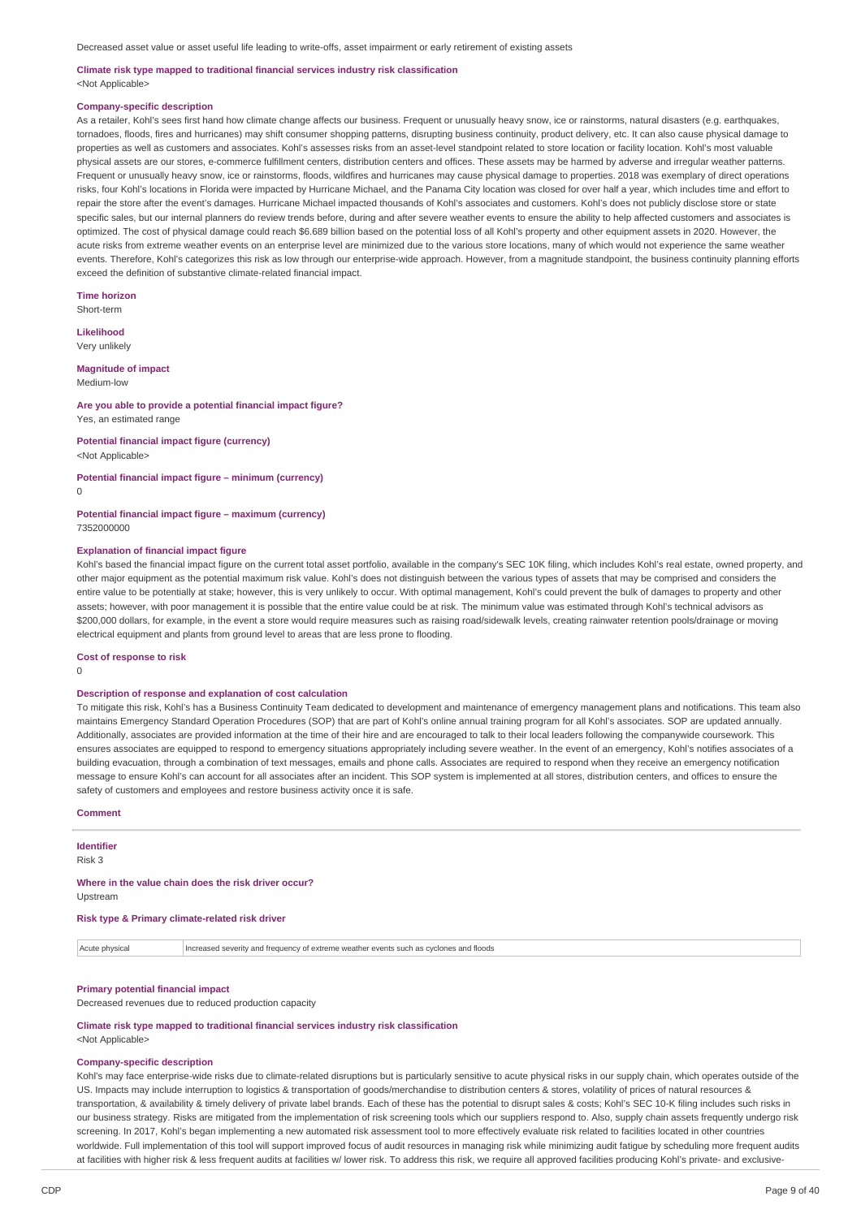#### **Climate risk type mapped to traditional financial services industry risk classification** <Not Applicable>

#### **Company-specific description**

As a retailer, Kohl's sees first hand how climate change affects our business. Frequent or unusually heavy snow, ice or rainstorms, natural disasters (e.g. earthquakes, tornadoes, floods, fires and hurricanes) may shift consumer shopping patterns, disrupting business continuity, product delivery, etc. It can also cause physical damage to properties as well as customers and associates. Kohl's assesses risks from an asset-level standpoint related to store location or facility location. Kohl's most valuable physical assets are our stores, e-commerce fulfillment centers, distribution centers and offices. These assets may be harmed by adverse and irregular weather patterns. Frequent or unusually heavy snow, ice or rainstorms, floods, wildfires and hurricanes may cause physical damage to properties. 2018 was exemplary of direct operations risks, four Kohl's locations in Florida were impacted by Hurricane Michael, and the Panama City location was closed for over half a year, which includes time and effort to repair the store after the event's damages. Hurricane Michael impacted thousands of Kohl's associates and customers. Kohl's does not publicly disclose store or state specific sales, but our internal planners do review trends before, during and after severe weather events to ensure the ability to help affected customers and associates is optimized. The cost of physical damage could reach \$6.689 billion based on the potential loss of all Kohl's property and other equipment assets in 2020. However, the acute risks from extreme weather events on an enterprise level are minimized due to the various store locations, many of which would not experience the same weather events. Therefore, Kohl's categorizes this risk as low through our enterprise-wide approach. However, from a magnitude standpoint, the business continuity planning efforts exceed the definition of substantive climate-related financial impact.

**Time horizon**

Short-term

**Likelihood** Very unlikely

#### **Magnitude of impact**

Medium-low

#### **Are you able to provide a potential financial impact figure?** Yes, an estimated range

**Potential financial impact figure (currency)** <Not Applicable>

#### **Potential financial impact figure – minimum (currency)**

 $\Omega$ 

#### **Potential financial impact figure – maximum (currency)** 7352000000

#### **Explanation of financial impact figure**

Kohl's based the financial impact figure on the current total asset portfolio, available in the company's SEC 10K filing, which includes Kohl's real estate, owned property, and other major equipment as the potential maximum risk value. Kohl's does not distinguish between the various types of assets that may be comprised and considers the entire value to be potentially at stake; however, this is very unlikely to occur. With optimal management, Kohl's could prevent the bulk of damages to property and other assets; however, with poor management it is possible that the entire value could be at risk. The minimum value was estimated through Kohl's technical advisors as \$200,000 dollars, for example, in the event a store would require measures such as raising road/sidewalk levels, creating rainwater retention pools/drainage or moving electrical equipment and plants from ground level to areas that are less prone to flooding.

#### **Cost of response to risk**

 $\Omega$ 

#### **Description of response and explanation of cost calculation**

To mitigate this risk, Kohl's has a Business Continuity Team dedicated to development and maintenance of emergency management plans and notifications. This team also maintains Emergency Standard Operation Procedures (SOP) that are part of Kohl's online annual training program for all Kohl's associates. SOP are updated annually. Additionally, associates are provided information at the time of their hire and are encouraged to talk to their local leaders following the companywide coursework. This ensures associates are equipped to respond to emergency situations appropriately including severe weather. In the event of an emergency, Kohl's notifies associates of a building evacuation, through a combination of text messages, emails and phone calls. Associates are required to respond when they receive an emergency notification message to ensure Kohl's can account for all associates after an incident. This SOP system is implemented at all stores, distribution centers, and offices to ensure the safety of customers and employees and restore business activity once it is safe.

# **Comment**

**Identifier** Risk 3

#### **Where in the value chain does the risk driver occur?** Upstream

**Risk type & Primary climate-related risk driver**

Acute physical Increased severity and frequency of extreme weather events such as cyclones and floods

# **Primary potential financial impact**

Decreased revenues due to reduced production capacity

**Climate risk type mapped to traditional financial services industry risk classification** <Not Applicable>

#### **Company-specific description**

Kohl's may face enterprise-wide risks due to climate-related disruptions but is particularly sensitive to acute physical risks in our supply chain, which operates outside of the US. Impacts may include interruption to logistics & transportation of goods/merchandise to distribution centers & stores, volatility of prices of natural resources & transportation, & availability & timely delivery of private label brands. Each of these has the potential to disrupt sales & costs; Kohl's SEC 10-K filing includes such risks in our business strategy. Risks are mitigated from the implementation of risk screening tools which our suppliers respond to. Also, supply chain assets frequently undergo risk screening. In 2017, Kohl's began implementing a new automated risk assessment tool to more effectively evaluate risk related to facilities located in other countries worldwide. Full implementation of this tool will support improved focus of audit resources in managing risk while minimizing audit fatigue by scheduling more frequent audits at facilities with higher risk & less frequent audits at facilities w/ lower risk. To address this risk, we require all approved facilities producing Kohl's private- and exclusive-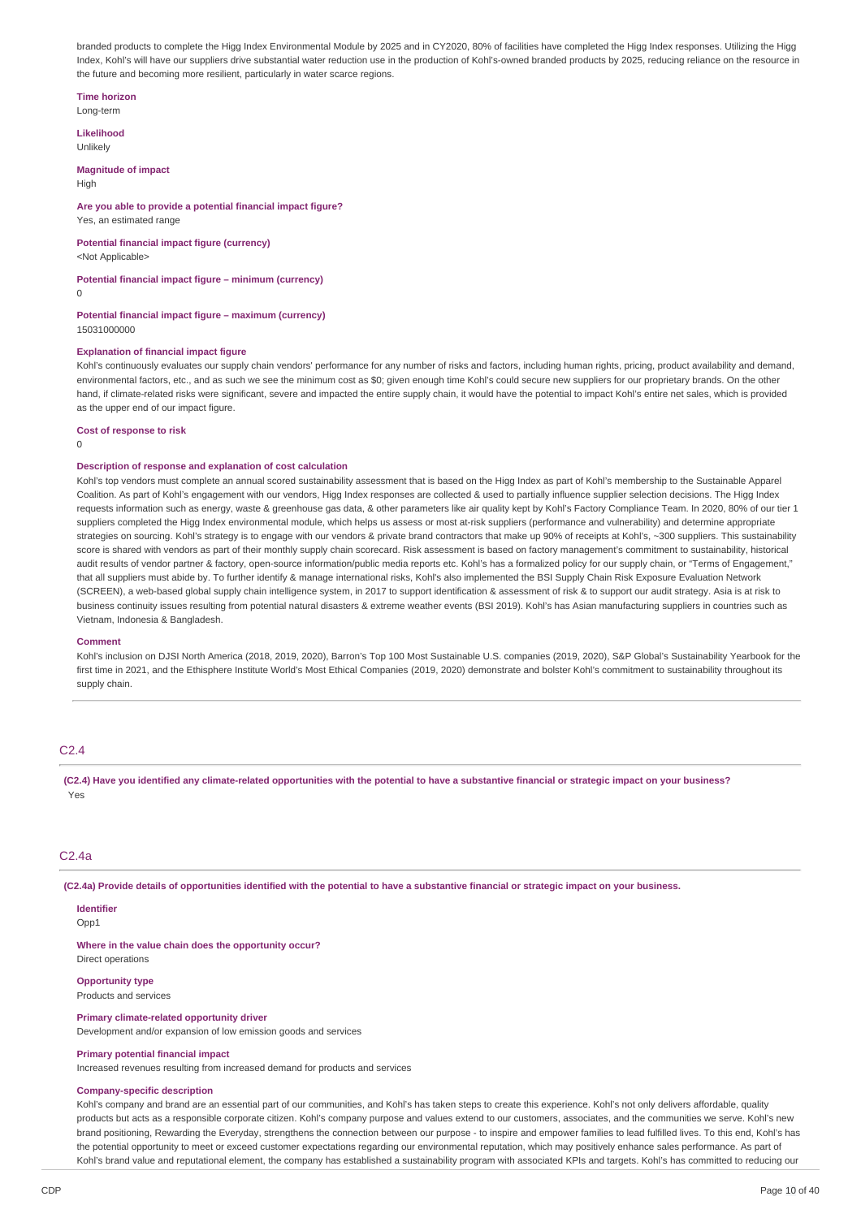branded products to complete the Higg Index Environmental Module by 2025 and in CY2020, 80% of facilities have completed the Higg Index responses. Utilizing the Higg Index, Kohl's will have our suppliers drive substantial water reduction use in the production of Kohl's-owned branded products by 2025, reducing reliance on the resource in the future and becoming more resilient, particularly in water scarce regions.

#### **Time horizon**

Long-term

**Likelihood** Unlikely

**Magnitude of impact**

High

#### **Are you able to provide a potential financial impact figure?** Yes, an estimated range

**Potential financial impact figure (currency)** <Not Applicable>

#### **Potential financial impact figure – minimum (currency)**

 $\Omega$ 

**Potential financial impact figure – maximum (currency)** 15031000000

#### **Explanation of financial impact figure**

Kohl's continuously evaluates our supply chain vendors' performance for any number of risks and factors, including human rights, pricing, product availability and demand, environmental factors, etc., and as such we see the minimum cost as \$0; given enough time Kohl's could secure new suppliers for our proprietary brands. On the other hand, if climate-related risks were significant, severe and impacted the entire supply chain, it would have the potential to impact Kohl's entire net sales, which is provided as the upper end of our impact figure.

**Cost of response to risk**

 $\Omega$ 

## **Description of response and explanation of cost calculation**

Kohl's top vendors must complete an annual scored sustainability assessment that is based on the Higg Index as part of Kohl's membership to the Sustainable Apparel Coalition. As part of Kohl's engagement with our vendors, Higg Index responses are collected & used to partially influence supplier selection decisions. The Higg Index requests information such as energy, waste & greenhouse gas data, & other parameters like air quality kept by Kohl's Factory Compliance Team. In 2020, 80% of our tier 1 suppliers completed the Higg Index environmental module, which helps us assess or most at-risk suppliers (performance and vulnerability) and determine appropriate strategies on sourcing. Kohl's strategy is to engage with our vendors & private brand contractors that make up 90% of receipts at Kohl's, ~300 suppliers. This sustainability score is shared with vendors as part of their monthly supply chain scorecard. Risk assessment is based on factory management's commitment to sustainability, historical audit results of vendor partner & factory, open-source information/public media reports etc. Kohl's has a formalized policy for our supply chain, or "Terms of Engagement," that all suppliers must abide by. To further identify & manage international risks, Kohl's also implemented the BSI Supply Chain Risk Exposure Evaluation Network (SCREEN), a web-based global supply chain intelligence system, in 2017 to support identification & assessment of risk & to support our audit strategy. Asia is at risk to business continuity issues resulting from potential natural disasters & extreme weather events (BSI 2019). Kohl's has Asian manufacturing suppliers in countries such as Vietnam, Indonesia & Bangladesh.

#### **Comment**

Kohl's inclusion on DJSI North America (2018, 2019, 2020), Barron's Top 100 Most Sustainable U.S. companies (2019, 2020), S&P Global's Sustainability Yearbook for the first time in 2021, and the Ethisphere Institute World's Most Ethical Companies (2019, 2020) demonstrate and bolster Kohl's commitment to sustainability throughout its supply chain.

# C2.4

(C2.4) Have you identified any climate-related opportunities with the potential to have a substantive financial or strategic impact on your business? Yes

## C2.4a

(C2.4a) Provide details of opportunities identified with the potential to have a substantive financial or strategic impact on your business.

# **Identifier**

Opp1

**Where in the value chain does the opportunity occur?** Direct operations

#### **Opportunity type**

Products and services

# **Primary climate-related opportunity driver**

Development and/or expansion of low emission goods and services

#### **Primary potential financial impact**

Increased revenues resulting from increased demand for products and services

#### **Company-specific description**

Kohl's company and brand are an essential part of our communities, and Kohl's has taken steps to create this experience. Kohl's not only delivers affordable, quality products but acts as a responsible corporate citizen. Kohl's company purpose and values extend to our customers, associates, and the communities we serve. Kohl's new brand positioning, Rewarding the Everyday, strengthens the connection between our purpose - to inspire and empower families to lead fulfilled lives. To this end, Kohl's has the potential opportunity to meet or exceed customer expectations regarding our environmental reputation, which may positively enhance sales performance. As part of Kohl's brand value and reputational element, the company has established a sustainability program with associated KPIs and targets. Kohl's has committed to reducing our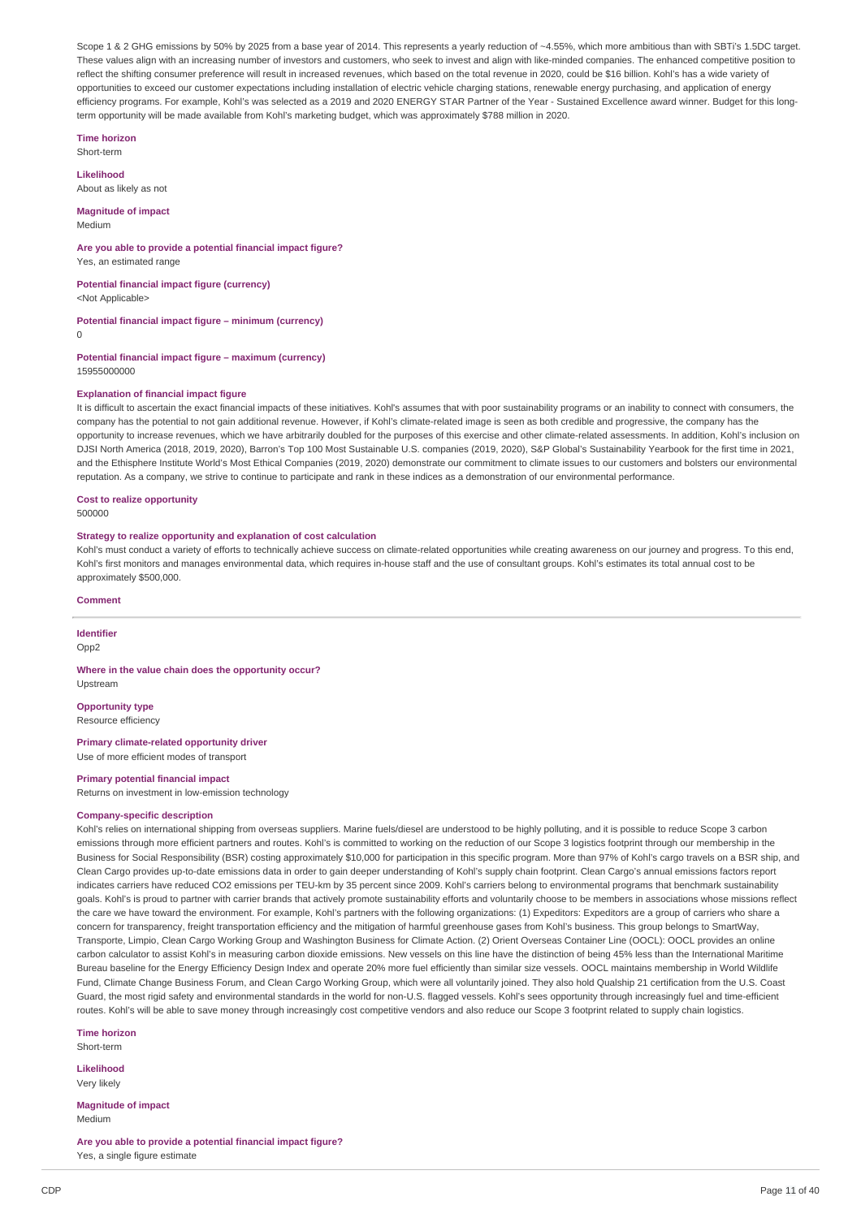Scope 1 & 2 GHG emissions by 50% by 2025 from a base year of 2014. This represents a yearly reduction of ~4.55%, which more ambitious than with SBTi's 1.5DC target. These values align with an increasing number of investors and customers, who seek to invest and align with like-minded companies. The enhanced competitive position to reflect the shifting consumer preference will result in increased revenues, which based on the total revenue in 2020, could be \$16 billion. Kohl's has a wide variety of opportunities to exceed our customer expectations including installation of electric vehicle charging stations, renewable energy purchasing, and application of energy efficiency programs. For example, Kohl's was selected as a 2019 and 2020 ENERGY STAR Partner of the Year - Sustained Excellence award winner. Budget for this longterm opportunity will be made available from Kohl's marketing budget, which was approximately \$788 million in 2020.

#### **Time horizon**

Short-term

**Likelihood** About as likely as not

#### **Magnitude of impact** Medium

**Are you able to provide a potential financial impact figure?** Yes, an estimated range

**Potential financial impact figure (currency)** <Not Applicable>

**Potential financial impact figure – minimum (currency)**

 $\Omega$ 

**Potential financial impact figure – maximum (currency)** 15955000000

## **Explanation of financial impact figure**

It is difficult to ascertain the exact financial impacts of these initiatives. Kohl's assumes that with poor sustainability programs or an inability to connect with consumers, the company has the potential to not gain additional revenue. However, if Kohl's climate-related image is seen as both credible and progressive, the company has the opportunity to increase revenues, which we have arbitrarily doubled for the purposes of this exercise and other climate-related assessments. In addition, Kohl's inclusion on DJSI North America (2018, 2019, 2020), Barron's Top 100 Most Sustainable U.S. companies (2019, 2020), S&P Global's Sustainability Yearbook for the first time in 2021, and the Ethisphere Institute World's Most Ethical Companies (2019, 2020) demonstrate our commitment to climate issues to our customers and bolsters our environmental reputation. As a company, we strive to continue to participate and rank in these indices as a demonstration of our environmental performance.

# **Cost to realize opportunity**

500000

## **Strategy to realize opportunity and explanation of cost calculation**

Kohl's must conduct a variety of efforts to technically achieve success on climate-related opportunities while creating awareness on our journey and progress. To this end, Kohl's first monitors and manages environmental data, which requires in-house staff and the use of consultant groups. Kohl's estimates its total annual cost to be approximately \$500,000.

#### **Comment**

# **Identifier**

Opp<sub>2</sub>

**Where in the value chain does the opportunity occur?** Upstream

**Opportunity type** Resource efficiency

#### **Primary climate-related opportunity driver** Use of more efficient modes of transport

**Primary potential financial impact**

Returns on investment in low-emission technology

## **Company-specific description**

Kohl's relies on international shipping from overseas suppliers. Marine fuels/diesel are understood to be highly polluting, and it is possible to reduce Scope 3 carbon emissions through more efficient partners and routes. Kohl's is committed to working on the reduction of our Scope 3 logistics footprint through our membership in the Business for Social Responsibility (BSR) costing approximately \$10,000 for participation in this specific program. More than 97% of Kohl's cargo travels on a BSR ship, and Clean Cargo provides up-to-date emissions data in order to gain deeper understanding of Kohl's supply chain footprint. Clean Cargo's annual emissions factors report indicates carriers have reduced CO2 emissions per TEU-km by 35 percent since 2009. Kohl's carriers belong to environmental programs that benchmark sustainability goals. Kohl's is proud to partner with carrier brands that actively promote sustainability efforts and voluntarily choose to be members in associations whose missions reflect the care we have toward the environment. For example, Kohl's partners with the following organizations: (1) Expeditors: Expeditors are a group of carriers who share a concern for transparency, freight transportation efficiency and the mitigation of harmful greenhouse gases from Kohl's business. This group belongs to SmartWay, Transporte, Limpio, Clean Cargo Working Group and Washington Business for Climate Action. (2) Orient Overseas Container Line (OOCL): OOCL provides an online carbon calculator to assist Kohl's in measuring carbon dioxide emissions. New vessels on this line have the distinction of being 45% less than the International Maritime Bureau baseline for the Energy Efficiency Design Index and operate 20% more fuel efficiently than similar size vessels. OOCL maintains membership in World Wildlife Fund, Climate Change Business Forum, and Clean Cargo Working Group, which were all voluntarily joined. They also hold Qualship 21 certification from the U.S. Coast Guard, the most rigid safety and environmental standards in the world for non-U.S. flagged vessels. Kohl's sees opportunity through increasingly fuel and time-efficient routes. Kohl's will be able to save money through increasingly cost competitive vendors and also reduce our Scope 3 footprint related to supply chain logistics.

**Time horizon**

Short-term

**Likelihood** Very likely

**Magnitude of impact** Medium

**Are you able to provide a potential financial impact figure?** Yes, a single figure estimate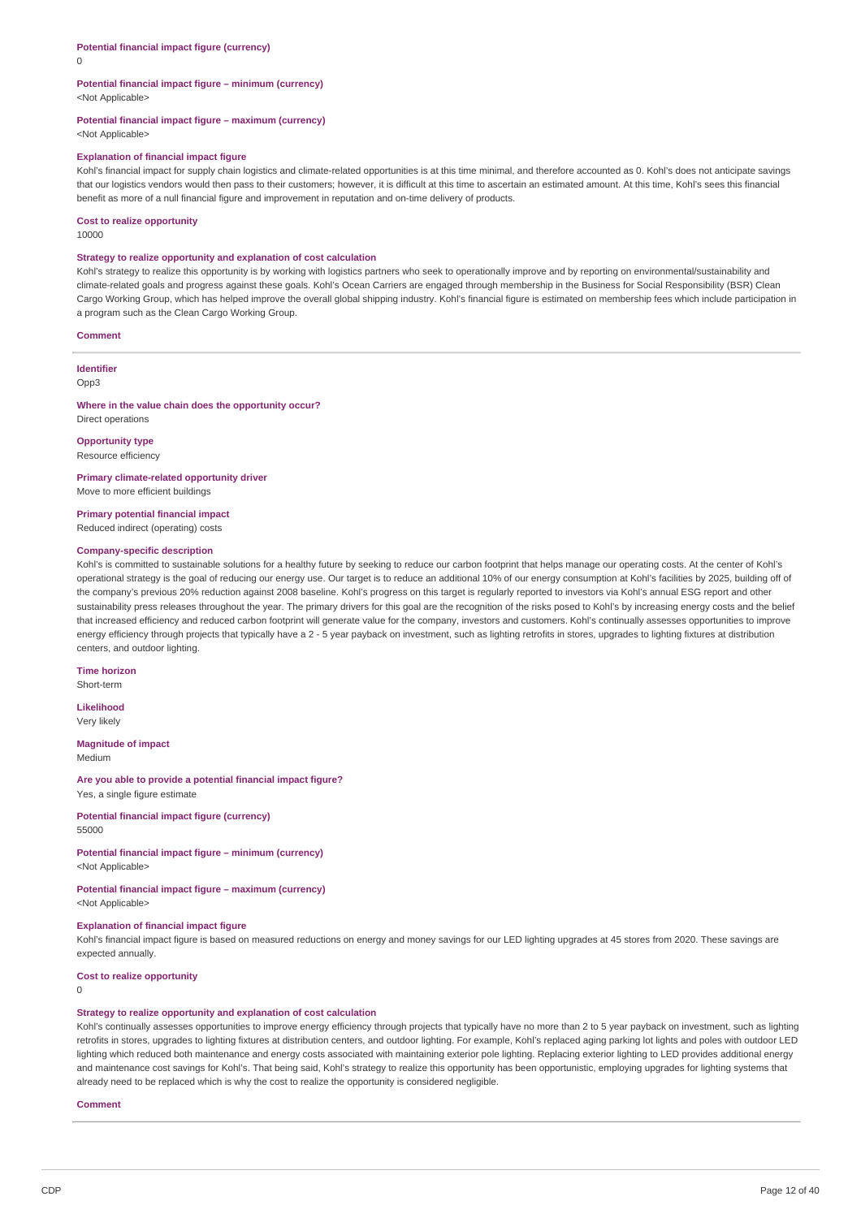$\Omega$ 

#### **Potential financial impact figure – minimum (currency)** <Not Applicable>

# **Potential financial impact figure – maximum (currency)**

<Not Applicable>

## **Explanation of financial impact figure**

Kohl's financial impact for supply chain logistics and climate-related opportunities is at this time minimal, and therefore accounted as 0. Kohl's does not anticipate savings that our logistics vendors would then pass to their customers; however, it is difficult at this time to ascertain an estimated amount. At this time, Kohl's sees this financial benefit as more of a null financial figure and improvement in reputation and on-time delivery of products.

#### **Cost to realize opportunity**

10000

#### **Strategy to realize opportunity and explanation of cost calculation**

Kohl's strategy to realize this opportunity is by working with logistics partners who seek to operationally improve and by reporting on environmental/sustainability and climate-related goals and progress against these goals. Kohl's Ocean Carriers are engaged through membership in the Business for Social Responsibility (BSR) Clean Cargo Working Group, which has helped improve the overall global shipping industry. Kohl's financial figure is estimated on membership fees which include participation in a program such as the Clean Cargo Working Group.

#### **Comment**

#### **Identifier**

Opp3

#### **Where in the value chain does the opportunity occur?** Direct operations

**Opportunity type** Resource efficiency

#### **Primary climate-related opportunity driver**

Move to more efficient buildings

**Primary potential financial impact**

# Reduced indirect (operating) costs

# **Company-specific description**

Kohl's is committed to sustainable solutions for a healthy future by seeking to reduce our carbon footprint that helps manage our operating costs. At the center of Kohl's operational strategy is the goal of reducing our energy use. Our target is to reduce an additional 10% of our energy consumption at Kohl's facilities by 2025, building off of the company's previous 20% reduction against 2008 baseline. Kohl's progress on this target is regularly reported to investors via Kohl's annual ESG report and other sustainability press releases throughout the year. The primary drivers for this goal are the recognition of the risks posed to Kohl's by increasing energy costs and the belief that increased efficiency and reduced carbon footprint will generate value for the company, investors and customers. Kohl's continually assesses opportunities to improve energy efficiency through projects that typically have a 2 - 5 year payback on investment, such as lighting retrofits in stores, upgrades to lighting fixtures at distribution centers, and outdoor lighting.

# **Time horizon**

Short-term

**Likelihood** Very likely

#### **Magnitude of impact** Medium

# **Are you able to provide a potential financial impact figure?**

Yes, a single figure estimate

## **Potential financial impact figure (currency)** 55000

#### **Potential financial impact figure – minimum (currency)** <Not Applicable>

# **Potential financial impact figure – maximum (currency)**

<Not Applicable>

# **Explanation of financial impact figure**

Kohl's financial impact figure is based on measured reductions on energy and money savings for our LED lighting upgrades at 45 stores from 2020. These savings are expected annually.

#### **Cost to realize opportunity**

0

# **Strategy to realize opportunity and explanation of cost calculation**

Kohl's continually assesses opportunities to improve energy efficiency through projects that typically have no more than 2 to 5 year payback on investment, such as lighting retrofits in stores, upgrades to lighting fixtures at distribution centers, and outdoor lighting. For example, Kohl's replaced aging parking lot lights and poles with outdoor LED lighting which reduced both maintenance and energy costs associated with maintaining exterior pole lighting. Replacing exterior lighting to LED provides additional energy and maintenance cost savings for Kohl's. That being said, Kohl's strategy to realize this opportunity has been opportunistic, employing upgrades for lighting systems that already need to be replaced which is why the cost to realize the opportunity is considered negligible.

#### **Comment**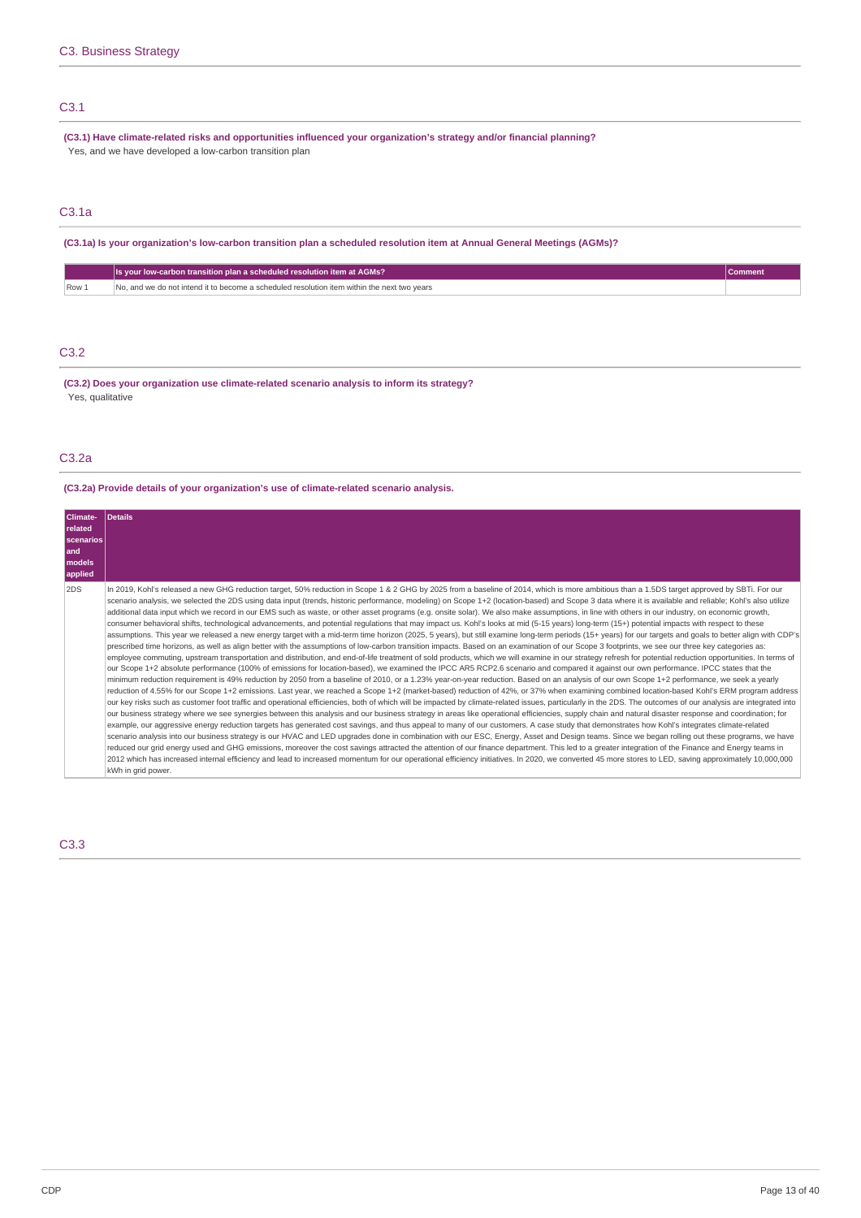# C3.1

**(C3.1) Have climate-related risks and opportunities influenced your organization's strategy and/or financial planning?** Yes, and we have developed a low-carbon transition plan

# C3.1a

# (C3.1a) Is your organization's low-carbon transition plan a scheduled resolution item at Annual General Meetings (AGMs)?

|       | U.S. your low-carbon transition plan a scheduled resolution item at AGMs?                   |  |
|-------|---------------------------------------------------------------------------------------------|--|
| Row 1 | No, and we do not intend it to become a scheduled resolution item within the next two vears |  |

# C3.2

**(C3.2) Does your organization use climate-related scenario analysis to inform its strategy?** Yes, qualitative

# C3.2a

**(C3.2a) Provide details of your organization's use of climate-related scenario analysis.**

| Climate-<br><b>related</b><br><b>scenarios</b><br>land<br>models<br>applied | <b>Details</b>                                                                                                                                                                                                                                                                                                                                                                                                                                                                                                                                                                                                                                                                                                                                                                                                                                                                                                                                                                                                                                                                                                                                                                                                                                                                                                                                                                                                                                                                                                                                                                                                                                                                                                                                                                                                                                                                                                                                                                                                                                                                                                                                                                                                                                                                                                                                                                                                                                                                                                                                                                                                                                                                                                                                                                                                                                                                                                                                                                                                                                                                                                                                                                                                                                                                                 |
|-----------------------------------------------------------------------------|------------------------------------------------------------------------------------------------------------------------------------------------------------------------------------------------------------------------------------------------------------------------------------------------------------------------------------------------------------------------------------------------------------------------------------------------------------------------------------------------------------------------------------------------------------------------------------------------------------------------------------------------------------------------------------------------------------------------------------------------------------------------------------------------------------------------------------------------------------------------------------------------------------------------------------------------------------------------------------------------------------------------------------------------------------------------------------------------------------------------------------------------------------------------------------------------------------------------------------------------------------------------------------------------------------------------------------------------------------------------------------------------------------------------------------------------------------------------------------------------------------------------------------------------------------------------------------------------------------------------------------------------------------------------------------------------------------------------------------------------------------------------------------------------------------------------------------------------------------------------------------------------------------------------------------------------------------------------------------------------------------------------------------------------------------------------------------------------------------------------------------------------------------------------------------------------------------------------------------------------------------------------------------------------------------------------------------------------------------------------------------------------------------------------------------------------------------------------------------------------------------------------------------------------------------------------------------------------------------------------------------------------------------------------------------------------------------------------------------------------------------------------------------------------------------------------------------------------------------------------------------------------------------------------------------------------------------------------------------------------------------------------------------------------------------------------------------------------------------------------------------------------------------------------------------------------------------------------------------------------------------------------------------------------|
| 2DS                                                                         | In 2019, Kohl's released a new GHG reduction target, 50% reduction in Scope 1 & 2 GHG by 2025 from a baseline of 2014, which is more ambitious than a 1.5DS target approved by SBTi. For our<br>scenario analysis, we selected the 2DS using data input (trends, historic performance, modeling) on Scope 1+2 (location-based) and Scope 3 data where it is available and reliable; Kohl's also utilize<br>additional data input which we record in our EMS such as waste, or other asset programs (e.g. onsite solar). We also make assumptions, in line with others in our industry, on economic growth,<br>consumer behavioral shifts, technological advancements, and potential requlations that may impact us. Kohl's looks at mid (5-15 years) long-term (15+) potential impacts with respect to these<br>assumptions. This year we released a new energy target with a mid-term time horizon (2025, 5 years), but still examine long-term periods (15+ years) for our targets and goals to better align with CDP's<br>prescribed time horizons, as well as align better with the assumptions of low-carbon transition impacts. Based on an examination of our Scope 3 footprints, we see our three key categories as:<br>employee commuting, upstream transportation and distribution, and end-of-life treatment of sold products, which we will examine in our strategy refresh for potential reduction opportunities. In terms of<br>our Scope 1+2 absolute performance (100% of emissions for location-based), we examined the IPCC AR5 RCP2.6 scenario and compared it against our own performance. IPCC states that the<br>minimum reduction requirement is 49% reduction by 2050 from a baseline of 2010, or a 1.23% year-on-year reduction. Based on an analysis of our own Scope 1+2 performance, we seek a yearly<br>reduction of 4.55% for our Scope 1+2 emissions. Last year, we reached a Scope 1+2 (market-based) reduction of 42%, or 37% when examining combined location-based Kohl's ERM program address<br>our key risks such as customer foot traffic and operational efficiencies, both of which will be impacted by climate-related issues, particularly in the 2DS. The outcomes of our analysis are integrated into<br>our business strategy where we see synergies between this analysis and our business strategy in areas like operational efficiencies, supply chain and natural disaster response and coordination; for<br>example, our aggressive energy reduction targets has generated cost savings, and thus appeal to many of our customers. A case study that demonstrates how Kohl's integrates climate-related<br>scenario analysis into our business strategy is our HVAC and LED upgrades done in combination with our ESC, Energy, Asset and Design teams. Since we began rolling out these programs, we have<br>reduced our grid energy used and GHG emissions, moreover the cost savings attracted the attention of our finance department. This led to a greater integration of the Finance and Energy teams in<br>2012 which has increased internal efficiency and lead to increased momentum for our operational efficiency initiatives. In 2020, we converted 45 more stores to LED, saving approximately 10,000,000<br>kWh in grid power. |

# C3.3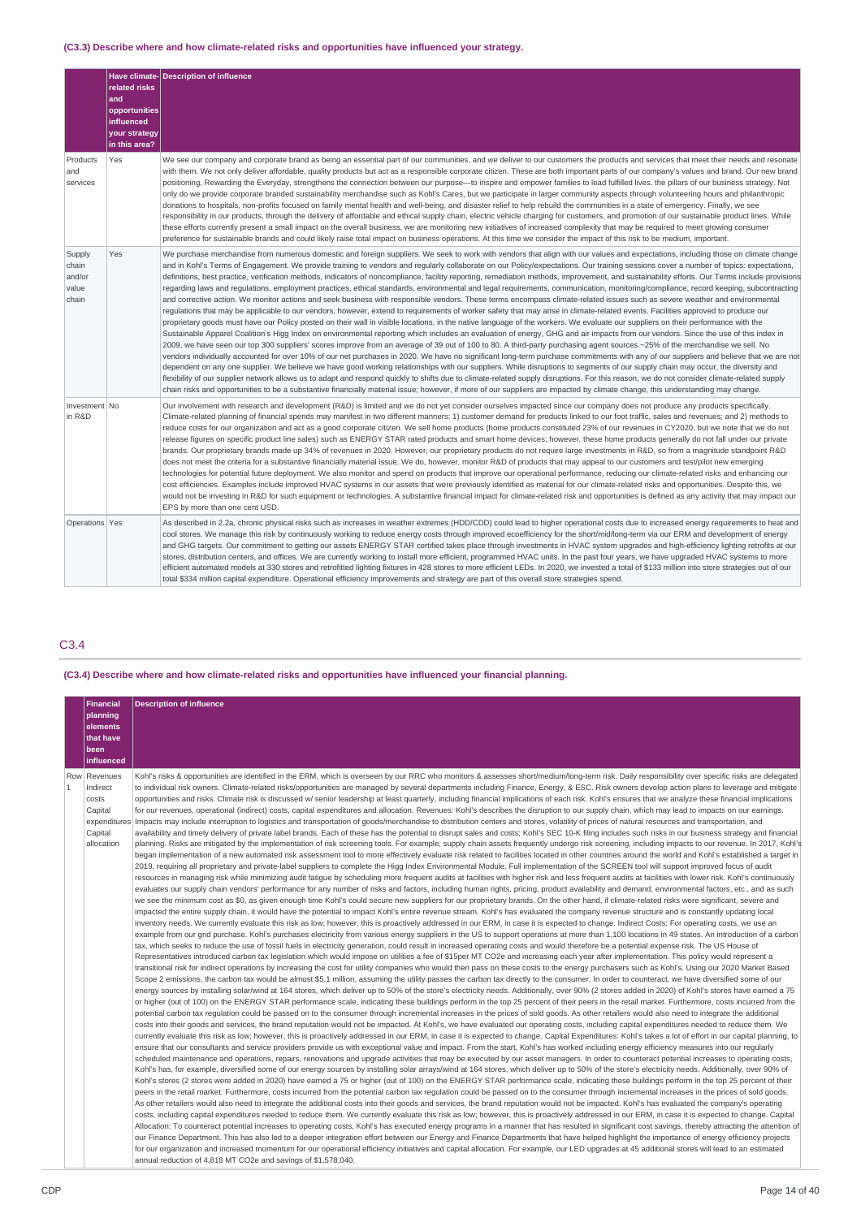# **(C3.3) Describe where and how climate-related risks and opportunities have influenced your strategy.**

|                                             |                                                                                       | Have climate- Description of influence                                                                                                                                                                                                                                                                                                                                                                                                                                                                                                                                                                                                                                                                                                                                                                                                                                                                                                                                                                                                                                                                                                                                                                                                                                                                                                                                                                                                                                                                                                                                                                                                                                                                                                                                                                                                                                                                                                                                                                                                                                                                                                                                                                                                                                                                                                                                                                                                                     |
|---------------------------------------------|---------------------------------------------------------------------------------------|------------------------------------------------------------------------------------------------------------------------------------------------------------------------------------------------------------------------------------------------------------------------------------------------------------------------------------------------------------------------------------------------------------------------------------------------------------------------------------------------------------------------------------------------------------------------------------------------------------------------------------------------------------------------------------------------------------------------------------------------------------------------------------------------------------------------------------------------------------------------------------------------------------------------------------------------------------------------------------------------------------------------------------------------------------------------------------------------------------------------------------------------------------------------------------------------------------------------------------------------------------------------------------------------------------------------------------------------------------------------------------------------------------------------------------------------------------------------------------------------------------------------------------------------------------------------------------------------------------------------------------------------------------------------------------------------------------------------------------------------------------------------------------------------------------------------------------------------------------------------------------------------------------------------------------------------------------------------------------------------------------------------------------------------------------------------------------------------------------------------------------------------------------------------------------------------------------------------------------------------------------------------------------------------------------------------------------------------------------------------------------------------------------------------------------------------------------|
|                                             | related risks<br>and<br>opportunities<br>influenced<br>your strategy<br>in this area? |                                                                                                                                                                                                                                                                                                                                                                                                                                                                                                                                                                                                                                                                                                                                                                                                                                                                                                                                                                                                                                                                                                                                                                                                                                                                                                                                                                                                                                                                                                                                                                                                                                                                                                                                                                                                                                                                                                                                                                                                                                                                                                                                                                                                                                                                                                                                                                                                                                                            |
| Products<br>and<br>services                 | Yes                                                                                   | We see our company and corporate brand as being an essential part of our communities, and we deliver to our customers the products and services that meet their needs and resonate<br>with them. We not only deliver affordable, quality products but act as a responsible corporate citizen. These are both important parts of our company's values and brand. Our new brand<br>positioning, Rewarding the Everyday, strengthens the connection between our purpose-to inspire and empower families to lead fulfilled lives, the pillars of our business strategy. Not<br>only do we provide corporate branded sustainability merchandise such as Kohl's Cares, but we participate in larger community aspects through volunteering hours and philanthropic<br>donations to hospitals, non-profits focused on family mental health and well-being, and disaster relief to help rebuild the communities in a state of emergency. Finally, we see<br>responsibility in our products, through the delivery of affordable and ethical supply chain, electric vehicle charging for customers, and promotion of our sustainable product lines. While<br>these efforts currently present a small impact on the overall business, we are monitoring new initiatives of increased complexity that may be required to meet growing consumer<br>preference for sustainable brands and could likely raise total impact on business operations. At this time we consider the impact of this risk to be medium, important.                                                                                                                                                                                                                                                                                                                                                                                                                                                                                                                                                                                                                                                                                                                                                                                                                                                                                                                                              |
| Supply<br>chain<br>and/or<br>value<br>chain | Yes                                                                                   | We purchase merchandise from numerous domestic and foreign suppliers. We seek to work with vendors that align with our values and expectations, including those on climate change<br>and in Kohl's Terms of Engagement. We provide training to vendors and regularly collaborate on our Policy/expectations. Our training sessions cover a number of topics: expectations,<br>definitions, best practice, verification methods, indicators of noncompliance, facility reporting, remediation methods, improvement, and sustainability efforts. Our Terms include provisions<br>regarding laws and regulations, employment practices, ethical standards, environmental and legal requirements, communication, monitoring/compliance, record keeping, subcontracting<br>and corrective action. We monitor actions and seek business with responsible vendors. These terms encompass climate-related issues such as severe weather and environmental<br>requlations that may be applicable to our vendors, however, extend to requirements of worker safety that may arise in climate-related events. Facilities approved to produce our<br>proprietary goods must have our Policy posted on their wall in visible locations, in the native language of the workers. We evaluate our suppliers on their performance with the<br>Sustainable Apparel Coalition's Higg Index on environmental reporting which includes an evaluation of energy, GHG and air impacts from our vendors. Since the use of this index in<br>2009, we have seen our top 300 suppliers' scores improve from an average of 39 out of 100 to 80. A third-party purchasing agent sources ~25% of the merchandise we sell. No<br>vendors individually accounted for over 10% of our net purchases in 2020. We have no significant long-term purchase commitments with any of our suppliers and believe that we are not<br>dependent on any one supplier. We believe we have good working relationships with our suppliers. While disruptions to segments of our supply chain may occur, the diversity and<br>flexibility of our supplier network allows us to adapt and respond quickly to shifts due to climate-related supply disruptions. For this reason, we do not consider climate-related supply<br>chain risks and opportunities to be a substantive financially material issue; however, if more of our suppliers are impacted by climate change, this understanding may change. |
| Investment No<br>in R&D                     |                                                                                       | Our involvement with research and development (R&D) is limited and we do not yet consider ourselves impacted since our company does not produce any products specifically.<br>Climate-related planning of financial spends may manifest in two different manners: 1) customer demand for products linked to our foot traffic, sales and revenues; and 2) methods to<br>reduce costs for our organization and act as a good corporate citizen. We sell home products (home products constituted 23% of our revenues in CY2020, but we note that we do not<br>release figures on specific product line sales) such as ENERGY STAR rated products and smart home devices; however, these home products generally do not fall under our private<br>brands. Our proprietary brands made up 34% of revenues in 2020. However, our proprietary products do not require large investments in R&D, so from a magnitude standpoint R&D<br>does not meet the criteria for a substantive financially material issue. We do, however, monitor R&D of products that may appeal to our customers and test/pilot new emerging<br>technologies for potential future deployment. We also monitor and spend on products that improve our operational performance, reducing our climate-related risks and enhancing our<br>cost efficiencies. Examples include improved HVAC systems in our assets that were previously identified as material for our climate-related risks and opportunities. Despite this, we<br>would not be investing in R&D for such equipment or technologies. A substantive financial impact for climate-related risk and opportunities is defined as any activity that may impact our<br>EPS by more than one cent USD.                                                                                                                                                                                                                                                                                                                                                                                                                                                                                                                                                                                                                                                                                                                               |
| Operations Yes                              |                                                                                       | As described in 2.2a, chronic physical risks such as increases in weather extremes (HDD/CDD) could lead to higher operational costs due to increased energy requirements to heat and<br>cool stores. We manage this risk by continuously working to reduce energy costs through improved ecoefficiency for the short/mid/long-term via our ERM and development of energy<br>and GHG targets. Our commitment to getting our assets ENERGY STAR certified takes place through investments in HVAC system upgrades and high-efficiency lighting retrofits at our<br>stores, distribution centers, and offices. We are currently working to install more efficient, programmed HVAC units. In the past four years, we have upgraded HVAC systems to more<br>efficient automated models at 330 stores and retrofitted lighting fixtures in 428 stores to more efficient LEDs. In 2020, we invested a total of \$133 million into store strategies out of our<br>total \$334 million capital expenditure. Operational efficiency improvements and strategy are part of this overall store strategies spend.                                                                                                                                                                                                                                                                                                                                                                                                                                                                                                                                                                                                                                                                                                                                                                                                                                                                                                                                                                                                                                                                                                                                                                                                                                                                                                                                                      |

# C3.4

# **(C3.4) Describe where and how climate-related risks and opportunities have influenced your financial planning.**

|              | <b>Financial</b>      | <b>Description of influence</b>                                                                                                                                                                                                                                                                                                                                                                              |
|--------------|-----------------------|--------------------------------------------------------------------------------------------------------------------------------------------------------------------------------------------------------------------------------------------------------------------------------------------------------------------------------------------------------------------------------------------------------------|
|              | planning              |                                                                                                                                                                                                                                                                                                                                                                                                              |
|              | elements<br>that have |                                                                                                                                                                                                                                                                                                                                                                                                              |
|              | been                  |                                                                                                                                                                                                                                                                                                                                                                                                              |
|              | influenced            |                                                                                                                                                                                                                                                                                                                                                                                                              |
|              | Row Revenues          | Kohl's risks & opportunities are identified in the ERM, which is overseen by our RRC who monitors & assesses short/medium/long-term risk. Daily responsibility over specific risks are delegated                                                                                                                                                                                                             |
| $\mathbf{1}$ | Indirect              | to individual risk owners. Climate-related risks/opportunities are managed by several departments including Finance, Energy, & ESC. Risk owners develop action plans to leverage and mitigate                                                                                                                                                                                                                |
|              | costs                 | opportunities and risks. Climate risk is discussed w/ senior leadership at least quarterly, including financial implications of each risk. Kohl's ensures that we analyze these financial implications                                                                                                                                                                                                       |
|              | Capital               | for our revenues, operational (indirect) costs, capital expenditures and allocation. Revenues: Kohl's describes the disruption to our supply chain, which may lead to impacts on our earnings.<br>expenditures   Impacts may include interruption to logistics and transportation of goods/merchandise to distribution centers and stores, volatility of prices of natural resources and transportation, and |
|              | Capital               | availability and timely delivery of private label brands. Each of these has the potential to disrupt sales and costs; Kohl's SEC 10-K filing includes such risks in our business strategy and financial                                                                                                                                                                                                      |
|              | allocation            | planning. Risks are mitigated by the implementation of risk screening tools. For example, supply chain assets frequently undergo risk screening, including impacts to our revenue. In 2017, Kohl's                                                                                                                                                                                                           |
|              |                       | began implementation of a new automated risk assessment tool to more effectively evaluate risk related to facilities located in other countries around the world and Kohl's established a target in                                                                                                                                                                                                          |
|              |                       | 2019, requiring all proprietary and private-label suppliers to complete the Higg Index Environmental Module. Full implementation of the SCREEN tool will support improved focus of audit                                                                                                                                                                                                                     |
|              |                       | resources in managing risk while minimizing audit fatigue by scheduling more frequent audits at facilities with higher risk and less frequent audits at facilities with lower risk. Kohl's continuously                                                                                                                                                                                                      |
|              |                       | evaluates our supply chain vendors' performance for any number of risks and factors, including human rights, pricing, product availability and demand, environmental factors, etc., and as such                                                                                                                                                                                                              |
|              |                       | we see the minimum cost as \$0, as given enough time Kohl's could secure new suppliers for our proprietary brands. On the other hand, if climate-related risks were significant, severe and                                                                                                                                                                                                                  |
|              |                       | impacted the entire supply chain, it would have the potential to impact Kohl's entire revenue stream. Kohl's has evaluated the company revenue structure and is constantly updating local                                                                                                                                                                                                                    |
|              |                       | inventory needs. We currently evaluate this risk as low; however, this is proactively addressed in our ERM, in case it is expected to change. Indirect Costs: For operating costs, we use an                                                                                                                                                                                                                 |
|              |                       | example from our grid purchase. Kohl's purchases electricity from various energy suppliers in the US to support operations at more than 1,100 locations in 49 states. An introduction of a carbon<br>tax, which seeks to reduce the use of fossil fuels in electricity generation, could result in increased operating costs and would therefore be a potential expense risk. The US House of                |
|              |                       | Representatives introduced carbon tax legislation which would impose on utilities a fee of \$15per MT CO2e and increasing each year after implementation. This policy would represent a                                                                                                                                                                                                                      |
|              |                       | transitional risk for indirect operations by increasing the cost for utility companies who would then pass on these costs to the energy purchasers such as Kohl's. Using our 2020 Market Based                                                                                                                                                                                                               |
|              |                       | Scope 2 emissions, the carbon tax would be almost \$5.1 million, assuming the utility passes the carbon tax directly to the consumer. In order to counteract, we have diversified some of our                                                                                                                                                                                                                |
|              |                       | energy sources by installing solar/wind at 164 stores, which deliver up to 50% of the store's electricity needs. Additionally, over 90% (2 stores added in 2020) of Kohl's stores have earned a 75                                                                                                                                                                                                           |
|              |                       | or higher (out of 100) on the ENERGY STAR performance scale, indicating these buildings perform in the top 25 percent of their peers in the retail market. Furthermore, costs incurred from the                                                                                                                                                                                                              |
|              |                       | potential carbon tax requlation could be passed on to the consumer through incremental increases in the prices of sold goods. As other retailers would also need to integrate the additional                                                                                                                                                                                                                 |
|              |                       | costs into their goods and services, the brand reputation would not be impacted. At Kohl's, we have evaluated our operating costs, including capital expenditures needed to reduce them. We                                                                                                                                                                                                                  |
|              |                       | currently evaluate this risk as low; however, this is proactively addressed in our ERM, in case it is expected to change. Capital Expenditures: Kohl's takes a lot of effort in our capital planning, to                                                                                                                                                                                                     |
|              |                       | ensure that our consultants and service providers provide us with exceptional value and impact. From the start, Kohl's has worked including energy efficiency measures into our reqularly                                                                                                                                                                                                                    |
|              |                       | scheduled maintenance and operations, repairs, renovations and upgrade activities that may be executed by our asset managers. In order to counteract potential increases to operating costs,<br>Kohl's has, for example, diversified some of our energy sources by installing solar arrays/wind at 164 stores, which deliver up to 50% of the store's electricity needs. Additionally, over 90% of           |
|              |                       | Kohl's stores (2 stores were added in 2020) have earned a 75 or higher (out of 100) on the ENERGY STAR performance scale, indicating these buildings perform in the top 25 percent of their                                                                                                                                                                                                                  |
|              |                       | peers in the retail market. Furthermore, costs incurred from the potential carbon tax regulation could be passed on to the consumer through incremental increases in the prices of sold goods.                                                                                                                                                                                                               |
|              |                       | As other retailers would also need to integrate the additional costs into their goods and services, the brand reputation would not be impacted. Kohl's has evaluated the company's operating                                                                                                                                                                                                                 |
|              |                       | costs, including capital expenditures needed to reduce them. We currently evaluate this risk as low; however, this is proactively addressed in our ERM, in case it is expected to change. Capital                                                                                                                                                                                                            |
|              |                       | Allocation: To counteract potential increases to operating costs, Kohl's has executed energy programs in a manner that has resulted in significant cost savings, thereby attracting the attention of                                                                                                                                                                                                         |
|              |                       | our Finance Department. This has also led to a deeper integration effort between our Energy and Finance Departments that have helped highlight the importance of energy efficiency projects                                                                                                                                                                                                                  |
|              |                       | for our organization and increased momentum for our operational efficiency initiatives and capital allocation. For example, our LED upgrades at 45 additional stores will lead to an estimated                                                                                                                                                                                                               |
|              |                       | annual reduction of 4,818 MT CO2e and savings of \$1,578,040.                                                                                                                                                                                                                                                                                                                                                |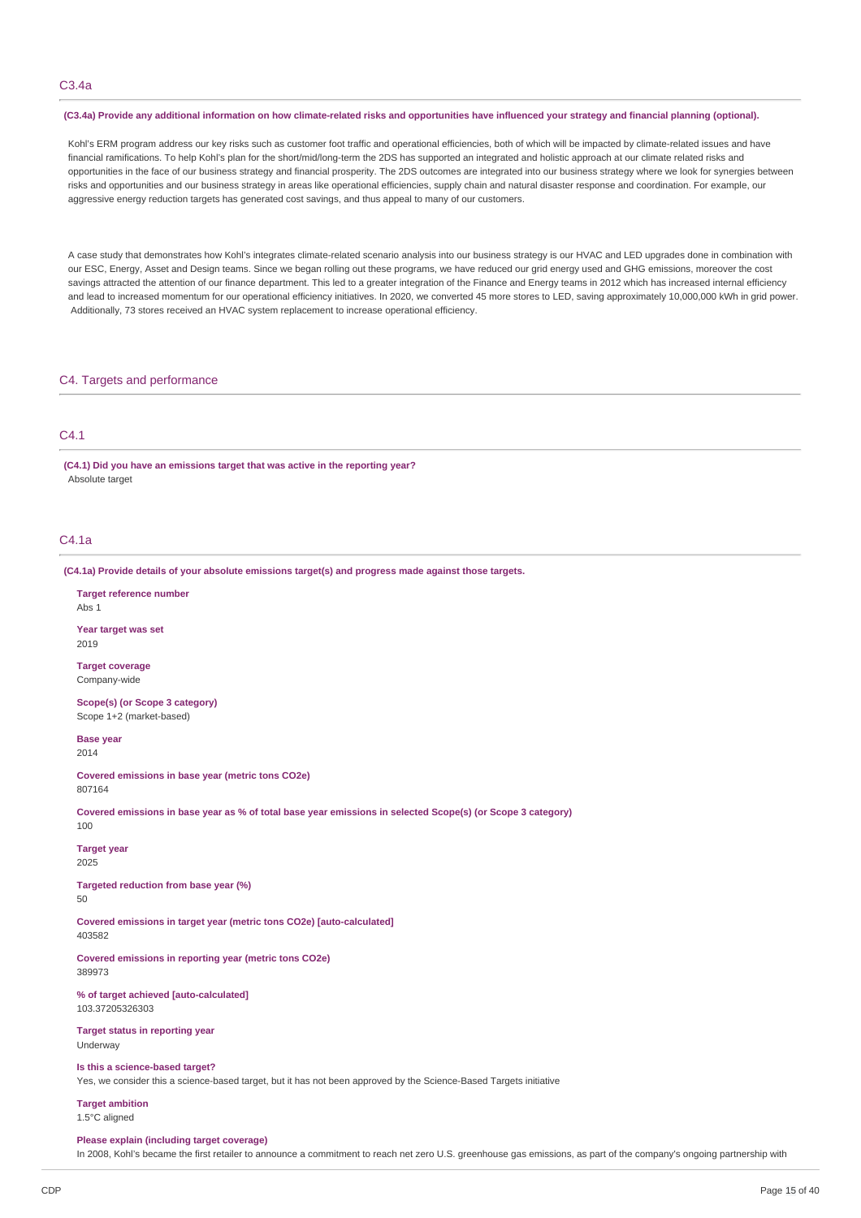# C3.4a

#### (C3.4a) Provide any additional information on how climate-related risks and opportunities have influenced your strategy and financial planning (optional).

Kohl's ERM program address our key risks such as customer foot traffic and operational efficiencies, both of which will be impacted by climate-related issues and have financial ramifications. To help Kohl's plan for the short/mid/long-term the 2DS has supported an integrated and holistic approach at our climate related risks and opportunities in the face of our business strategy and financial prosperity. The 2DS outcomes are integrated into our business strategy where we look for synergies between risks and opportunities and our business strategy in areas like operational efficiencies, supply chain and natural disaster response and coordination. For example, our aggressive energy reduction targets has generated cost savings, and thus appeal to many of our customers.

A case study that demonstrates how Kohl's integrates climate-related scenario analysis into our business strategy is our HVAC and LED upgrades done in combination with our ESC, Energy, Asset and Design teams. Since we began rolling out these programs, we have reduced our grid energy used and GHG emissions, moreover the cost savings attracted the attention of our finance department. This led to a greater integration of the Finance and Energy teams in 2012 which has increased internal efficiency and lead to increased momentum for our operational efficiency initiatives. In 2020, we converted 45 more stores to LED, saving approximately 10,000,000 kWh in grid power. Additionally, 73 stores received an HVAC system replacement to increase operational efficiency.

## C4. Targets and performance

# C4.1

**(C4.1) Did you have an emissions target that was active in the reporting year?** Absolute target

# C4.1a

**(C4.1a) Provide details of your absolute emissions target(s) and progress made against those targets.**

**Target reference number**  $A$ hs 1

**Year target was set** 2019

**Target coverage** Company-wide

**Scope(s) (or Scope 3 category)** Scope 1+2 (market-based)

**Base year** 2014

**Covered emissions in base year (metric tons CO2e)** 807164

Covered emissions in base year as % of total base year emissions in selected Scope(s) (or Scope 3 category)  $100$ 

#### **Target year** 2025

**Targeted reduction from base year (%)**

 $50$ 

**Covered emissions in target year (metric tons CO2e) [auto-calculated]** 403582

**Covered emissions in reporting year (metric tons CO2e)** 389973

**% of target achieved [auto-calculated]** 103.37205326303

**Target status in reporting year** Underway

# **Is this a science-based target?**

Yes, we consider this a science-based target, but it has not been approved by the Science-Based Targets initiative

**Target ambition**

# 1.5°C aligned

#### **Please explain (including target coverage)**

In 2008, Kohl's became the first retailer to announce a commitment to reach net zero U.S. greenhouse gas emissions, as part of the company's ongoing partnership with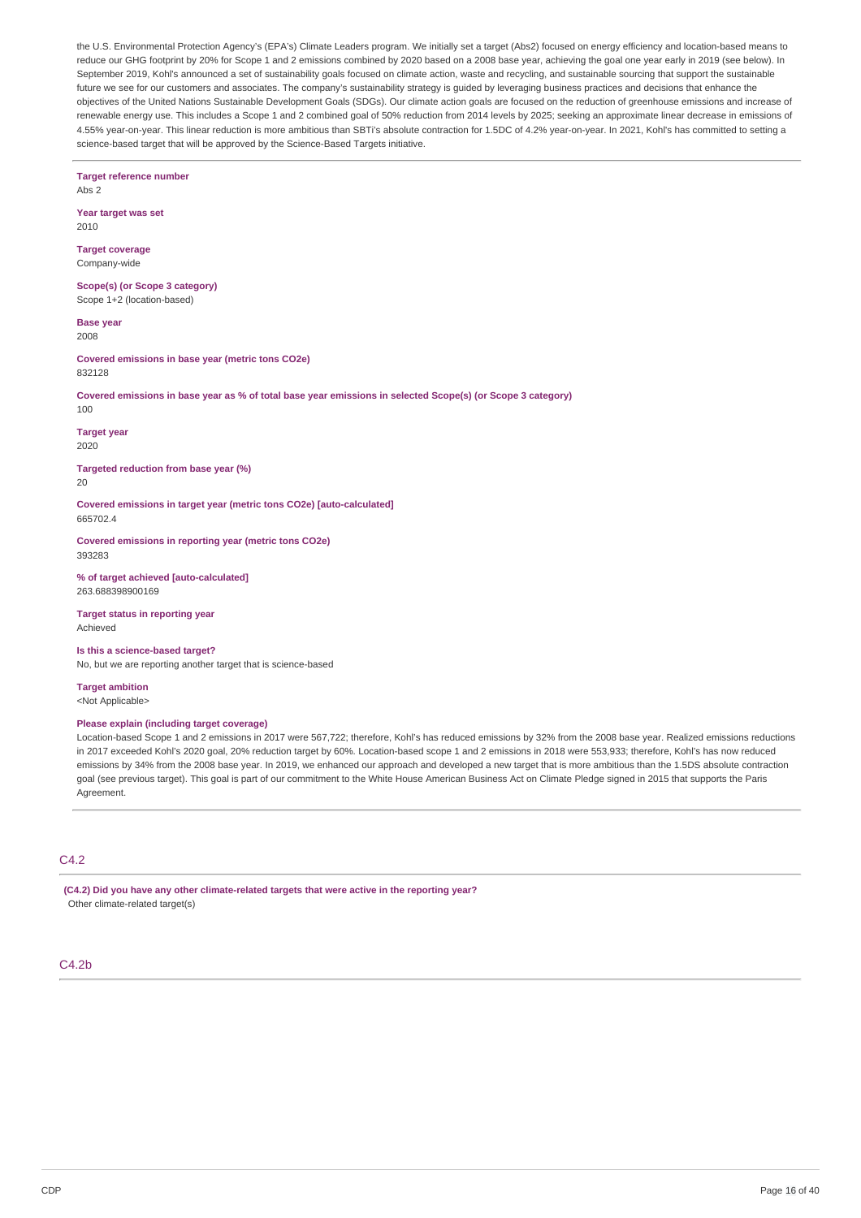the U.S. Environmental Protection Agency's (EPA's) Climate Leaders program. We initially set a target (Abs2) focused on energy efficiency and location-based means to reduce our GHG footprint by 20% for Scope 1 and 2 emissions combined by 2020 based on a 2008 base year, achieving the goal one year early in 2019 (see below). In September 2019, Kohl's announced a set of sustainability goals focused on climate action, waste and recycling, and sustainable sourcing that support the sustainable future we see for our customers and associates. The company's sustainability strategy is guided by leveraging business practices and decisions that enhance the objectives of the United Nations Sustainable Development Goals (SDGs). Our climate action goals are focused on the reduction of greenhouse emissions and increase of renewable energy use. This includes a Scope 1 and 2 combined goal of 50% reduction from 2014 levels by 2025; seeking an approximate linear decrease in emissions of 4.55% year-on-year. This linear reduction is more ambitious than SBTi's absolute contraction for 1.5DC of 4.2% year-on-year. In 2021, Kohl's has committed to setting a science-based target that will be approved by the Science-Based Targets initiative.

**Target reference number** Abs 2

**Year target was set** 2010

**Target coverage** Company-wide

**Scope(s) (or Scope 3 category)** Scope 1+2 (location-based)

**Base year** 2008

**Covered emissions in base year (metric tons CO2e)** 832128

Covered emissions in base year as % of total base year emissions in selected Scope(s) (or Scope 3 category) 100

**Target year** 2020

**Targeted reduction from base year (%)** 20

**Covered emissions in target year (metric tons CO2e) [auto-calculated]** 665702.4

**Covered emissions in reporting year (metric tons CO2e)** 393283

**% of target achieved [auto-calculated]** 263.688398900169

**Target status in reporting year** Achieved

**Is this a science-based target?** No, but we are reporting another target that is science-based

**Target ambition** <Not Applicable>

# **Please explain (including target coverage)**

Location-based Scope 1 and 2 emissions in 2017 were 567,722; therefore, Kohl's has reduced emissions by 32% from the 2008 base year. Realized emissions reductions in 2017 exceeded Kohl's 2020 goal, 20% reduction target by 60%. Location-based scope 1 and 2 emissions in 2018 were 553,933; therefore, Kohl's has now reduced emissions by 34% from the 2008 base year. In 2019, we enhanced our approach and developed a new target that is more ambitious than the 1.5DS absolute contraction goal (see previous target). This goal is part of our commitment to the White House American Business Act on Climate Pledge signed in 2015 that supports the Paris Agreement.

# C4.2

**(C4.2) Did you have any other climate-related targets that were active in the reporting year?** Other climate-related target(s)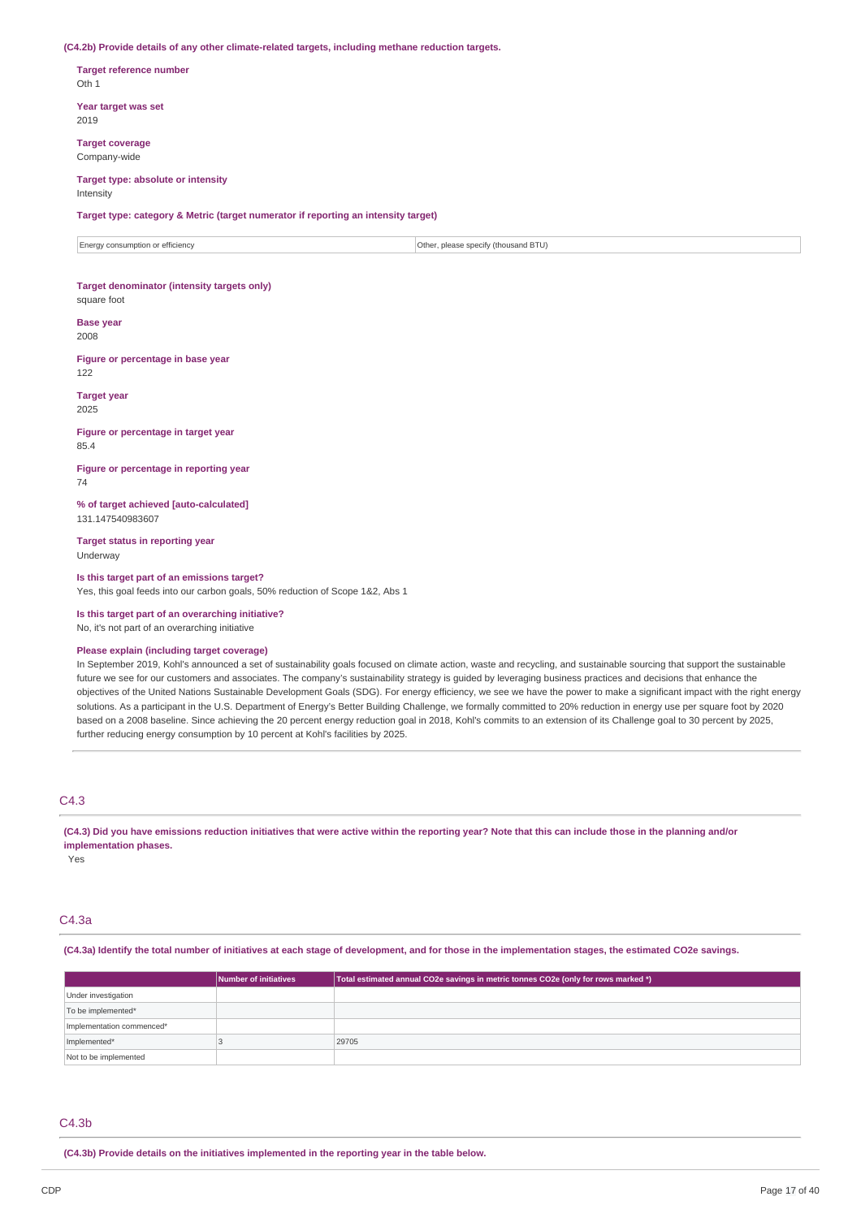#### **(C4.2b) Provide details of any other climate-related targets, including methane reduction targets.**

**Target reference number** Oth 1

**Year target was set** 2019

**Target coverage** Company-wide

#### **Target type: absolute or intensity** Intensity

**Target type: category & Metric (target numerator if reporting an intensity target)**

 $\vert$  Energy consumption or efficiency  $\vert$  Other, please specify (thousand BTU)

# **Target denominator (intensity targets only)**

square foot

# **Base year**

2008

**Figure or percentage in base year** 122

#### **Target year**

2025

#### **Figure or percentage in target year** 85.4

**Figure or percentage in reporting year** 74

**% of target achieved [auto-calculated]** 131.147540983607

**Target status in reporting year** Underway

#### **Is this target part of an emissions target?**

Yes, this goal feeds into our carbon goals, 50% reduction of Scope 1&2, Abs 1

**Is this target part of an overarching initiative?** No, it's not part of an overarching initiative

#### **Please explain (including target coverage)**

In September 2019, Kohl's announced a set of sustainability goals focused on climate action, waste and recycling, and sustainable sourcing that support the sustainable future we see for our customers and associates. The company's sustainability strategy is guided by leveraging business practices and decisions that enhance the objectives of the United Nations Sustainable Development Goals (SDG). For energy efficiency, we see we have the power to make a significant impact with the right energy solutions. As a participant in the U.S. Department of Energy's Better Building Challenge, we formally committed to 20% reduction in energy use per square foot by 2020 based on a 2008 baseline. Since achieving the 20 percent energy reduction goal in 2018, Kohl's commits to an extension of its Challenge goal to 30 percent by 2025, further reducing energy consumption by 10 percent at Kohl's facilities by 2025.

# C4.3

(C4.3) Did you have emissions reduction initiatives that were active within the reporting year? Note that this can include those in the planning and/or **implementation phases.**

Yes

## C4.3a

#### (C4.3a) Identify the total number of initiatives at each stage of development, and for those in the implementation stages, the estimated CO2e savings.

|                           | <b>Number of initiatives</b> | Total estimated annual CO2e savings in metric tonnes CO2e (only for rows marked *) |
|---------------------------|------------------------------|------------------------------------------------------------------------------------|
| Under investigation       |                              |                                                                                    |
| To be implemented*        |                              |                                                                                    |
| Implementation commenced* |                              |                                                                                    |
| Implemented*              |                              | 29705                                                                              |
| Not to be implemented     |                              |                                                                                    |

#### $C4.3<sub>b</sub>$

**(C4.3b) Provide details on the initiatives implemented in the reporting year in the table below.**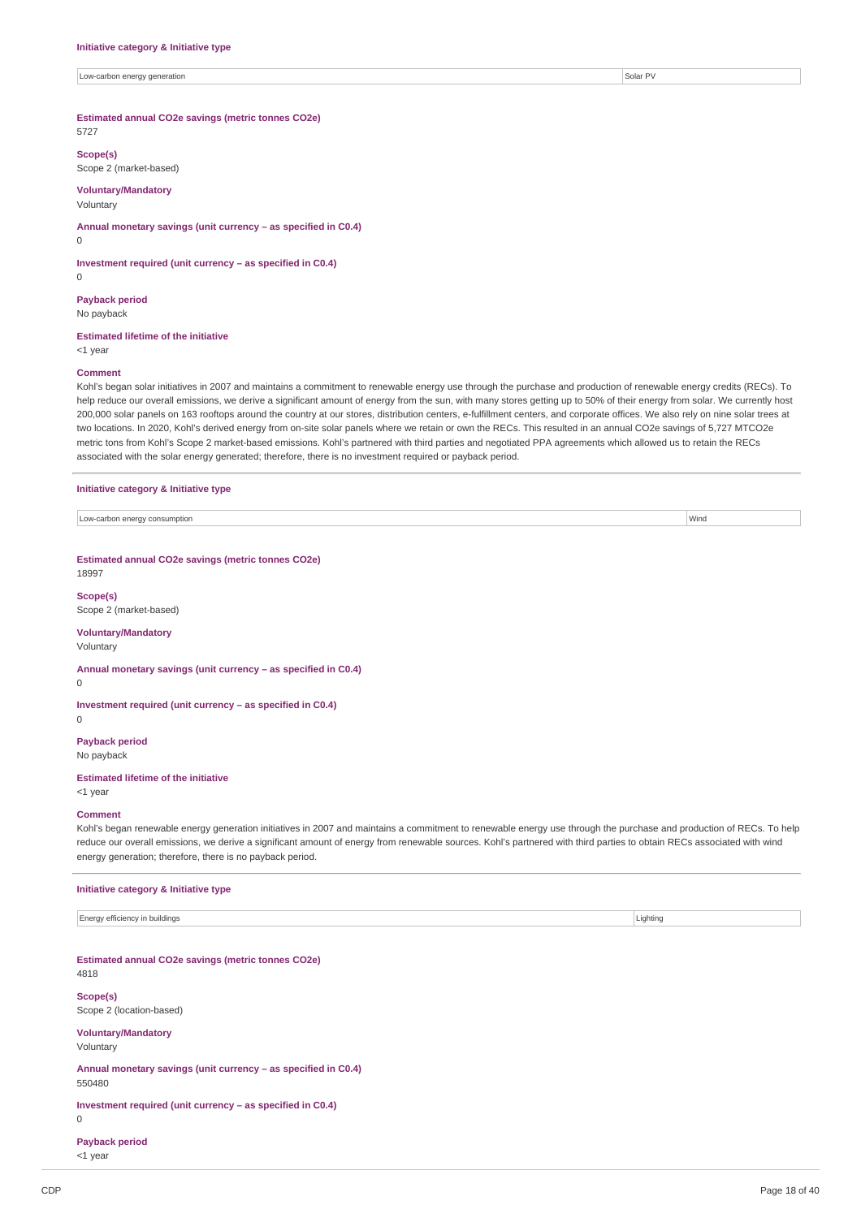Low-carbon energy generation Solar PV and the control of the state of the state of the state of the state of the state of the state of the state of the state of the state of the state of the state of the state of the state

# **Estimated annual CO2e savings (metric tonnes CO2e)**

5727

## **Scope(s)**

Scope 2 (market-based)

# **Voluntary/Mandatory**

Voluntary

# **Annual monetary savings (unit currency – as specified in C0.4)**

**Investment required (unit currency – as specified in C0.4)**

0

 $\Omega$ 

**Payback period** No payback

#### **Estimated lifetime of the initiative**

<1 year

## **Comment**

Kohl's began solar initiatives in 2007 and maintains a commitment to renewable energy use through the purchase and production of renewable energy credits (RECs). To help reduce our overall emissions, we derive a significant amount of energy from the sun, with many stores getting up to 50% of their energy from solar. We currently host 200,000 solar panels on 163 rooftops around the country at our stores, distribution centers, e-fulfillment centers, and corporate offices. We also rely on nine solar trees at two locations. In 2020, Kohl's derived energy from on-site solar panels where we retain or own the RECs. This resulted in an annual CO2e savings of 5,727 MTCO2e metric tons from Kohl's Scope 2 market-based emissions. Kohl's partnered with third parties and negotiated PPA agreements which allowed us to retain the RECs associated with the solar energy generated; therefore, there is no investment required or payback period.

#### **Initiative category & Initiative type**

| / consumptior<br>$\bigcap A$<br>hon energy.<br>⊶rarr<br>- | Wind |
|-----------------------------------------------------------|------|

**Estimated annual CO2e savings (metric tonnes CO2e)** 18997

# **Scope(s)**

Scope 2 (market-based)

# **Voluntary/Mandatory**

Voluntary

**Annual monetary savings (unit currency – as specified in C0.4)**

 $\theta$ 

# **Investment required (unit currency – as specified in C0.4)**

 $\Omega$ 

#### **Payback period** No payback

**Estimated lifetime of the initiative**

<1 year

#### **Comment**

Kohl's began renewable energy generation initiatives in 2007 and maintains a commitment to renewable energy use through the purchase and production of RECs. To help reduce our overall emissions, we derive a significant amount of energy from renewable sources. Kohl's partnered with third parties to obtain RECs associated with wind energy generation; therefore, there is no payback period.

#### **Initiative category & Initiative type**

Energy efficiency in buildings **Lighting** Lighting **Lighting** Lighting **Lighting** Lighting **Lighting** 

**Estimated annual CO2e savings (metric tonnes CO2e)** 4818

#### **Scope(s)**

Scope 2 (location-based)

#### **Voluntary/Mandatory**

Voluntary

## **Annual monetary savings (unit currency – as specified in C0.4)** 550480

**Investment required (unit currency – as specified in C0.4)**

#### $\overline{0}$

**Payback period**

# <1 year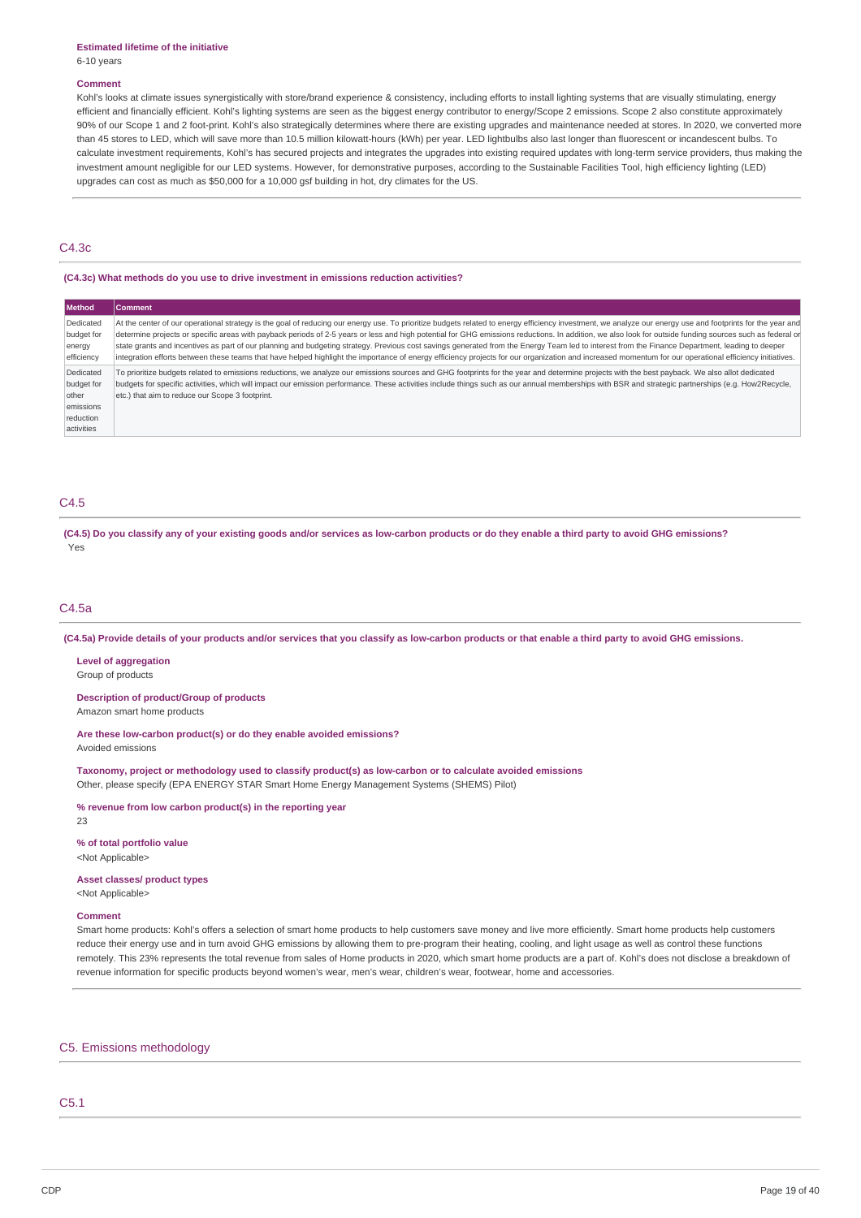# **Estimated lifetime of the initiative**

6-10 years

## **Comment**

Kohl's looks at climate issues synergistically with store/brand experience & consistency, including efforts to install lighting systems that are visually stimulating, energy efficient and financially efficient. Kohl's lighting systems are seen as the biggest energy contributor to energy/Scope 2 emissions. Scope 2 also constitute approximately 90% of our Scope 1 and 2 foot-print. Kohl's also strategically determines where there are existing upgrades and maintenance needed at stores. In 2020, we converted more than 45 stores to LED, which will save more than 10.5 million kilowatt-hours (kWh) per year. LED lightbulbs also last longer than fluorescent or incandescent bulbs. To calculate investment requirements, Kohl's has secured projects and integrates the upgrades into existing required updates with long-term service providers, thus making the investment amount negligible for our LED systems. However, for demonstrative purposes, according to the Sustainable Facilities Tool, high efficiency lighting (LED) upgrades can cost as much as \$50,000 for a 10,000 gsf building in hot, dry climates for the US.

# C4.3c

# **(C4.3c) What methods do you use to drive investment in emissions reduction activities?**

| <b>Method</b>                                                            | <b>Comment</b>                                                                                                                                                                                                                                                                                                                                                                                                                                                                                                                                                                                                                                                                                                                                                                                                                       |
|--------------------------------------------------------------------------|--------------------------------------------------------------------------------------------------------------------------------------------------------------------------------------------------------------------------------------------------------------------------------------------------------------------------------------------------------------------------------------------------------------------------------------------------------------------------------------------------------------------------------------------------------------------------------------------------------------------------------------------------------------------------------------------------------------------------------------------------------------------------------------------------------------------------------------|
| Dedicated<br>budget for<br>energy<br>efficiency                          | At the center of our operational strategy is the goal of reducing our energy use. To prioritize budgets related to energy efficiency investment, we analyze our energy use and footprints for the year and<br>determine projects or specific areas with payback periods of 2-5 years or less and high potential for GHG emissions reductions. In addition, we also look for outside funding sources such as federal or<br>state grants and incentives as part of our planning and budgeting strategy. Previous cost savings generated from the Energy Team led to interest from the Finance Department, leading to deeper<br>integration efforts between these teams that have helped highlight the importance of energy efficiency projects for our organization and increased momentum for our operational efficiency initiatives. |
| Dedicated<br>budget for<br>other<br>emissions<br>reduction<br>activities | To prioritize budgets related to emissions reductions, we analyze our emissions sources and GHG footprints for the year and determine projects with the best payback. We also allot dedicated<br>budgets for specific activities, which will impact our emission performance. These activities include things such as our annual memberships with BSR and strategic partnerships (e.g. How2Recycle,<br>etc.) that aim to reduce our Scope 3 footprint.                                                                                                                                                                                                                                                                                                                                                                               |

# C4.5

(C4.5) Do you classify any of your existing goods and/or services as low-carbon products or do they enable a third party to avoid GHG emissions? Yes

## C4.5a

(C4.5a) Provide details of your products and/or services that you classify as low-carbon products or that enable a third party to avoid GHG emissions.

**Level of aggregation** Group of products

**Description of product/Group of products**

Amazon smart home products

**Are these low-carbon product(s) or do they enable avoided emissions?** Avoided emissions

**Taxonomy, project or methodology used to classify product(s) as low-carbon or to calculate avoided emissions** Other, please specify (EPA ENERGY STAR Smart Home Energy Management Systems (SHEMS) Pilot)

**% revenue from low carbon product(s) in the reporting year**

23

**% of total portfolio value** <Not Applicable>

**Asset classes/ product types**

<Not Applicable>

# **Comment**

Smart home products: Kohl's offers a selection of smart home products to help customers save money and live more efficiently. Smart home products help customers reduce their energy use and in turn avoid GHG emissions by allowing them to pre-program their heating, cooling, and light usage as well as control these functions remotely. This 23% represents the total revenue from sales of Home products in 2020, which smart home products are a part of. Kohl's does not disclose a breakdown of revenue information for specific products beyond women's wear, men's wear, children's wear, footwear, home and accessories.

#### C5. Emissions methodology

# C5.1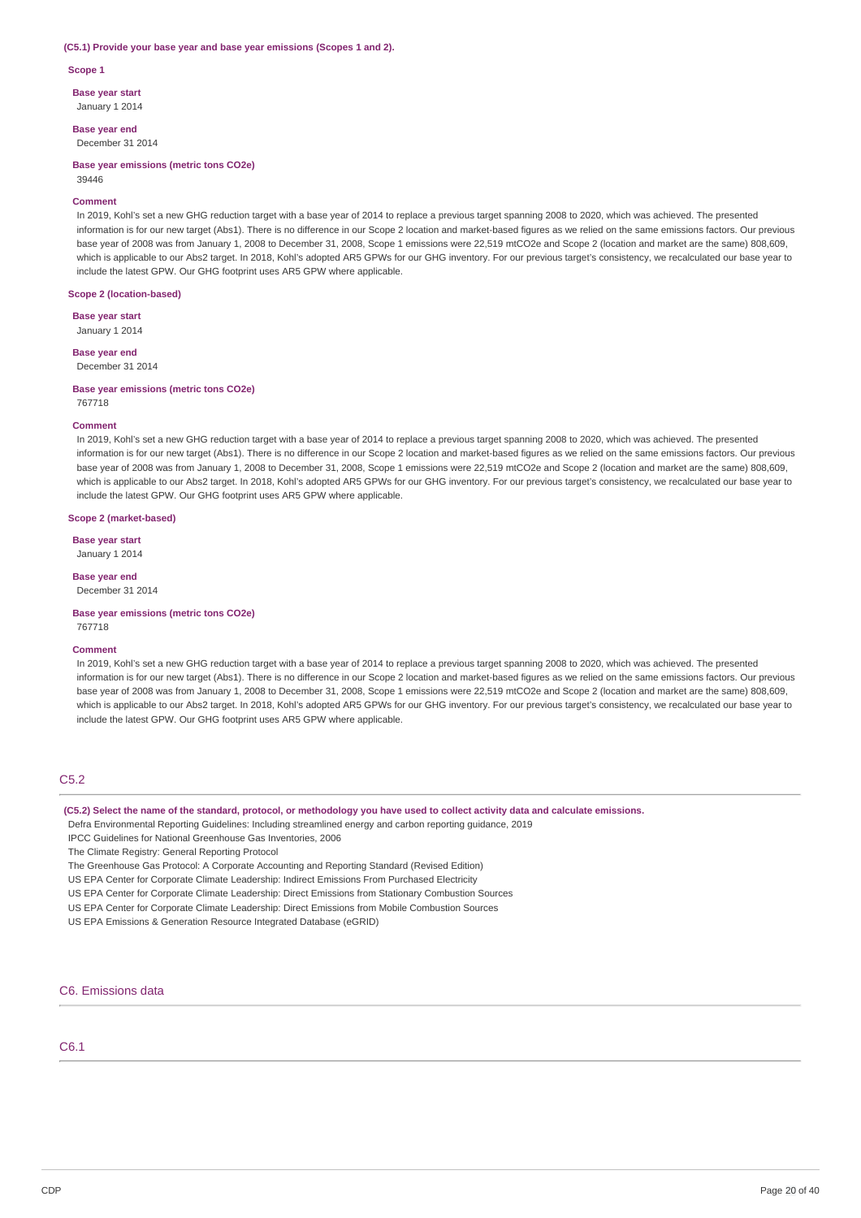#### **(C5.1) Provide your base year and base year emissions (Scopes 1 and 2).**

**Scope 1**

**Base year start**

January 1 2014

**Base year end** December 31 2014

**Base year emissions (metric tons CO2e)** 39446

#### **Comment**

In 2019, Kohl's set a new GHG reduction target with a base year of 2014 to replace a previous target spanning 2008 to 2020, which was achieved. The presented information is for our new target (Abs1). There is no difference in our Scope 2 location and market-based figures as we relied on the same emissions factors. Our previous base year of 2008 was from January 1, 2008 to December 31, 2008, Scope 1 emissions were 22,519 mtCO2e and Scope 2 (location and market are the same) 808,609, which is applicable to our Abs2 target. In 2018, Kohl's adopted AR5 GPWs for our GHG inventory. For our previous target's consistency, we recalculated our base year to include the latest GPW. Our GHG footprint uses AR5 GPW where applicable.

#### **Scope 2 (location-based)**

**Base year start** January 1 2014

#### **Base year end** December 31 2014

**Base year emissions (metric tons CO2e)** 767718

#### **Comment**

In 2019, Kohl's set a new GHG reduction target with a base year of 2014 to replace a previous target spanning 2008 to 2020, which was achieved. The presented information is for our new target (Abs1). There is no difference in our Scope 2 location and market-based figures as we relied on the same emissions factors. Our previous base year of 2008 was from January 1, 2008 to December 31, 2008, Scope 1 emissions were 22,519 mtCO2e and Scope 2 (location and market are the same) 808,609, which is applicable to our Abs2 target. In 2018, Kohl's adopted AR5 GPWs for our GHG inventory. For our previous target's consistency, we recalculated our base year to include the latest GPW. Our GHG footprint uses AR5 GPW where applicable.

## **Scope 2 (market-based)**

**Base year start** January 1 2014

#### **Base year end**

December 31 2014

**Base year emissions (metric tons CO2e)** 767718

#### **Comment**

In 2019, Kohl's set a new GHG reduction target with a base year of 2014 to replace a previous target spanning 2008 to 2020, which was achieved. The presented information is for our new target (Abs1). There is no difference in our Scope 2 location and market-based figures as we relied on the same emissions factors. Our previous base year of 2008 was from January 1, 2008 to December 31, 2008, Scope 1 emissions were 22,519 mtCO2e and Scope 2 (location and market are the same) 808,609, which is applicable to our Abs2 target. In 2018, Kohl's adopted AR5 GPWs for our GHG inventory. For our previous target's consistency, we recalculated our base year to include the latest GPW. Our GHG footprint uses AR5 GPW where applicable.

# C5.2

# (C5.2) Select the name of the standard, protocol, or methodology you have used to collect activity data and calculate emissions.

- Defra Environmental Reporting Guidelines: Including streamlined energy and carbon reporting guidance, 2019
- IPCC Guidelines for National Greenhouse Gas Inventories, 2006

The Climate Registry: General Reporting Protocol

The Greenhouse Gas Protocol: A Corporate Accounting and Reporting Standard (Revised Edition)

- US EPA Center for Corporate Climate Leadership: Indirect Emissions From Purchased Electricity
- US EPA Center for Corporate Climate Leadership: Direct Emissions from Stationary Combustion Sources

US EPA Center for Corporate Climate Leadership: Direct Emissions from Mobile Combustion Sources

US EPA Emissions & Generation Resource Integrated Database (eGRID)

# C6. Emissions data

# C6.1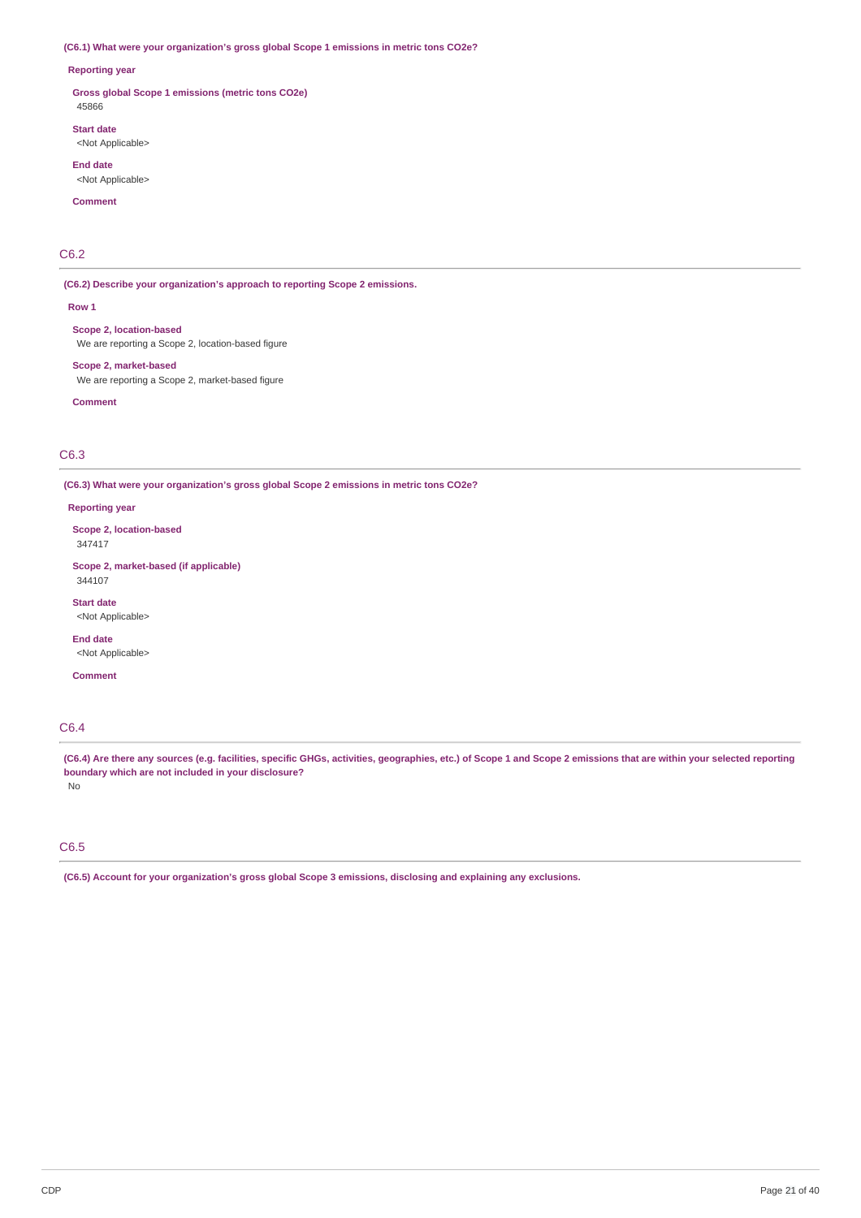# **(C6.1) What were your organization's gross global Scope 1 emissions in metric tons CO2e?**

#### **Reporting year**

**Gross global Scope 1 emissions (metric tons CO2e)** 45866

**Start date** <Not Applicable>

**End date** <Not Applicable>

**Comment**

# C6.2

**(C6.2) Describe your organization's approach to reporting Scope 2 emissions.**

**Row 1**

**Scope 2, location-based** We are reporting a Scope 2, location-based figure

**Scope 2, market-based** We are reporting a Scope 2, market-based figure

**Comment**

# C6.3

**(C6.3) What were your organization's gross global Scope 2 emissions in metric tons CO2e?**

#### **Reporting year**

**Scope 2, location-based** 347417

**Scope 2, market-based (if applicable)** 344107

**Start date** <Not Applicable>

**End date** <Not Applicable>

**Comment**

# C6.4

(C6.4) Are there any sources (e.g. facilities, specific GHGs, activities, geographies, etc.) of Scope 1 and Scope 2 emissions that are within your selected reporting **boundary which are not included in your disclosure?** No

# C6.5

**(C6.5) Account for your organization's gross global Scope 3 emissions, disclosing and explaining any exclusions.**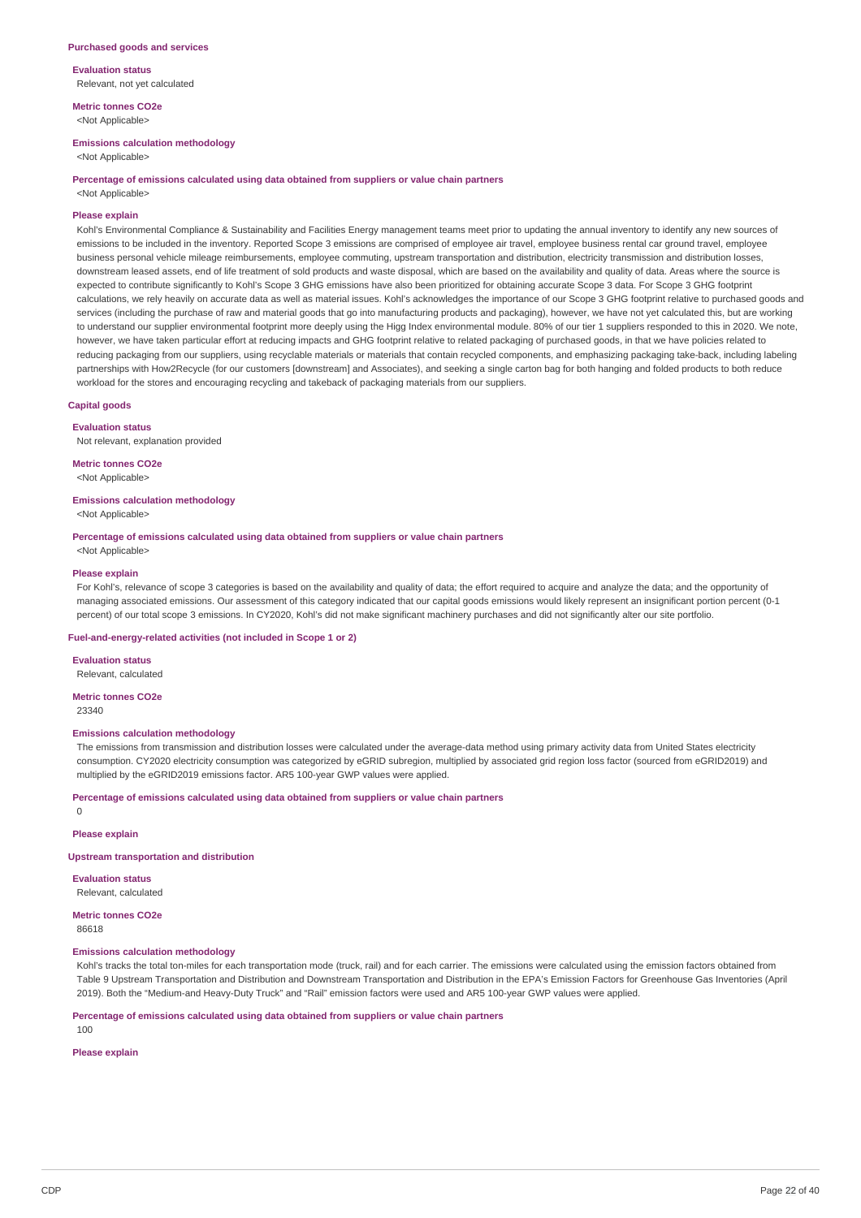**Evaluation status** Relevant, not yet calculated

**Metric tonnes CO2e** <Not Applicable>

#### **Emissions calculation methodology**

<Not Applicable>

#### **Percentage of emissions calculated using data obtained from suppliers or value chain partners**

<Not Applicable>

## **Please explain**

Kohl's Environmental Compliance & Sustainability and Facilities Energy management teams meet prior to updating the annual inventory to identify any new sources of emissions to be included in the inventory. Reported Scope 3 emissions are comprised of employee air travel, employee business rental car ground travel, employee business personal vehicle mileage reimbursements, employee commuting, upstream transportation and distribution, electricity transmission and distribution losses, downstream leased assets, end of life treatment of sold products and waste disposal, which are based on the availability and quality of data. Areas where the source is expected to contribute significantly to Kohl's Scope 3 GHG emissions have also been prioritized for obtaining accurate Scope 3 data. For Scope 3 GHG footprint calculations, we rely heavily on accurate data as well as material issues. Kohl's acknowledges the importance of our Scope 3 GHG footprint relative to purchased goods and services (including the purchase of raw and material goods that go into manufacturing products and packaging), however, we have not yet calculated this, but are working to understand our supplier environmental footprint more deeply using the Higg Index environmental module. 80% of our tier 1 suppliers responded to this in 2020. We note, however, we have taken particular effort at reducing impacts and GHG footprint relative to related packaging of purchased goods, in that we have policies related to reducing packaging from our suppliers, using recyclable materials or materials that contain recycled components, and emphasizing packaging take-back, including labeling partnerships with How2Recycle (for our customers [downstream] and Associates), and seeking a single carton bag for both hanging and folded products to both reduce workload for the stores and encouraging recycling and takeback of packaging materials from our suppliers.

# **Capital goods**

**Evaluation status** Not relevant, explanation provided

**Metric tonnes CO2e**

<Not Applicable>

# **Emissions calculation methodology**

<Not Applicable>

# **Percentage of emissions calculated using data obtained from suppliers or value chain partners**

<Not Applicable>

#### **Please explain**

For Kohl's, relevance of scope 3 categories is based on the availability and quality of data; the effort required to acquire and analyze the data; and the opportunity of managing associated emissions. Our assessment of this category indicated that our capital goods emissions would likely represent an insignificant portion percent (0-1 percent) of our total scope 3 emissions. In CY2020, Kohl's did not make significant machinery purchases and did not significantly alter our site portfolio.

#### **Fuel-and-energy-related activities (not included in Scope 1 or 2)**

**Evaluation status** Relevant, calculated

**Metric tonnes CO2e**

23340

 $\Omega$ 

## **Emissions calculation methodology**

The emissions from transmission and distribution losses were calculated under the average-data method using primary activity data from United States electricity consumption. CY2020 electricity consumption was categorized by eGRID subregion, multiplied by associated grid region loss factor (sourced from eGRID2019) and multiplied by the eGRID2019 emissions factor. AR5 100-year GWP values were applied.

#### **Percentage of emissions calculated using data obtained from suppliers or value chain partners**

**Please explain**

#### **Upstream transportation and distribution**

**Evaluation status** Relevant, calculated

**Metric tonnes CO2e** 86618

#### **Emissions calculation methodology**

Kohl's tracks the total ton-miles for each transportation mode (truck, rail) and for each carrier. The emissions were calculated using the emission factors obtained from Table 9 Upstream Transportation and Distribution and Downstream Transportation and Distribution in the EPA's Emission Factors for Greenhouse Gas Inventories (April 2019). Both the "Medium-and Heavy-Duty Truck" and "Rail" emission factors were used and AR5 100-year GWP values were applied.

**Percentage of emissions calculated using data obtained from suppliers or value chain partners**

100

# **Please explain**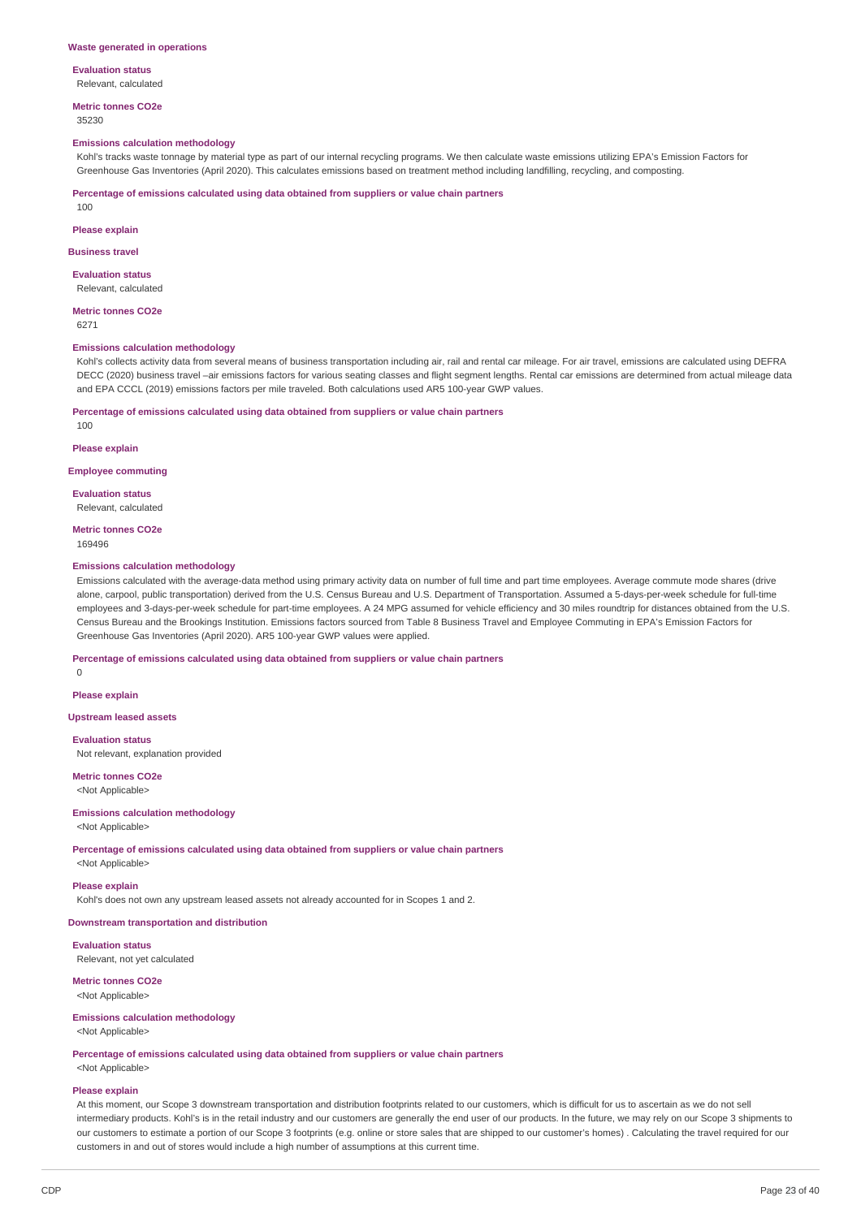# **Evaluation status**

Relevant, calculated

**Metric tonnes CO2e**

# 35230

## **Emissions calculation methodology**

Kohl's tracks waste tonnage by material type as part of our internal recycling programs. We then calculate waste emissions utilizing EPA's Emission Factors for Greenhouse Gas Inventories (April 2020). This calculates emissions based on treatment method including landfilling, recycling, and composting.

**Percentage of emissions calculated using data obtained from suppliers or value chain partners**

100

#### **Please explain**

**Business travel**

#### **Evaluation status** Relevant, calculated

#### **Metric tonnes CO2e** 6271

100

#### **Emissions calculation methodology**

Kohl's collects activity data from several means of business transportation including air, rail and rental car mileage. For air travel, emissions are calculated using DEFRA DECC (2020) business travel –air emissions factors for various seating classes and flight segment lengths. Rental car emissions are determined from actual mileage data and EPA CCCL (2019) emissions factors per mile traveled. Both calculations used AR5 100-year GWP values.

**Percentage of emissions calculated using data obtained from suppliers or value chain partners**

# **Please explain**

**Employee commuting**

**Evaluation status** Relevant, calculated

**Metric tonnes CO2e**

169496

## **Emissions calculation methodology**

Emissions calculated with the average-data method using primary activity data on number of full time and part time employees. Average commute mode shares (drive alone, carpool, public transportation) derived from the U.S. Census Bureau and U.S. Department of Transportation. Assumed a 5-days-per-week schedule for full-time employees and 3-days-per-week schedule for part-time employees. A 24 MPG assumed for vehicle efficiency and 30 miles roundtrip for distances obtained from the U.S. Census Bureau and the Brookings Institution. Emissions factors sourced from Table 8 Business Travel and Employee Commuting in EPA's Emission Factors for Greenhouse Gas Inventories (April 2020). AR5 100-year GWP values were applied.

**Percentage of emissions calculated using data obtained from suppliers or value chain partners**

 $\Omega$ 

**Please explain**

**Upstream leased assets**

#### **Evaluation status**

Not relevant, explanation provided

**Metric tonnes CO2e** <Not Applicable>

## **Emissions calculation methodology**

<Not Applicable>

**Percentage of emissions calculated using data obtained from suppliers or value chain partners**

<Not Applicable>

## **Please explain**

Kohl's does not own any upstream leased assets not already accounted for in Scopes 1 and 2.

## **Downstream transportation and distribution**

**Evaluation status** Relevant, not yet calculated

## **Metric tonnes CO2e**

<Not Applicable>

#### **Emissions calculation methodology** <Not Applicable>

**Percentage of emissions calculated using data obtained from suppliers or value chain partners** <Not Applicable>

#### **Please explain**

At this moment, our Scope 3 downstream transportation and distribution footprints related to our customers, which is difficult for us to ascertain as we do not sell intermediary products. Kohl's is in the retail industry and our customers are generally the end user of our products. In the future, we may rely on our Scope 3 shipments to our customers to estimate a portion of our Scope 3 footprints (e.g. online or store sales that are shipped to our customer's homes) . Calculating the travel required for our customers in and out of stores would include a high number of assumptions at this current time.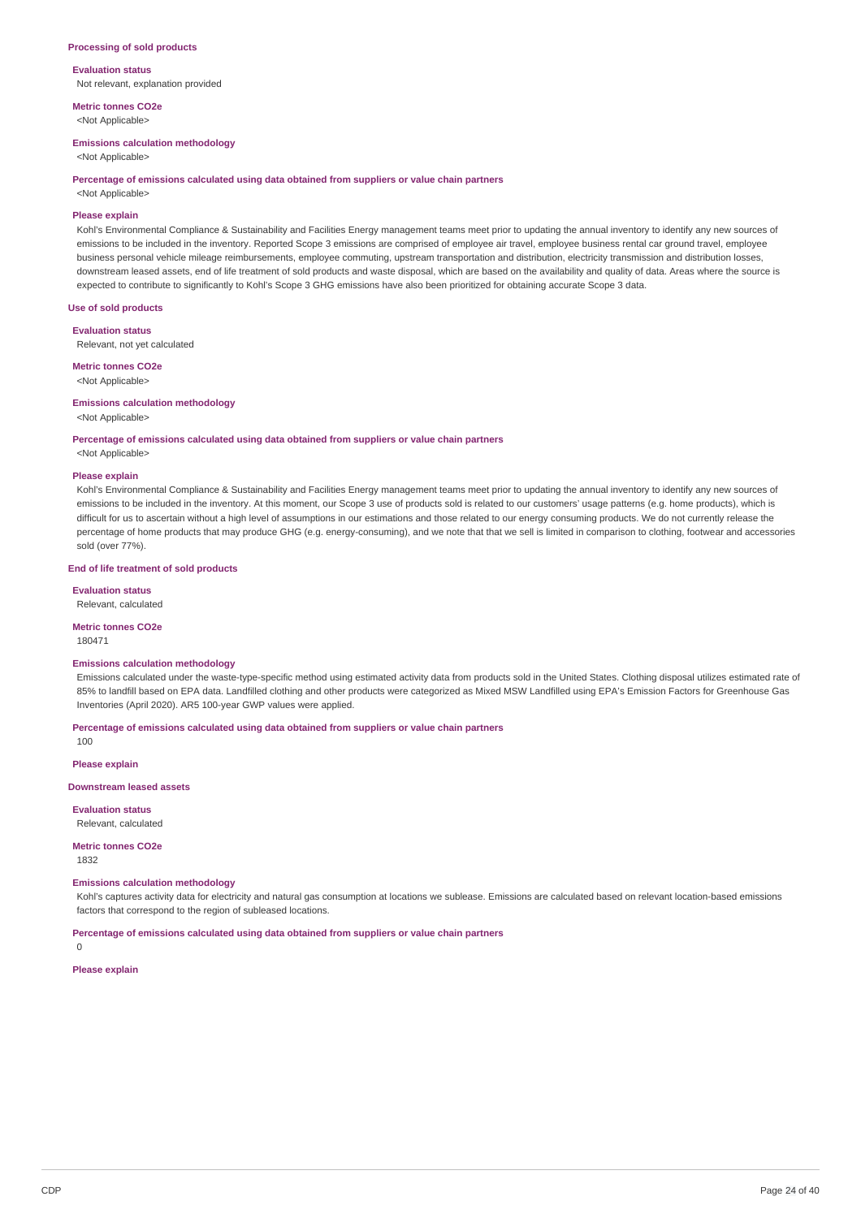#### **Processing of sold products**

**Evaluation status** Not relevant, explanation provided

**Metric tonnes CO2e** <Not Applicable>

**Emissions calculation methodology**

<Not Applicable>

#### **Percentage of emissions calculated using data obtained from suppliers or value chain partners**

<Not Applicable>

## **Please explain**

Kohl's Environmental Compliance & Sustainability and Facilities Energy management teams meet prior to updating the annual inventory to identify any new sources of emissions to be included in the inventory. Reported Scope 3 emissions are comprised of employee air travel, employee business rental car ground travel, employee business personal vehicle mileage reimbursements, employee commuting, upstream transportation and distribution, electricity transmission and distribution losses, downstream leased assets, end of life treatment of sold products and waste disposal, which are based on the availability and quality of data. Areas where the source is expected to contribute to significantly to Kohl's Scope 3 GHG emissions have also been prioritized for obtaining accurate Scope 3 data.

# **Use of sold products**

**Evaluation status**

Relevant, not yet calculated

#### **Metric tonnes CO2e**

<Not Applicable>

#### **Emissions calculation methodology**

<Not Applicable>

#### **Percentage of emissions calculated using data obtained from suppliers or value chain partners**

# <Not Applicable> **Please explain**

Kohl's Environmental Compliance & Sustainability and Facilities Energy management teams meet prior to updating the annual inventory to identify any new sources of emissions to be included in the inventory. At this moment, our Scope 3 use of products sold is related to our customers' usage patterns (e.g. home products), which is difficult for us to ascertain without a high level of assumptions in our estimations and those related to our energy consuming products. We do not currently release the percentage of home products that may produce GHG (e.g. energy-consuming), and we note that that we sell is limited in comparison to clothing, footwear and accessories sold (over 77%).

## **End of life treatment of sold products**

**Evaluation status** Relevant, calculated

#### **Metric tonnes CO2e**

180471

#### **Emissions calculation methodology**

Emissions calculated under the waste-type-specific method using estimated activity data from products sold in the United States. Clothing disposal utilizes estimated rate of 85% to landfill based on EPA data. Landfilled clothing and other products were categorized as Mixed MSW Landfilled using EPA's Emission Factors for Greenhouse Gas Inventories (April 2020). AR5 100-year GWP values were applied.

**Percentage of emissions calculated using data obtained from suppliers or value chain partners**

100

#### **Please explain**

**Downstream leased assets**

**Evaluation status** Relevant, calculated

## **Metric tonnes CO2e**

1832

# **Emissions calculation methodology**

Kohl's captures activity data for electricity and natural gas consumption at locations we sublease. Emissions are calculated based on relevant location-based emissions factors that correspond to the region of subleased locations.

## **Percentage of emissions calculated using data obtained from suppliers or value chain partners**

 $\Omega$ 

# **Please explain**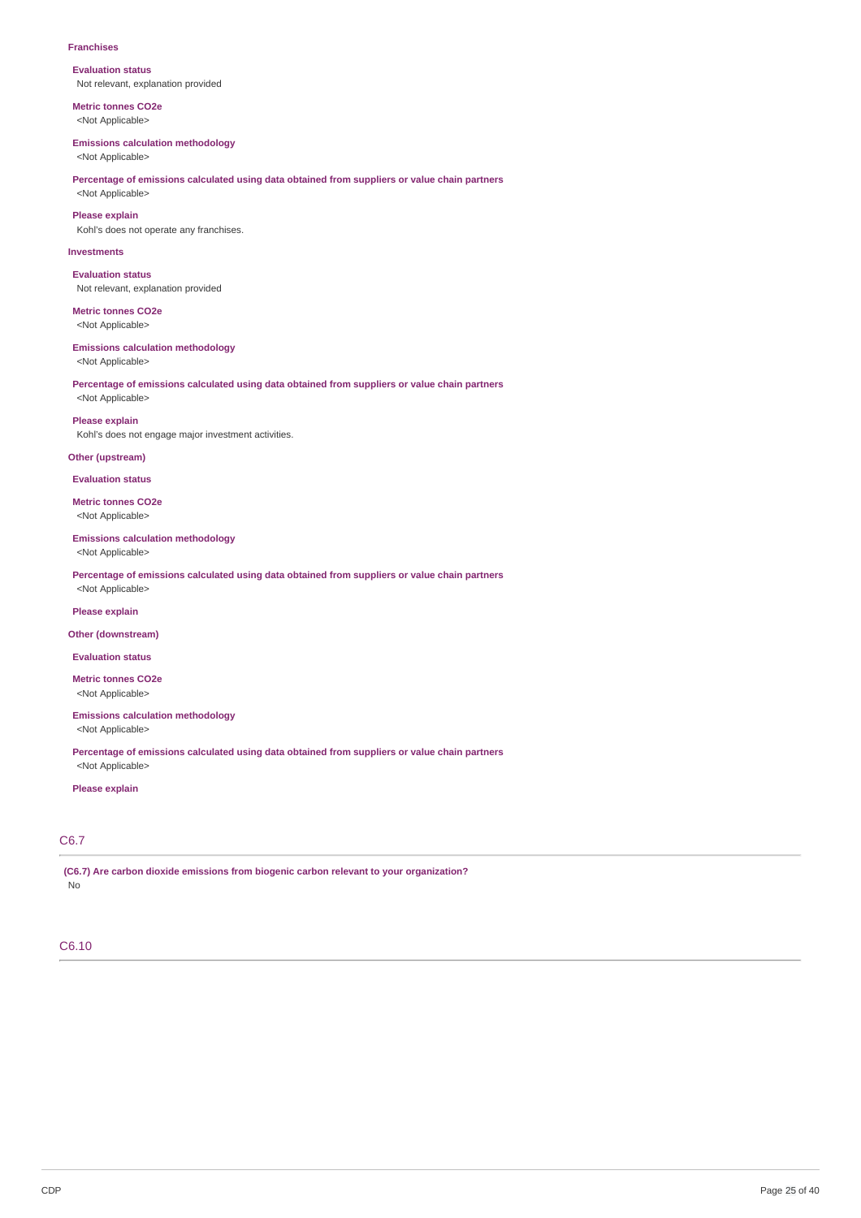#### **Franchises**

**Evaluation status** Not relevant, explanation provided

**Metric tonnes CO2e** <Not Applicable>

# **Emissions calculation methodology**

<Not Applicable>

## **Percentage of emissions calculated using data obtained from suppliers or value chain partners** <Not Applicable>

**Please explain**

Kohl's does not operate any franchises.

## **Investments**

**Evaluation status** Not relevant, explanation provided

**Metric tonnes CO2e** <Not Applicable>

# **Emissions calculation methodology**

<Not Applicable>

## **Percentage of emissions calculated using data obtained from suppliers or value chain partners** <Not Applicable>

**Please explain**

Kohl's does not engage major investment activities.

# **Other (upstream)**

**Evaluation status**

**Metric tonnes CO2e** <Not Applicable>

# **Emissions calculation methodology**

<Not Applicable>

**Percentage of emissions calculated using data obtained from suppliers or value chain partners** <Not Applicable>

## **Please explain**

#### **Other (downstream)**

**Evaluation status**

**Metric tonnes CO2e** <Not Applicable>

# **Emissions calculation methodology**

<Not Applicable>

**Percentage of emissions calculated using data obtained from suppliers or value chain partners** <Not Applicable>

## **Please explain**

# C6.7

**(C6.7) Are carbon dioxide emissions from biogenic carbon relevant to your organization?** No

# C6.10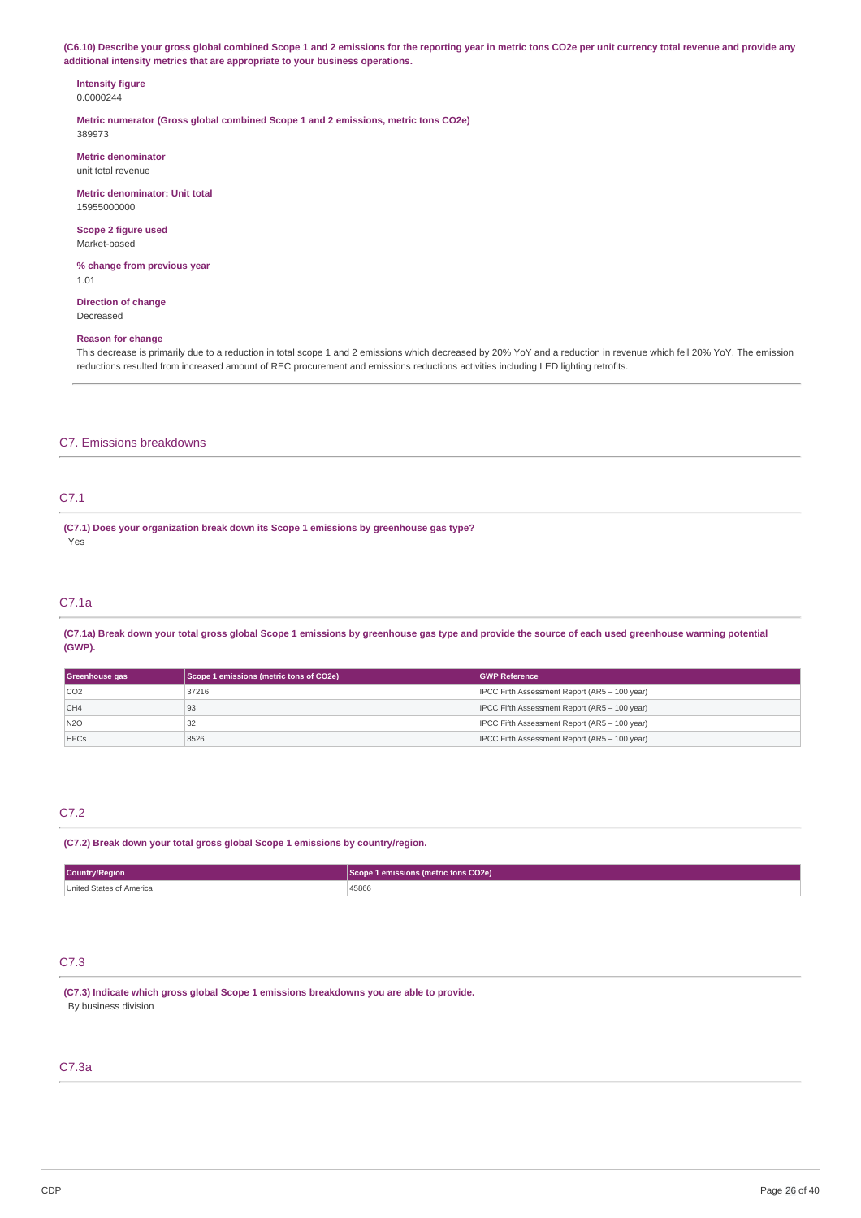(C6.10) Describe your gross global combined Scope 1 and 2 emissions for the reporting year in metric tons CO2e per unit currency total revenue and provide any **additional intensity metrics that are appropriate to your business operations.**

## **Intensity figure** 0.0000244

**Metric numerator (Gross global combined Scope 1 and 2 emissions, metric tons CO2e)** 389973

**Metric denominator** unit total revenue

**Metric denominator: Unit total** 15955000000

**Scope 2 figure used** Market-based

**% change from previous year** 1.01

**Direction of change** Decreased

# **Reason for change**

This decrease is primarily due to a reduction in total scope 1 and 2 emissions which decreased by 20% YoY and a reduction in revenue which fell 20% YoY. The emission reductions resulted from increased amount of REC procurement and emissions reductions activities including LED lighting retrofits.

# C7. Emissions breakdowns

# C7.1

**(C7.1) Does your organization break down its Scope 1 emissions by greenhouse gas type?** Yes

# C7.1a

(C7.1a) Break down your total gross global Scope 1 emissions by greenhouse gas type and provide the source of each used greenhouse warming potential **(GWP).**

| Greenhouse gas | Scope 1 emissions (metric tons of CO2e) | <b>GWP Reference</b>                          |  |
|----------------|-----------------------------------------|-----------------------------------------------|--|
| CO2            | 37216                                   | IPCC Fifth Assessment Report (AR5 - 100 year) |  |
| CH4            | 93                                      | IPCC Fifth Assessment Report (AR5 - 100 year) |  |
| N2O            | 32                                      | IPCC Fifth Assessment Report (AR5 - 100 year) |  |
| <b>HFCs</b>    | 8526                                    | IPCC Fifth Assessment Report (AR5 - 100 year) |  |

# C7.2

**(C7.2) Break down your total gross global Scope 1 emissions by country/region.**

| Country/Region           | Scope 1 emissions (metric tons CO2e) |
|--------------------------|--------------------------------------|
| United States of America |                                      |
|                          | 45866                                |

# C7.3

**(C7.3) Indicate which gross global Scope 1 emissions breakdowns you are able to provide.** By business division

# C7.3a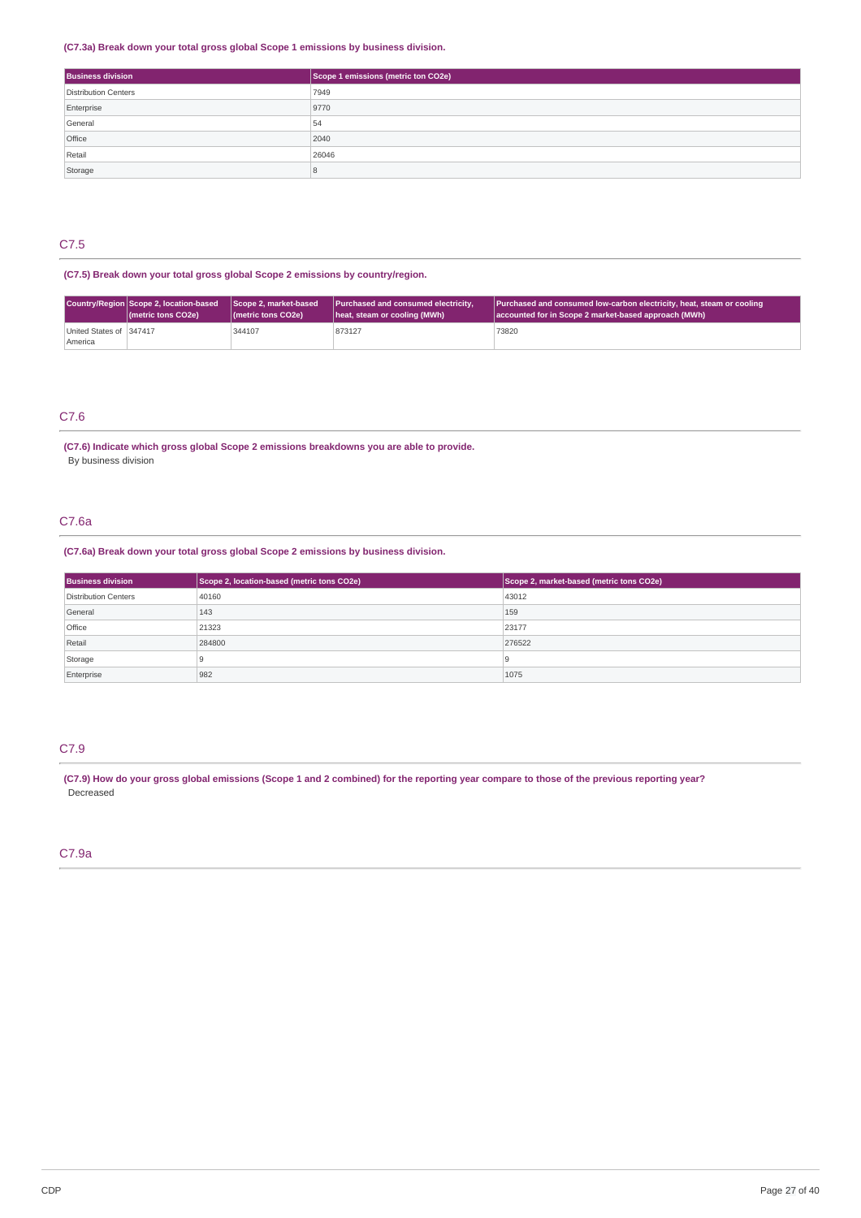# **(C7.3a) Break down your total gross global Scope 1 emissions by business division.**

| <b>Business division</b> | Scope 1 emissions (metric ton CO2e) |
|--------------------------|-------------------------------------|
| Distribution Centers     | 7949                                |
| Enterprise               | 9770                                |
| General                  | 54                                  |
| Office                   | 2040                                |
| Retail                   | 26046                               |
| Storage                  |                                     |

# C7.5

# **(C7.5) Break down your total gross global Scope 2 emissions by country/region.**

|                                    | Country/Region Scope 2, location-based    | Scope 2, market-based                     | Purchased and consumed electricity, | Purchased and consumed low-carbon electricity, heat, steam or cooling |
|------------------------------------|-------------------------------------------|-------------------------------------------|-------------------------------------|-----------------------------------------------------------------------|
|                                    | ( <i>I</i> metric tons CO <sub>2</sub> e) | ( <i>I</i> metric tons CO <sub>2</sub> e) | heat, steam or cooling (MWh)        | accounted for in Scope 2 market-based approach (MWh)                  |
| United States of 347417<br>America |                                           | 344107                                    | 873127                              | 73820                                                                 |

# C7.6

# **(C7.6) Indicate which gross global Scope 2 emissions breakdowns you are able to provide.** By business division

# C7.6a

# **(C7.6a) Break down your total gross global Scope 2 emissions by business division.**

| <b>Business division</b> | Scope 2, location-based (metric tons CO2e) | Scope 2, market-based (metric tons CO2e) |
|--------------------------|--------------------------------------------|------------------------------------------|
| Distribution Centers     | 40160                                      | 43012                                    |
| General                  | 143                                        | 159                                      |
| Office                   | 21323                                      | 23177                                    |
| Retail                   | 284800                                     | 276522                                   |
| Storage                  |                                            |                                          |
| Enterprise               | 982                                        | 1075                                     |

# C7.9

(C7.9) How do your gross global emissions (Scope 1 and 2 combined) for the reporting year compare to those of the previous reporting year? Decreased

# C7.9a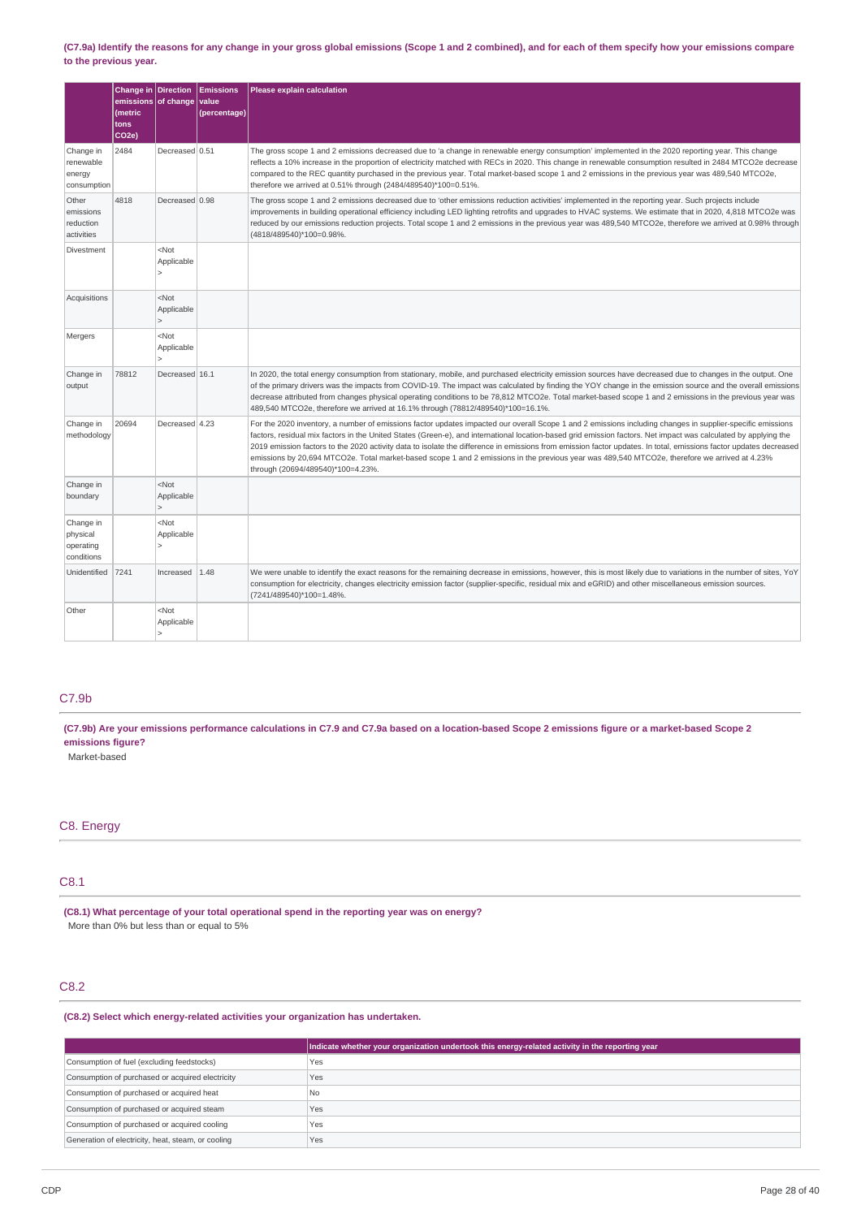## (C7.9a) Identify the reasons for any change in your gross global emissions (Scope 1 and 2 combined), and for each of them specify how your emissions compare **to the previous year.**

|                                                  | Change in Direction<br>emissions of change<br><i>(metric</i><br>tons<br>CO <sub>2e</sub> ) |                                                         | <b>Emissions</b><br>value<br>(percentage) | Please explain calculation                                                                                                                                                                                                                                                                                                                                                                                                                                                                                                                                                                                                                                                               |
|--------------------------------------------------|--------------------------------------------------------------------------------------------|---------------------------------------------------------|-------------------------------------------|------------------------------------------------------------------------------------------------------------------------------------------------------------------------------------------------------------------------------------------------------------------------------------------------------------------------------------------------------------------------------------------------------------------------------------------------------------------------------------------------------------------------------------------------------------------------------------------------------------------------------------------------------------------------------------------|
| Change in<br>renewable<br>energy<br>consumption  | 2484                                                                                       | Decreased 0.51                                          |                                           | The gross scope 1 and 2 emissions decreased due to 'a change in renewable energy consumption' implemented in the 2020 reporting year. This change<br>reflects a 10% increase in the proportion of electricity matched with RECs in 2020. This change in renewable consumption resulted in 2484 MTCO2e decrease<br>compared to the REC quantity purchased in the previous year. Total market-based scope 1 and 2 emissions in the previous year was 489,540 MTCO2e,<br>therefore we arrived at 0.51% through (2484/489540)*100=0.51%.                                                                                                                                                     |
| Other<br>emissions<br>reduction<br>activities    | 4818                                                                                       | Decreased 0.98                                          |                                           | The gross scope 1 and 2 emissions decreased due to 'other emissions reduction activities' implemented in the reporting year. Such projects include<br>improvements in building operational efficiency including LED lighting retrofits and upgrades to HVAC systems. We estimate that in 2020, 4,818 MTCO2e was<br>reduced by our emissions reduction projects. Total scope 1 and 2 emissions in the previous year was 489,540 MTCO2e, therefore we arrived at 0.98% through<br>(4818/489540)*100=0.98%.                                                                                                                                                                                 |
| Divestment                                       |                                                                                            | <not<br>Applicable<br/><math>\mathsf{L}</math></not<br> |                                           |                                                                                                                                                                                                                                                                                                                                                                                                                                                                                                                                                                                                                                                                                          |
| Acquisitions                                     |                                                                                            | $<$ Not<br>Applicable<br>$\geq$                         |                                           |                                                                                                                                                                                                                                                                                                                                                                                                                                                                                                                                                                                                                                                                                          |
| Mergers                                          |                                                                                            | <not<br>Applicable<br/>ь</not<br>                       |                                           |                                                                                                                                                                                                                                                                                                                                                                                                                                                                                                                                                                                                                                                                                          |
| Change in<br>output                              | 78812                                                                                      | Decreased 16.1                                          |                                           | In 2020, the total energy consumption from stationary, mobile, and purchased electricity emission sources have decreased due to changes in the output. One<br>of the primary drivers was the impacts from COVID-19. The impact was calculated by finding the YOY change in the emission source and the overall emissions<br>decrease attributed from changes physical operating conditions to be 78,812 MTCO2e. Total market-based scope 1 and 2 emissions in the previous year was<br>489,540 MTCO2e, therefore we arrived at 16.1% through (78812/489540)*100=16.1%.                                                                                                                   |
| Change in<br>methodology                         | 20694                                                                                      | Decreased 4.23                                          |                                           | For the 2020 inventory, a number of emissions factor updates impacted our overall Scope 1 and 2 emissions including changes in supplier-specific emissions<br>factors, residual mix factors in the United States (Green-e), and international location-based grid emission factors. Net impact was calculated by applying the<br>2019 emission factors to the 2020 activity data to isolate the difference in emissions from emission factor updates. In total, emissions factor updates decreased<br>emissions by 20,694 MTCO2e. Total market-based scope 1 and 2 emissions in the previous year was 489,540 MTCO2e, therefore we arrived at 4.23%<br>through (20694/489540)*100=4.23%. |
| Change in<br>boundary                            |                                                                                            | $<$ Not<br>Applicable<br>$\geq$                         |                                           |                                                                                                                                                                                                                                                                                                                                                                                                                                                                                                                                                                                                                                                                                          |
| Change in<br>physical<br>operating<br>conditions |                                                                                            | <not<br>Applicable<br/><math>\mathsf{I}</math></not<br> |                                           |                                                                                                                                                                                                                                                                                                                                                                                                                                                                                                                                                                                                                                                                                          |
| Unidentified                                     | 7241                                                                                       | Increased                                               | 1.48                                      | We were unable to identify the exact reasons for the remaining decrease in emissions, however, this is most likely due to variations in the number of sites, YoY<br>consumption for electricity, changes electricity emission factor (supplier-specific, residual mix and eGRID) and other miscellaneous emission sources.<br>(7241/489540)*100=1.48%.                                                                                                                                                                                                                                                                                                                                   |
| Other                                            |                                                                                            | <not<br>Applicable<br/><math>\mathsf{I}</math></not<br> |                                           |                                                                                                                                                                                                                                                                                                                                                                                                                                                                                                                                                                                                                                                                                          |

# C7.9b

(C7.9b) Are your emissions performance calculations in C7.9 and C7.9a based on a location-based Scope 2 emissions figure or a market-based Scope 2 **emissions figure?**

Market-based

# C8. Energy

# C8.1

**(C8.1) What percentage of your total operational spend in the reporting year was on energy?** More than 0% but less than or equal to 5%

# C8.2

**(C8.2) Select which energy-related activities your organization has undertaken.**

|                                                    | Indicate whether your organization undertook this energy-related activity in the reporting year |
|----------------------------------------------------|-------------------------------------------------------------------------------------------------|
| Consumption of fuel (excluding feedstocks)         | Yes                                                                                             |
| Consumption of purchased or acquired electricity   | Yes                                                                                             |
| Consumption of purchased or acquired heat          | N <sub>0</sub>                                                                                  |
| Consumption of purchased or acquired steam         | Yes                                                                                             |
| Consumption of purchased or acquired cooling       | Yes                                                                                             |
| Generation of electricity, heat, steam, or cooling | Yes                                                                                             |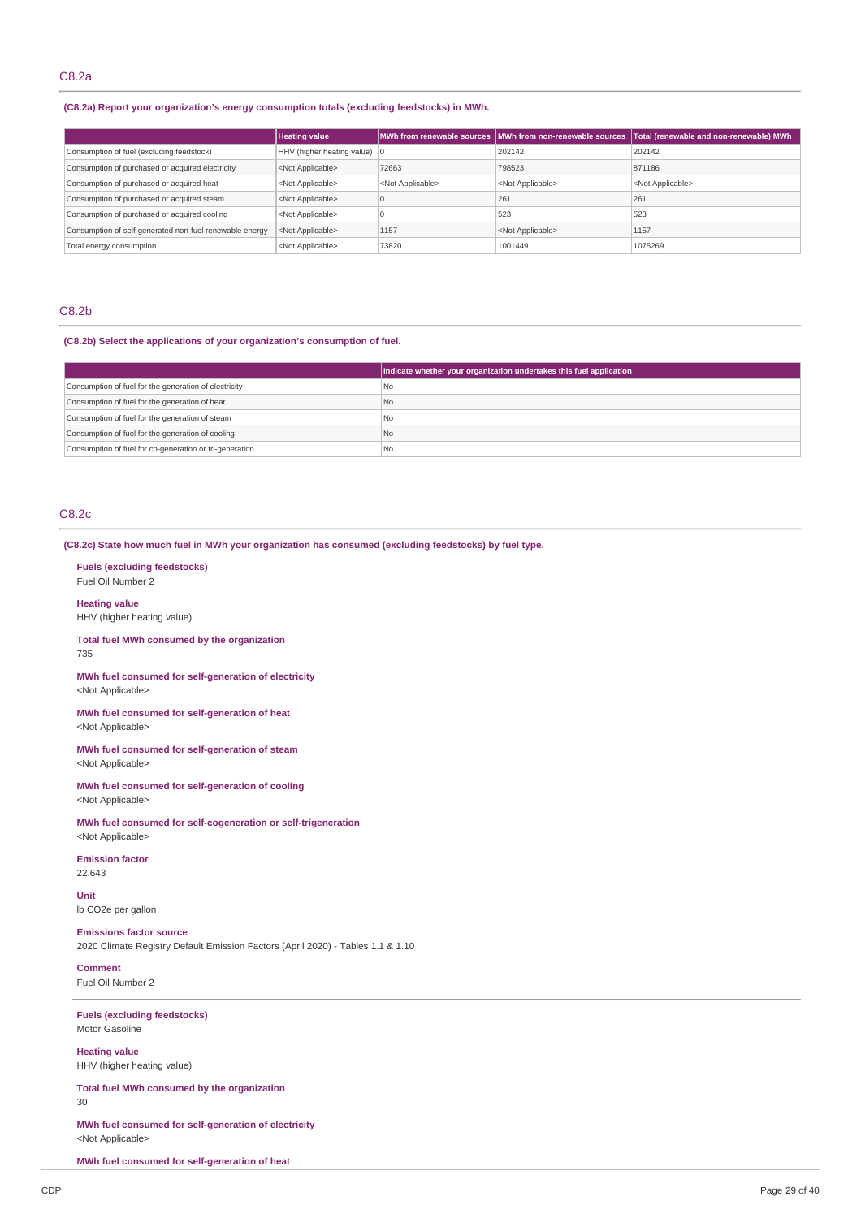# **(C8.2a) Report your organization's energy consumption totals (excluding feedstocks) in MWh.**

|                                                         | <b>Heating value</b>                   |                           |                           | MWh from renewable sources MWh from non-renewable sources Total (renewable and non-renewable) MWh |
|---------------------------------------------------------|----------------------------------------|---------------------------|---------------------------|---------------------------------------------------------------------------------------------------|
| Consumption of fuel (excluding feedstock)               | HHV (higher heating value) $ 0\rangle$ |                           | 202142                    | 202142                                                                                            |
| Consumption of purchased or acquired electricity        | <not applicable=""></not>              | 72663                     | 798523                    | 871186                                                                                            |
| Consumption of purchased or acquired heat               | <not applicable=""></not>              | <not applicable=""></not> | <not applicable=""></not> | <not applicable=""></not>                                                                         |
| Consumption of purchased or acquired steam              | <not applicable=""></not>              |                           | 261                       | 261                                                                                               |
| Consumption of purchased or acquired cooling            | <not applicable=""></not>              |                           | 523                       | 523                                                                                               |
| Consumption of self-generated non-fuel renewable energy | <not applicable=""></not>              | 1157                      | <not applicable=""></not> | 1157                                                                                              |
| Total energy consumption                                | <not applicable=""></not>              | 73820                     | 1001449                   | 1075269                                                                                           |

# C8.2b

**(C8.2b) Select the applications of your organization's consumption of fuel.**

|                                                         | Indicate whether your organization undertakes this fuel application |
|---------------------------------------------------------|---------------------------------------------------------------------|
| Consumption of fuel for the generation of electricity   | l No                                                                |
| Consumption of fuel for the generation of heat          | No                                                                  |
| Consumption of fuel for the generation of steam         | l No                                                                |
| Consumption of fuel for the generation of cooling       | No                                                                  |
| Consumption of fuel for co-generation or tri-generation | <b>No</b>                                                           |

# C8.2c

**(C8.2c) State how much fuel in MWh your organization has consumed (excluding feedstocks) by fuel type.**

#### **Fuels (excluding feedstocks)** Fuel Oil Number 2

**Heating value** HHV (higher heating value)

**Total fuel MWh consumed by the organization** 735

**MWh fuel consumed for self-generation of electricity** <Not Applicable>

**MWh fuel consumed for self-generation of heat** <Not Applicable>

**MWh fuel consumed for self-generation of steam** <Not Applicable>

**MWh fuel consumed for self-generation of cooling** <Not Applicable>

**MWh fuel consumed for self-cogeneration or self-trigeneration** <Not Applicable>

**Emission factor**

22.643

**Unit** lb CO2e per gallon

## **Emissions factor source**

2020 Climate Registry Default Emission Factors (April 2020) - Tables 1.1 & 1.10

**Comment** Fuel Oil Number 2

**Fuels (excluding feedstocks)** Motor Gasoline

**Heating value** HHV (higher heating value)

**Total fuel MWh consumed by the organization**

30

**MWh fuel consumed for self-generation of electricity** <Not Applicable>

**MWh fuel consumed for self-generation of heat**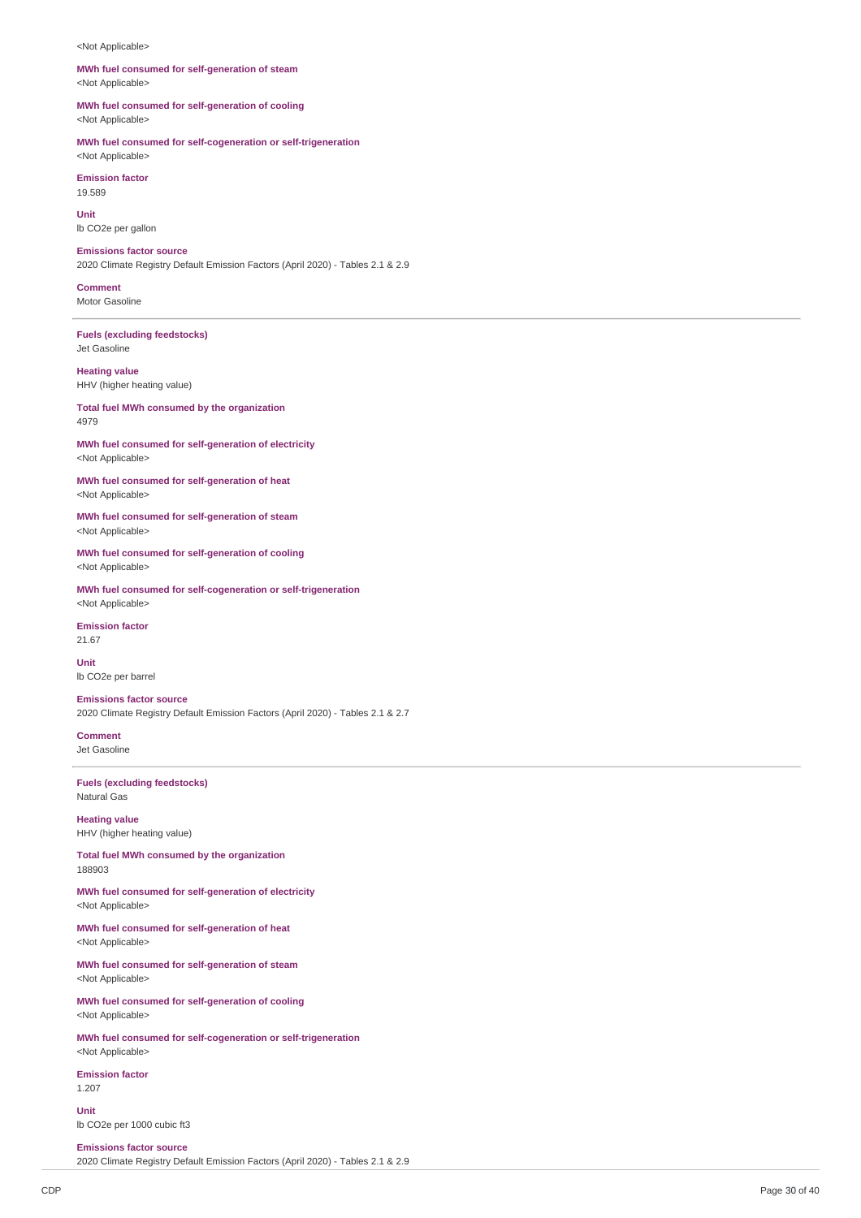#### <Not Applicable>

#### **MWh fuel consumed for self-generation of steam** <Not Applicable>

**MWh fuel consumed for self-generation of cooling** <Not Applicable>

**MWh fuel consumed for self-cogeneration or self-trigeneration**

<Not Applicable> **Emission factor** 19.589

**Unit** lb CO2e per gallon

**Emissions factor source**

2020 Climate Registry Default Emission Factors (April 2020) - Tables 2.1 & 2.9

**Comment** Motor Gasoline

**Fuels (excluding feedstocks)** Jet Gasoline

**Heating value** HHV (higher heating value)

**Total fuel MWh consumed by the organization** 4979

**MWh fuel consumed for self-generation of electricity** <Not Applicable>

**MWh fuel consumed for self-generation of heat** <Not Applicable>

**MWh fuel consumed for self-generation of steam** <Not Applicable>

**MWh fuel consumed for self-generation of cooling** <Not Applicable>

**MWh fuel consumed for self-cogeneration or self-trigeneration** <Not Applicable>

**Emission factor**

21.67

**Unit** lb CO2e per barrel

**Emissions factor source** 2020 Climate Registry Default Emission Factors (April 2020) - Tables 2.1 & 2.7

**Comment** Jet Gasoline

**Fuels (excluding feedstocks)** Natural Gas

**Heating value** HHV (higher heating value)

**Total fuel MWh consumed by the organization** 188903

**MWh fuel consumed for self-generation of electricity** <Not Applicable>

**MWh fuel consumed for self-generation of heat** <Not Applicable>

**MWh fuel consumed for self-generation of steam** <Not Applicable>

**MWh fuel consumed for self-generation of cooling** <Not Applicable>

**MWh fuel consumed for self-cogeneration or self-trigeneration** <Not Applicable>

**Emission factor** 1.207

**Unit** lb CO2e per 1000 cubic ft3

**Emissions factor source** 2020 Climate Registry Default Emission Factors (April 2020) - Tables 2.1 & 2.9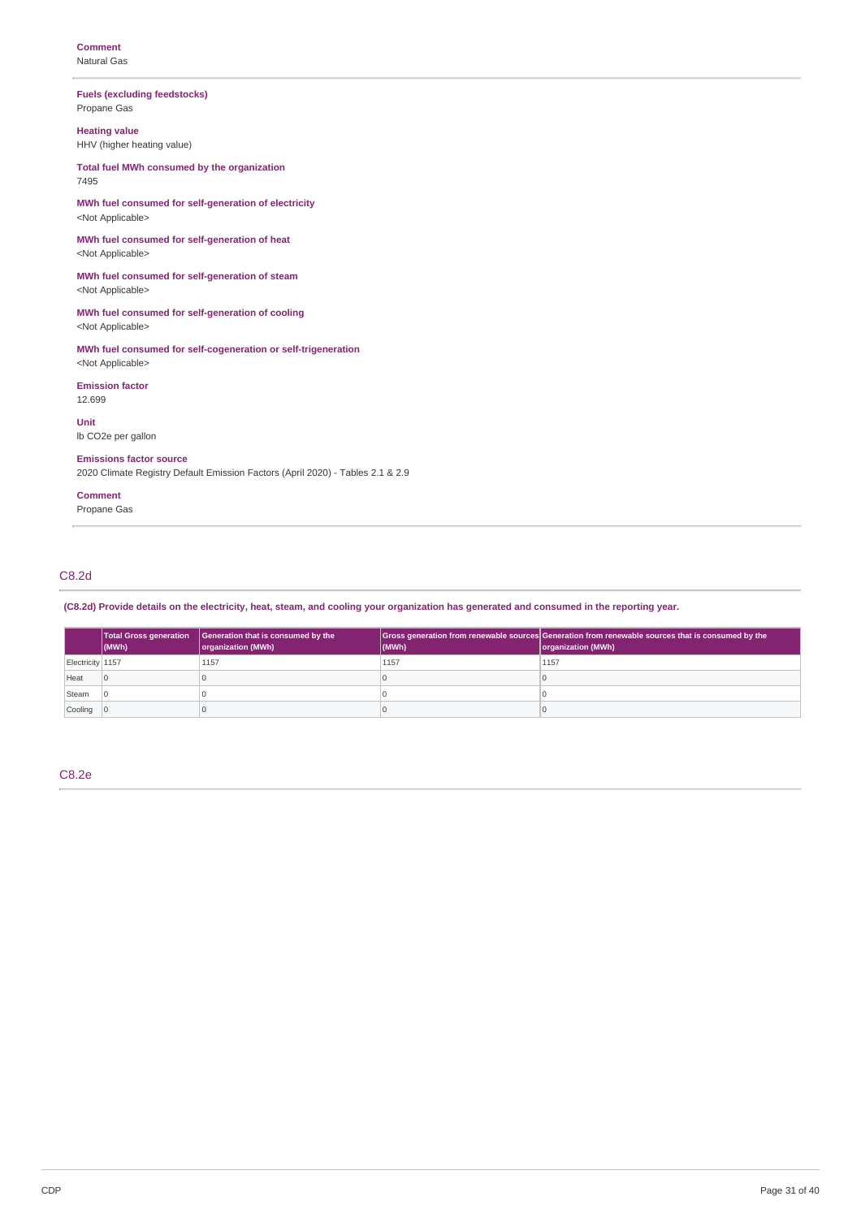**Fuels (excluding feedstocks)** Propane Gas

**Heating value** HHV (higher heating value)

**Total fuel MWh consumed by the organization** 7495

**MWh fuel consumed for self-generation of electricity** <Not Applicable>

**MWh fuel consumed for self-generation of heat** <Not Applicable>

**MWh fuel consumed for self-generation of steam** <Not Applicable>

**MWh fuel consumed for self-generation of cooling** <Not Applicable>

**MWh fuel consumed for self-cogeneration or self-trigeneration** <Not Applicable>

**Emission factor** 12.699

**Unit** lb CO2e per gallon

**Emissions factor source**

2020 Climate Registry Default Emission Factors (April 2020) - Tables 2.1 & 2.9

# **Comment**

Propane Gas

# C8.2d

(C8.2d) Provide details on the electricity, heat, steam, and cooling your organization has generated and consumed in the reporting year.

|                  | <b>Total Gross generation</b><br>$ $ (MWh) | Generation that is consumed by the<br>organization (MWh) | (MWh) | Gross generation from renewable sources Generation from renewable sources that is consumed by the<br>organization (MWh) |
|------------------|--------------------------------------------|----------------------------------------------------------|-------|-------------------------------------------------------------------------------------------------------------------------|
| Electricity 1157 |                                            | 1157                                                     | 1157  | 1157                                                                                                                    |
| Heat             |                                            |                                                          |       |                                                                                                                         |
| Steam            |                                            |                                                          |       |                                                                                                                         |
| Cooling 0        |                                            |                                                          |       |                                                                                                                         |

C8.2e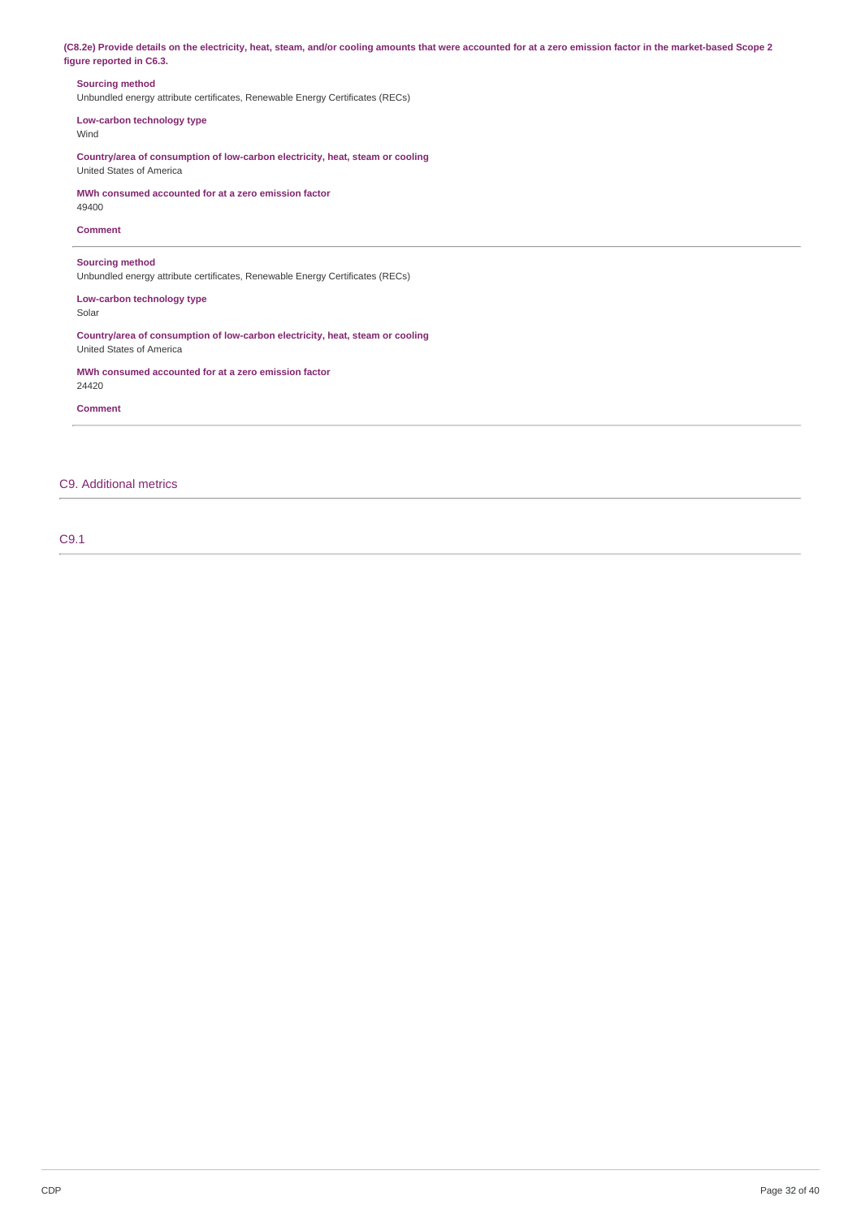(C8.2e) Provide details on the electricity, heat, steam, and/or cooling amounts that were accounted for at a zero emission factor in the market-based Scope 2 **figure reported in C6.3.**

## **Sourcing method**

Unbundled energy attribute certificates, Renewable Energy Certificates (RECs)

**Low-carbon technology type** Wind

**Country/area of consumption of low-carbon electricity, heat, steam or cooling** United States of America

**MWh consumed accounted for at a zero emission factor** 49400

## **Comment**

**Sourcing method**

Unbundled energy attribute certificates, Renewable Energy Certificates (RECs)

**Low-carbon technology type** Solar

**Country/area of consumption of low-carbon electricity, heat, steam or cooling** United States of America

**MWh consumed accounted for at a zero emission factor** 24420

**Comment**

# C9. Additional metrics

C9.1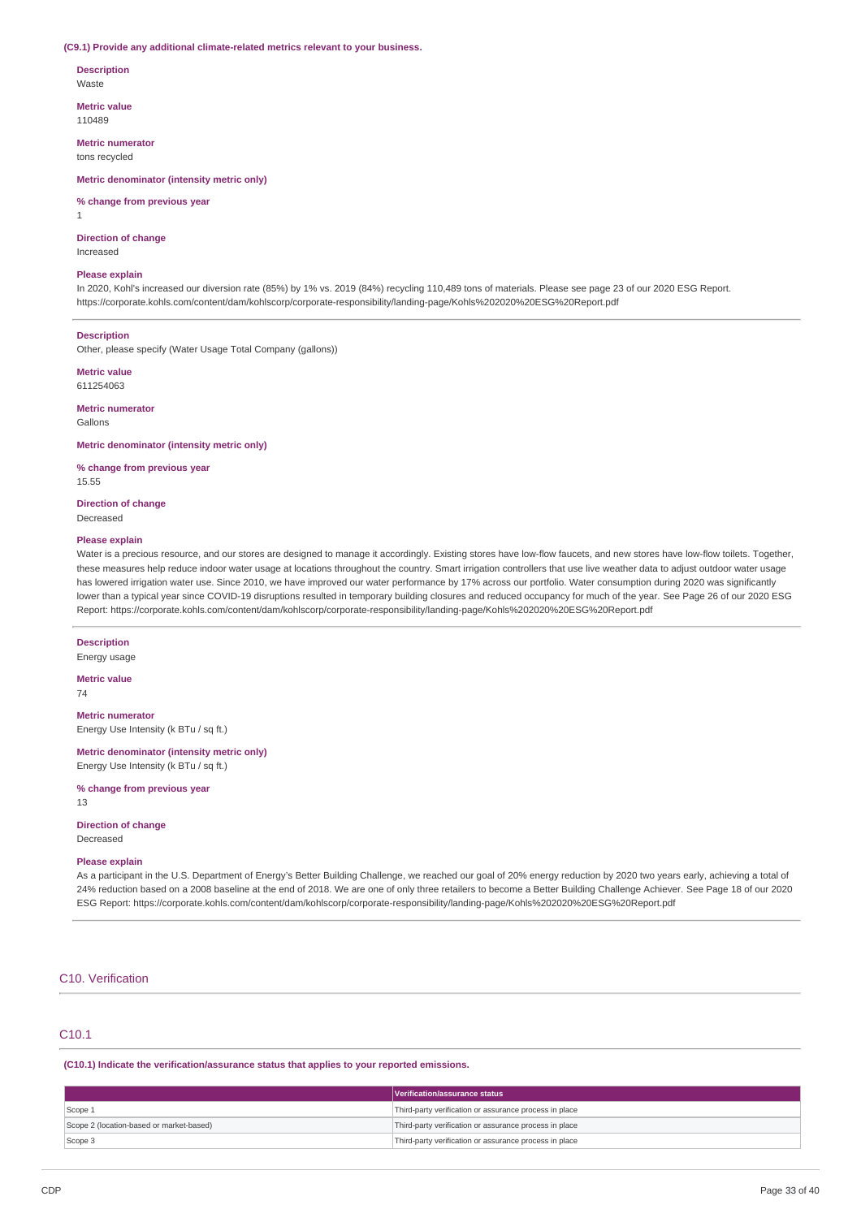#### **(C9.1) Provide any additional climate-related metrics relevant to your business.**

**Description**

Waste

**Metric value** 110489

**Metric numerator** tons recycled

**Metric denominator (intensity metric only)**

**% change from previous year**

1

#### **Direction of change**

Increased

# **Please explain**

In 2020, Kohl's increased our diversion rate (85%) by 1% vs. 2019 (84%) recycling 110,489 tons of materials. Please see page 23 of our 2020 ESG Report. https://corporate.kohls.com/content/dam/kohlscorp/corporate-responsibility/landing-page/Kohls%202020%20ESG%20Report.pdf

#### **Description**

Other, please specify (Water Usage Total Company (gallons))

**Metric value** 611254063

**Metric numerator**

Gallons

**Metric denominator (intensity metric only)**

**% change from previous year** 15.55

**Direction of change** Decreased

#### **Please explain**

Water is a precious resource, and our stores are designed to manage it accordingly. Existing stores have low-flow faucets, and new stores have low-flow toilets. Together, these measures help reduce indoor water usage at locations throughout the country. Smart irrigation controllers that use live weather data to adjust outdoor water usage has lowered irrigation water use. Since 2010, we have improved our water performance by 17% across our portfolio. Water consumption during 2020 was significantly lower than a typical year since COVID-19 disruptions resulted in temporary building closures and reduced occupancy for much of the year. See Page 26 of our 2020 ESG Report: https://corporate.kohls.com/content/dam/kohlscorp/corporate-responsibility/landing-page/Kohls%202020%20ESG%20Report.pdf

**Description**

Energy usage

#### **Metric value** 74

**Metric numerator**

Energy Use Intensity (k BTu / sq ft.)

**Metric denominator (intensity metric only)** Energy Use Intensity (k BTu / sq ft.)

**% change from previous year** 13

# **Direction of change**

Decreased

# **Please explain**

As a participant in the U.S. Department of Energy's Better Building Challenge, we reached our goal of 20% energy reduction by 2020 two years early, achieving a total of 24% reduction based on a 2008 baseline at the end of 2018. We are one of only three retailers to become a Better Building Challenge Achiever. See Page 18 of our 2020 ESG Report: https://corporate.kohls.com/content/dam/kohlscorp/corporate-responsibility/landing-page/Kohls%202020%20ESG%20Report.pdf

# C10. Verification

# C10.1

**(C10.1) Indicate the verification/assurance status that applies to your reported emissions.**

|                                          | Verification/assurance status                          |
|------------------------------------------|--------------------------------------------------------|
| Scope 1                                  | Third-party verification or assurance process in place |
| Scope 2 (location-based or market-based) | Third-party verification or assurance process in place |
| Scope 3                                  | Third-party verification or assurance process in place |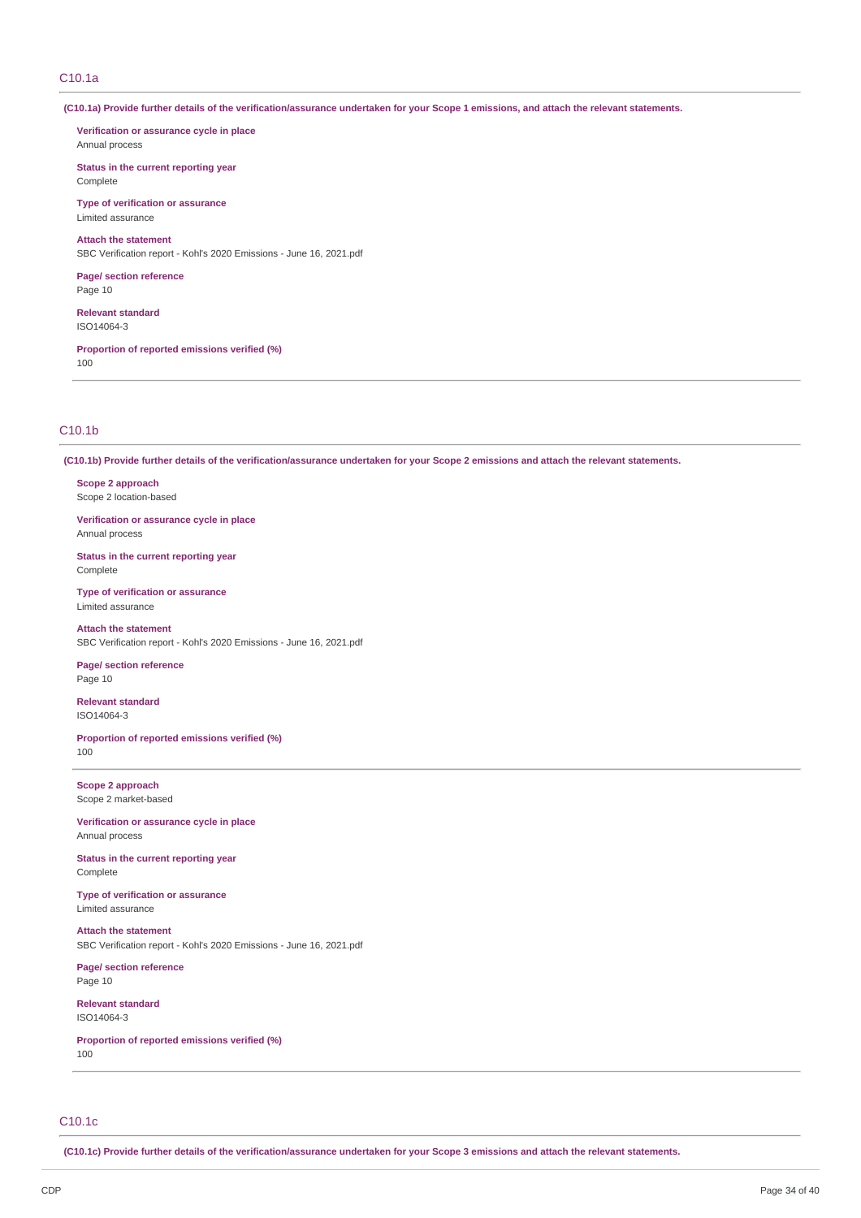# C10.1a

(C10.1a) Provide further details of the verification/assurance undertaken for your Scope 1 emissions, and attach the relevant statements.

**Verification or assurance cycle in place** Annual process

**Status in the current reporting year** Complete

**Type of verification or assurance** Limited assurance

**Attach the statement** SBC Verification report - Kohl's 2020 Emissions - June 16, 2021.pdf

**Page/ section reference** Page 10

**Relevant standard** ISO14064-3

**Proportion of reported emissions verified (%)** 100

# C10.1b

(C10.1b) Provide further details of the verification/assurance undertaken for your Scope 2 emissions and attach the relevant statements.

**Scope 2 approach** Scope 2 location-based

**Verification or assurance cycle in place** Annual process

**Status in the current reporting year** Complete

**Type of verification or assurance** Limited assurance

**Attach the statement** SBC Verification report - Kohl's 2020 Emissions - June 16, 2021.pdf

**Page/ section reference** Page 10

**Relevant standard** ISO14064-3

**Proportion of reported emissions verified (%)** 100

**Scope 2 approach** Scope 2 market-based

**Verification or assurance cycle in place** Annual process

**Status in the current reporting year** Complete

**Type of verification or assurance** Limited assurance

**Attach the statement** SBC Verification report - Kohl's 2020 Emissions - June 16, 2021.pdf

**Page/ section reference** Page 10

**Relevant standard** ISO14064-3

**Proportion of reported emissions verified (%)** 100

# C10.1c

(C10.1c) Provide further details of the verification/assurance undertaken for your Scope 3 emissions and attach the relevant statements.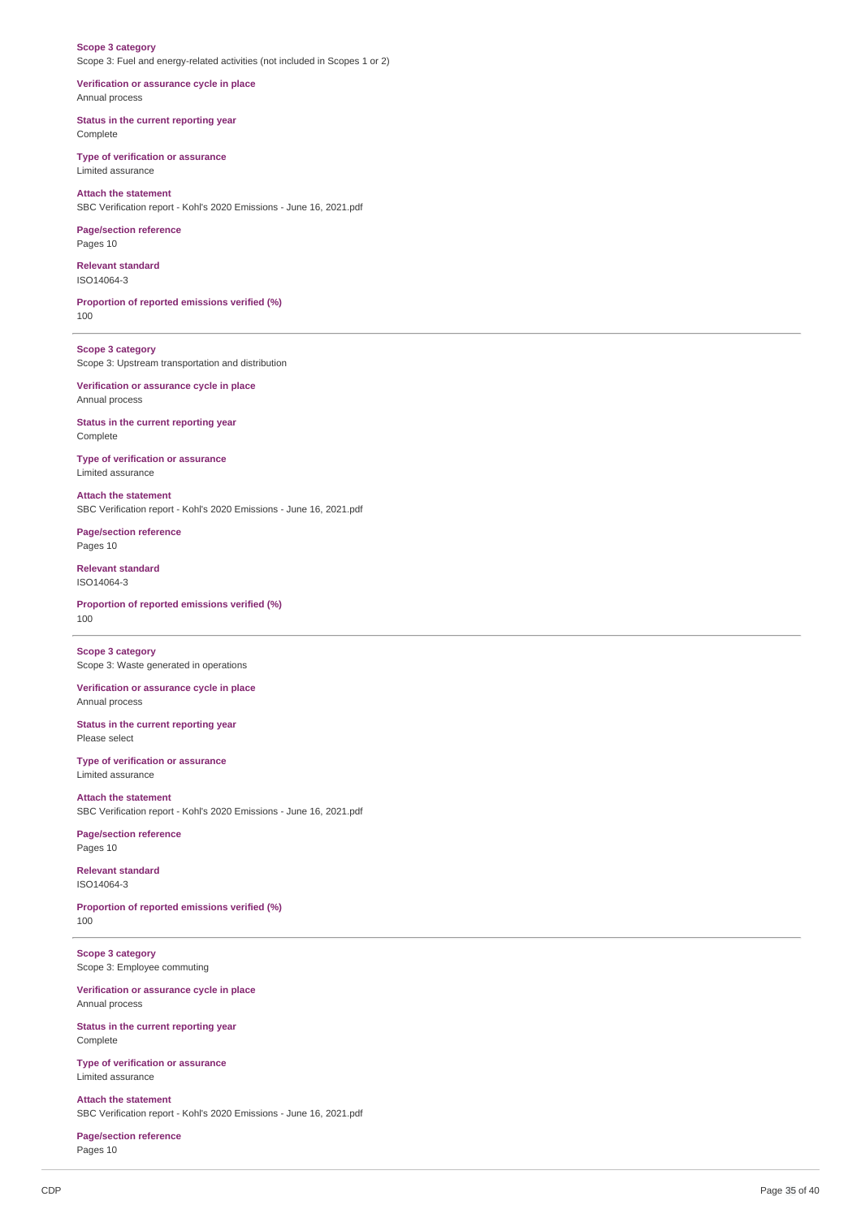#### **Scope 3 category** Scope 3: Fuel and energy-related activities (not included in Scopes 1 or 2)

**Verification or assurance cycle in place** Annual process

**Status in the current reporting year** Complete

**Type of verification or assurance** Limited assurance

**Attach the statement** SBC Verification report - Kohl's 2020 Emissions - June 16, 2021.pdf

**Page/section reference** Pages 10

**Relevant standard**

ISO14064-3

**Proportion of reported emissions verified (%)** 100

**Scope 3 category** Scope 3: Upstream transportation and distribution

**Verification or assurance cycle in place** Annual process

**Status in the current reporting year** Complete

**Type of verification or assurance** Limited assurance

**Attach the statement** SBC Verification report - Kohl's 2020 Emissions - June 16, 2021.pdf

**Page/section reference** Pages 10

**Relevant standard** ISO14064-3

**Proportion of reported emissions verified (%)** 100

**Scope 3 category** Scope 3: Waste generated in operations

**Verification or assurance cycle in place** Annual process

**Status in the current reporting year** Please select

**Type of verification or assurance** Limited assurance

**Attach the statement** SBC Verification report - Kohl's 2020 Emissions - June 16, 2021.pdf

**Page/section reference** Pages 10

**Relevant standard** ISO14064-3

**Proportion of reported emissions verified (%)** 100

**Scope 3 category** Scope 3: Employee commuting

**Verification or assurance cycle in place** Annual process

**Status in the current reporting year** Complete

**Type of verification or assurance** Limited assurance

**Attach the statement** SBC Verification report - Kohl's 2020 Emissions - June 16, 2021.pdf

**Page/section reference** Pages 10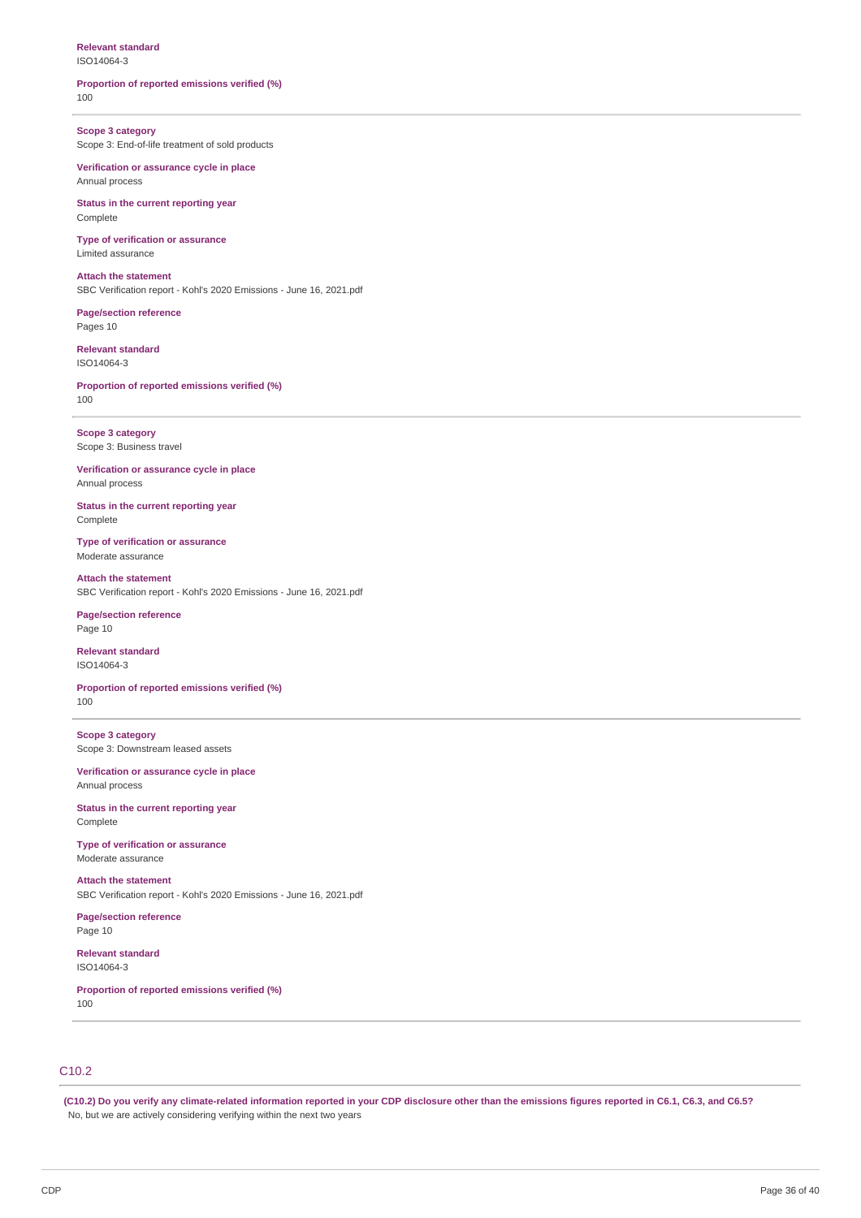# **Relevant standard**

ISO14064-3

#### **Proportion of reported emissions verified (%)** 100

**Scope 3 category** Scope 3: End-of-life treatment of sold products

**Verification or assurance cycle in place** Annual process

**Status in the current reporting year** Complete

**Type of verification or assurance** Limited assurance

**Attach the statement** SBC Verification report - Kohl's 2020 Emissions - June 16, 2021.pdf

**Page/section reference** Pages 10

**Relevant standard** ISO14064-3

**Proportion of reported emissions verified (%)** 100

**Scope 3 category** Scope 3: Business travel

**Verification or assurance cycle in place** Annual process

**Status in the current reporting year** Complete

**Type of verification or assurance** Moderate assurance

**Attach the statement** SBC Verification report - Kohl's 2020 Emissions - June 16, 2021.pdf

**Page/section reference** Page 10

**Relevant standard** ISO14064-3

**Proportion of reported emissions verified (%)** 100

**Scope 3 category** Scope 3: Downstream leased assets

**Verification or assurance cycle in place** Annual process

**Status in the current reporting year** Complete

**Type of verification or assurance** Moderate assurance

**Attach the statement** SBC Verification report - Kohl's 2020 Emissions - June 16, 2021.pdf

**Page/section reference** Page 10

**Relevant standard** ISO14064-3

**Proportion of reported emissions verified (%)** 100

# C10.2

(C10.2) Do you verify any climate-related information reported in your CDP disclosure other than the emissions figures reported in C6.1, C6.3, and C6.5? No, but we are actively considering verifying within the next two years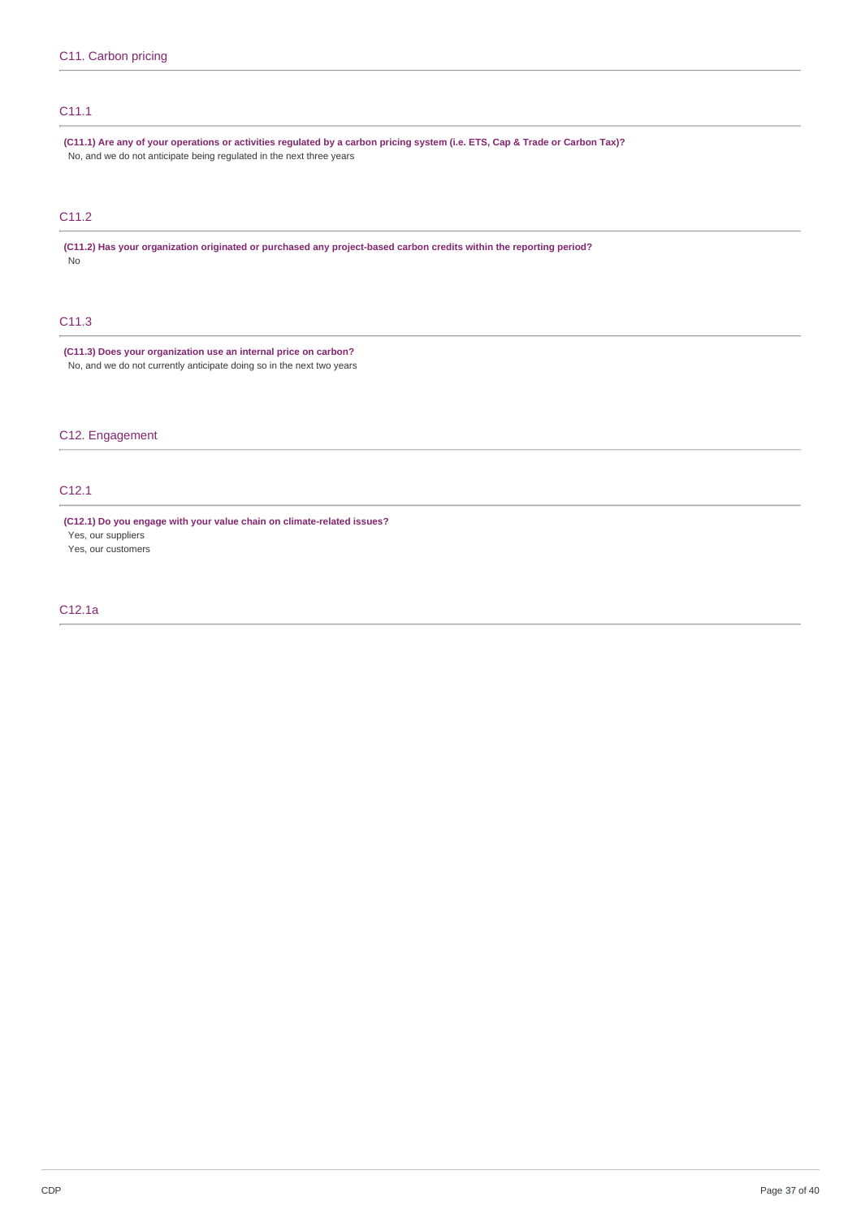# C11.1

(C11.1) Are any of your operations or activities regulated by a carbon pricing system (i.e. ETS, Cap & Trade or Carbon Tax)? No, and we do not anticipate being regulated in the next three years

# C11.2

**(C11.2) Has your organization originated or purchased any project-based carbon credits within the reporting period?** No

# C11.3

**(C11.3) Does your organization use an internal price on carbon?** No, and we do not currently anticipate doing so in the next two years

C12. Engagement

# C12.1

**(C12.1) Do you engage with your value chain on climate-related issues?**

Yes, our suppliers Yes, our customers

# C12.1a

CDP Page 37 of 40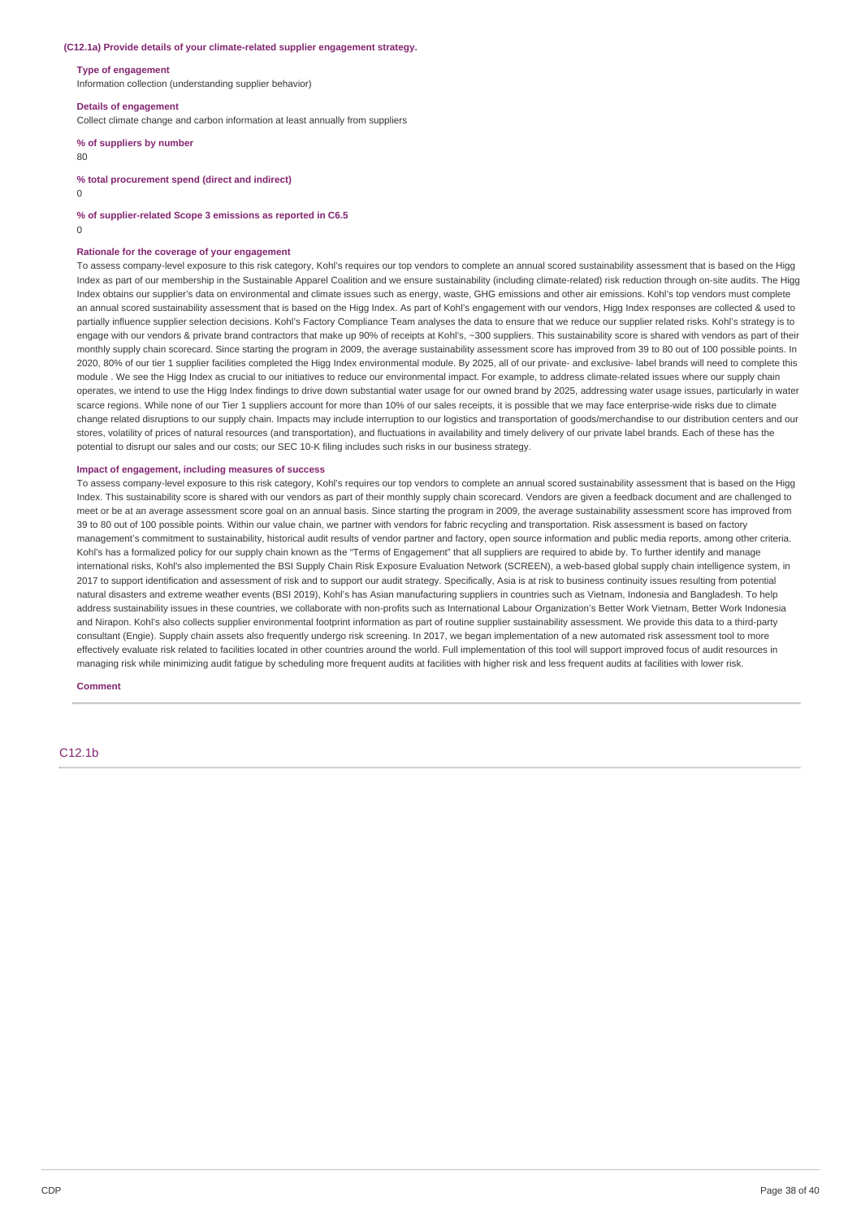#### **(C12.1a) Provide details of your climate-related supplier engagement strategy.**

#### **Type of engagement**

Information collection (understanding supplier behavior)

#### **Details of engagement**

Collect climate change and carbon information at least annually from suppliers

# **% of suppliers by number**

80

**% total procurement spend (direct and indirect)**

 $\Omega$ 

**% of supplier-related Scope 3 emissions as reported in C6.5**

 $\Omega$ 

#### **Rationale for the coverage of your engagement**

To assess company-level exposure to this risk category, Kohl's requires our top vendors to complete an annual scored sustainability assessment that is based on the Higg Index as part of our membership in the Sustainable Apparel Coalition and we ensure sustainability (including climate-related) risk reduction through on-site audits. The Higg Index obtains our supplier's data on environmental and climate issues such as energy, waste, GHG emissions and other air emissions. Kohl's top vendors must complete an annual scored sustainability assessment that is based on the Higg Index. As part of Kohl's engagement with our vendors, Higg Index responses are collected & used to partially influence supplier selection decisions. Kohl's Factory Compliance Team analyses the data to ensure that we reduce our supplier related risks. Kohl's strategy is to engage with our vendors & private brand contractors that make up 90% of receipts at Kohl's, ~300 suppliers. This sustainability score is shared with vendors as part of their monthly supply chain scorecard. Since starting the program in 2009, the average sustainability assessment score has improved from 39 to 80 out of 100 possible points. In 2020, 80% of our tier 1 supplier facilities completed the Higg Index environmental module. By 2025, all of our private- and exclusive- label brands will need to complete this module . We see the Higg Index as crucial to our initiatives to reduce our environmental impact. For example, to address climate-related issues where our supply chain operates, we intend to use the Higg Index findings to drive down substantial water usage for our owned brand by 2025, addressing water usage issues, particularly in water scarce regions. While none of our Tier 1 suppliers account for more than 10% of our sales receipts, it is possible that we may face enterprise-wide risks due to climate change related disruptions to our supply chain. Impacts may include interruption to our logistics and transportation of goods/merchandise to our distribution centers and our stores, volatility of prices of natural resources (and transportation), and fluctuations in availability and timely delivery of our private label brands. Each of these has the potential to disrupt our sales and our costs; our SEC 10-K filing includes such risks in our business strategy.

#### **Impact of engagement, including measures of success**

To assess company-level exposure to this risk category, Kohl's requires our top vendors to complete an annual scored sustainability assessment that is based on the Higg Index. This sustainability score is shared with our vendors as part of their monthly supply chain scorecard. Vendors are given a feedback document and are challenged to meet or be at an average assessment score goal on an annual basis. Since starting the program in 2009, the average sustainability assessment score has improved from 39 to 80 out of 100 possible points. Within our value chain, we partner with vendors for fabric recycling and transportation. Risk assessment is based on factory management's commitment to sustainability, historical audit results of vendor partner and factory, open source information and public media reports, among other criteria. Kohl's has a formalized policy for our supply chain known as the "Terms of Engagement" that all suppliers are required to abide by. To further identify and manage international risks, Kohl's also implemented the BSI Supply Chain Risk Exposure Evaluation Network (SCREEN), a web-based global supply chain intelligence system, in 2017 to support identification and assessment of risk and to support our audit strategy. Specifically, Asia is at risk to business continuity issues resulting from potential natural disasters and extreme weather events (BSI 2019), Kohl's has Asian manufacturing suppliers in countries such as Vietnam, Indonesia and Bangladesh. To help address sustainability issues in these countries, we collaborate with non-profits such as International Labour Organization's Better Work Vietnam, Better Work Indonesia and Nirapon. Kohl's also collects supplier environmental footprint information as part of routine supplier sustainability assessment. We provide this data to a third-party consultant (Engie). Supply chain assets also frequently undergo risk screening. In 2017, we began implementation of a new automated risk assessment tool to more effectively evaluate risk related to facilities located in other countries around the world. Full implementation of this tool will support improved focus of audit resources in managing risk while minimizing audit fatigue by scheduling more frequent audits at facilities with higher risk and less frequent audits at facilities with lower risk.

#### **Comment**

C12.1b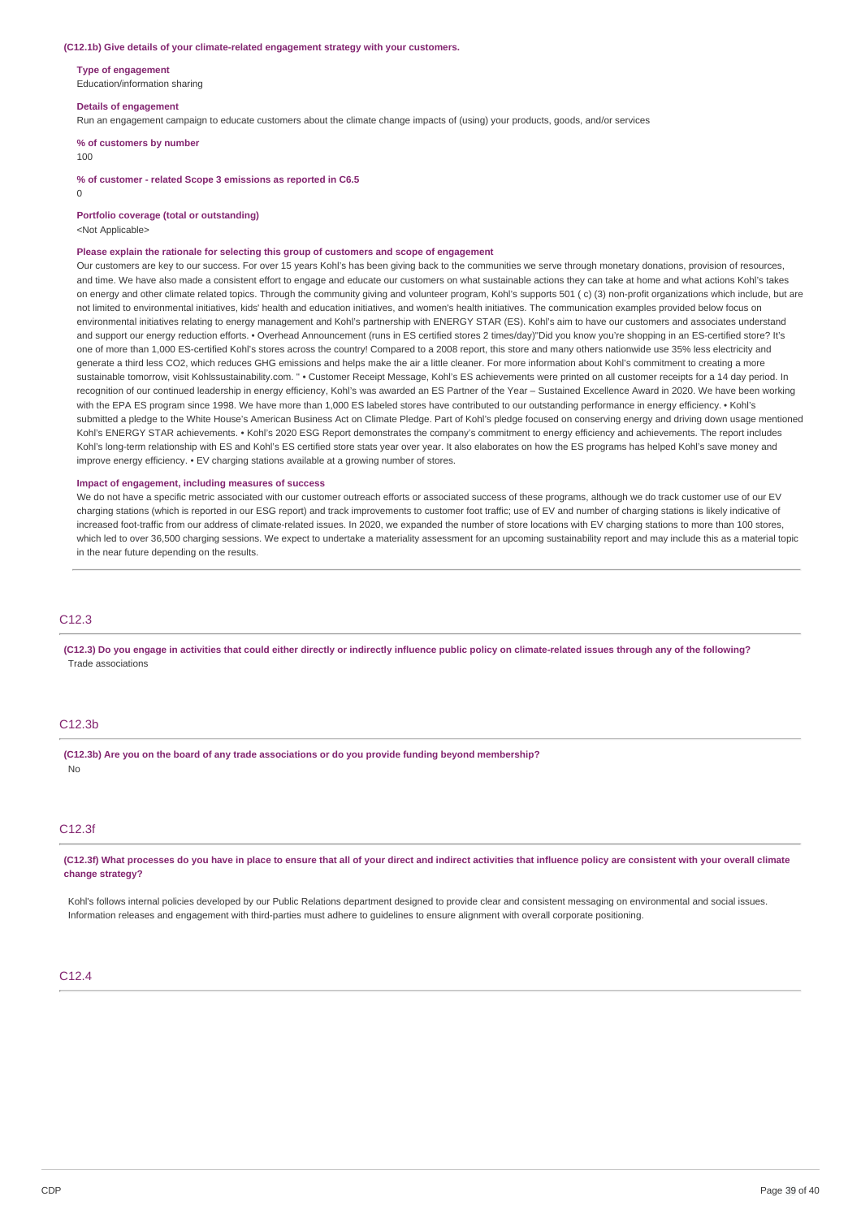#### **(C12.1b) Give details of your climate-related engagement strategy with your customers.**

**Type of engagement**

Education/information sharing

#### **Details of engagement**

Run an engagement campaign to educate customers about the climate change impacts of (using) your products, goods, and/or services

**% of customers by number**

#### 100

**% of customer - related Scope 3 emissions as reported in C6.5**

 $\Omega$ 

**Portfolio coverage (total or outstanding)**

<Not Applicable>

#### **Please explain the rationale for selecting this group of customers and scope of engagement**

Our customers are key to our success. For over 15 years Kohl's has been giving back to the communities we serve through monetary donations, provision of resources, and time. We have also made a consistent effort to engage and educate our customers on what sustainable actions they can take at home and what actions Kohl's takes on energy and other climate related topics. Through the community giving and volunteer program, Kohl's supports 501 ( c) (3) non-profit organizations which include, but are not limited to environmental initiatives, kids' health and education initiatives, and women's health initiatives. The communication examples provided below focus on environmental initiatives relating to energy management and Kohl's partnership with ENERGY STAR (ES). Kohl's aim to have our customers and associates understand and support our energy reduction efforts. • Overhead Announcement (runs in ES certified stores 2 times/day)"Did you know you're shopping in an ES-certified store? It's one of more than 1,000 ES-certified Kohl's stores across the country! Compared to a 2008 report, this store and many others nationwide use 35% less electricity and generate a third less CO2, which reduces GHG emissions and helps make the air a little cleaner. For more information about Kohl's commitment to creating a more sustainable tomorrow, visit Kohlssustainability.com. " • Customer Receipt Message, Kohl's ES achievements were printed on all customer receipts for a 14 day period. In recognition of our continued leadership in energy efficiency. Kohl's was awarded an ES Partner of the Year – Sustained Excellence Award in 2020. We have been working with the EPA ES program since 1998. We have more than 1,000 ES labeled stores have contributed to our outstanding performance in energy efficiency. • Kohl's submitted a pledge to the White House's American Business Act on Climate Pledge. Part of Kohl's pledge focused on conserving energy and driving down usage mentioned Kohl's ENERGY STAR achievements. • Kohl's 2020 ESG Report demonstrates the company's commitment to energy efficiency and achievements. The report includes Kohl's long-term relationship with ES and Kohl's ES certified store stats year over year. It also elaborates on how the ES programs has helped Kohl's save money and improve energy efficiency. • EV charging stations available at a growing number of stores.

#### **Impact of engagement, including measures of success**

We do not have a specific metric associated with our customer outreach efforts or associated success of these programs, although we do track customer use of our EV charging stations (which is reported in our ESG report) and track improvements to customer foot traffic; use of EV and number of charging stations is likely indicative of increased foot-traffic from our address of climate-related issues. In 2020, we expanded the number of store locations with EV charging stations to more than 100 stores, which led to over 36,500 charging sessions. We expect to undertake a materiality assessment for an upcoming sustainability report and may include this as a material topic in the near future depending on the results.

## $C12.3$

(C12.3) Do you engage in activities that could either directly or indirectly influence public policy on climate-related issues through any of the following? Trade associations

# C12.3b

**(C12.3b) Are you on the board of any trade associations or do you provide funding beyond membership?** No

# C12.3f

(C12.3f) What processes do you have in place to ensure that all of your direct and indirect activities that influence policy are consistent with your overall climate **change strategy?**

Kohl's follows internal policies developed by our Public Relations department designed to provide clear and consistent messaging on environmental and social issues. Information releases and engagement with third-parties must adhere to guidelines to ensure alignment with overall corporate positioning.

## $C<sub>12.4</sub>$